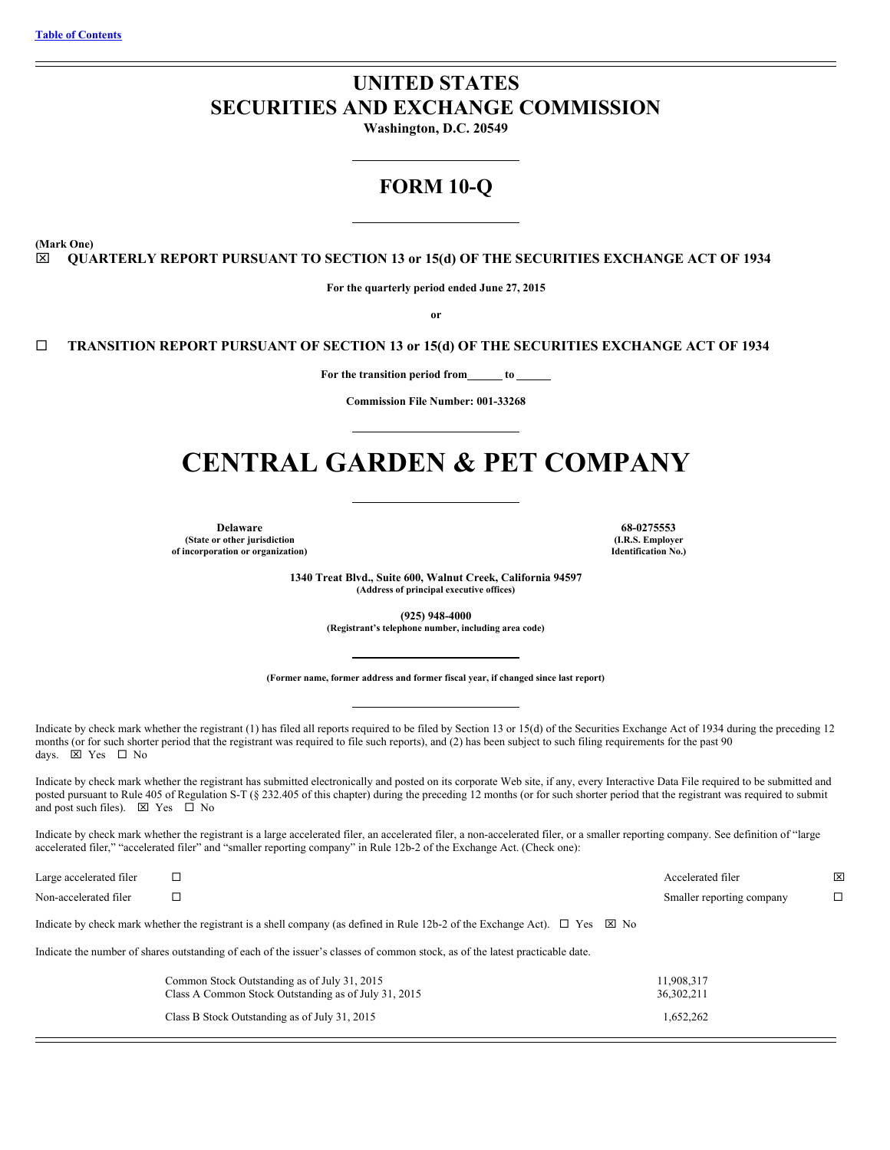## **UNITED STATES SECURITIES AND EXCHANGE COMMISSION**

**Washington, D.C. 20549**

## **FORM 10-Q**

**(Mark One)**

x **QUARTERLY REPORT PURSUANT TO SECTION 13 or 15(d) OF THE SECURITIES EXCHANGE ACT OF 1934**

**For the quarterly period ended June 27, 2015**

**or**

¨ **TRANSITION REPORT PURSUANT OF SECTION 13 or 15(d) OF THE SECURITIES EXCHANGE ACT OF 1934**

**For the transition period from to**

**Commission File Number: 001-33268**

## **CENTRAL GARDEN & PET COMPANY**

**Delaware 68-0275553 (State or other jurisdiction of incorporation or organization)**

**(I.R.S. Employer Identification No.)**

**1340 Treat Blvd., Suite 600, Walnut Creek, California 94597 (Address of principal executive offices)**

> **(925) 948-4000 (Registrant's telephone number, including area code)**

**(Former name, former address and former fiscal year, if changed since last report)**

Indicate by check mark whether the registrant (1) has filed all reports required to be filed by Section 13 or 15(d) of the Securities Exchange Act of 1934 during the preceding 12 months (or for such shorter period that the registrant was required to file such reports), and (2) has been subject to such filing requirements for the past 90 days.  $\boxtimes$  Yes  $\Box$  No

Indicate by check mark whether the registrant has submitted electronically and posted on its corporate Web site, if any, every Interactive Data File required to be submitted and posted pursuant to Rule 405 of Regulation S-T (§ 232.405 of this chapter) during the preceding 12 months (or for such shorter period that the registrant was required to submit and post such files).  $\boxtimes$  Yes  $\Box$  No

Indicate by check mark whether the registrant is a large accelerated filer, an accelerated filer, a non-accelerated filer, or a smaller reporting company. See definition of "large accelerated filer," "accelerated filer" and "smaller reporting company" in Rule 12b-2 of the Exchange Act. (Check one):

| Large accelerated filer |                                                                                                                                            | Accelerated filer          | × |
|-------------------------|--------------------------------------------------------------------------------------------------------------------------------------------|----------------------------|---|
| Non-accelerated filer   |                                                                                                                                            | Smaller reporting company  | □ |
|                         | Indicate by check mark whether the registrant is a shell company (as defined in Rule 12b-2 of the Exchange Act). $\Box$ Yes $\boxtimes$ No |                            |   |
|                         | Indicate the number of shares outstanding of each of the issuer's classes of common stock, as of the latest practicable date.              |                            |   |
|                         | Common Stock Outstanding as of July 31, 2015<br>Class A Common Stock Outstanding as of July 31, 2015                                       | 11,908,317<br>36, 302, 211 |   |
|                         | Class B Stock Outstanding as of July 31, 2015                                                                                              | 1,652,262                  |   |
|                         |                                                                                                                                            |                            |   |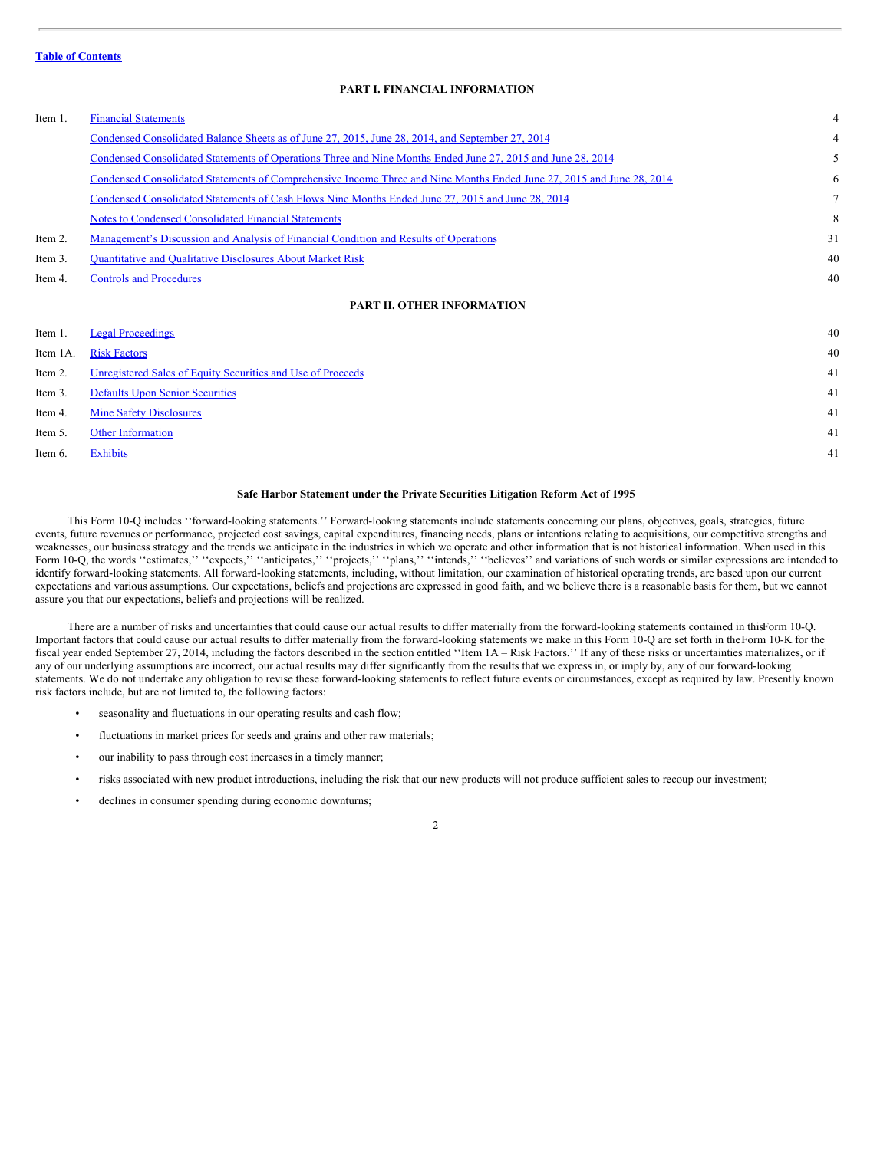## <span id="page-1-0"></span>**PART I. FINANCIAL INFORMATION**

## Item 1. Financial [Statements](#page-3-0) **4** and the statements **4** and the statements **4** and the statements **4** and the statements **4** and the statements **4** and the statements **4** and the statements **4** and the statements **4** and t

| <b>PART II. OTHER INFORMATION</b> |                                                                                                                       |    |  |
|-----------------------------------|-----------------------------------------------------------------------------------------------------------------------|----|--|
| Item 4.                           | <b>Controls and Procedures</b>                                                                                        | 40 |  |
| Item 3.                           | <b>Quantitative and Qualitative Disclosures About Market Risk</b>                                                     | 40 |  |
| Item 2.                           | Management's Discussion and Analysis of Financial Condition and Results of Operations                                 | 31 |  |
|                                   | Notes to Condensed Consolidated Financial Statements                                                                  | 8  |  |
|                                   | Condensed Consolidated Statements of Cash Flows Nine Months Ended June 27, 2015 and June 28, 2014                     | 7  |  |
|                                   | Condensed Consolidated Statements of Comprehensive Income Three and Nine Months Ended June 27, 2015 and June 28, 2014 | 6  |  |
|                                   | Condensed Consolidated Statements of Operations Three and Nine Months Ended June 27, 2015 and June 28, 2014           | 5. |  |
|                                   | Condensed Consolidated Balance Sheets as of June 27, 2015, June 28, 2014, and September 27, 2014                      | 4  |  |

| Item 1. | <b>Legal Proceedings</b>                                           | 40 |
|---------|--------------------------------------------------------------------|----|
|         | Item 1A. Risk Factors                                              | 40 |
| Item 2. | <b>Unregistered Sales of Equity Securities and Use of Proceeds</b> | 41 |
| Item 3. | <b>Defaults Upon Senior Securities</b>                             | 41 |
| Item 4. | <b>Mine Safety Disclosures</b>                                     | 41 |
| Item 5. | <b>Other Information</b>                                           | 41 |
| Item 6. | Exhibits                                                           | 41 |

#### **Safe Harbor Statement under the Private Securities Litigation Reform Act of 1995**

This Form 10-Q includes ''forward-looking statements.'' Forward-looking statements include statements concerning our plans, objectives, goals, strategies, future events, future revenues or performance, projected cost savings, capital expenditures, financing needs, plans or intentions relating to acquisitions, our competitive strengths and weaknesses, our business strategy and the trends we anticipate in the industries in which we operate and other information that is not historical information. When used in this Form 10-Q, the words "estimates," "expects," "anticipates," "projects," "plans," "intends," "believes" and variations of such words or similar expressions are intended to identify forward-looking statements. All forward-looking statements, including, without limitation, our examination of historical operating trends, are based upon our current expectations and various assumptions. Our expectations, beliefs and projections are expressed in good faith, and we believe there is a reasonable basis for them, but we cannot assure you that our expectations, beliefs and projections will be realized.

There are a number of risks and uncertainties that could cause our actual results to differ materially from the forward-looking statements contained in thisForm 10-Q. Important factors that could cause our actual results to differ materially from the forward-looking statements we make in this Form 10-Q are set forth in theForm 10-K for the fiscal year ended September 27, 2014, including the factors described in the section entitled "Item 1A - Risk Factors." If any of these risks or uncertainties materializes, or if any of our underlying assumptions are incorrect, our actual results may differ significantly from the results that we express in, or imply by, any of our forward-looking statements. We do not undertake any obligation to revise these forward-looking statements to reflect future events or circumstances, except as required by law. Presently known risk factors include, but are not limited to, the following factors:

- seasonality and fluctuations in our operating results and cash flow;
- fluctuations in market prices for seeds and grains and other raw materials;
- our inability to pass through cost increases in a timely manner;
- risks associated with new product introductions, including the risk that our new products will not produce sufficient sales to recoup our investment;
- declines in consumer spending during economic downturns;

 $\overline{2}$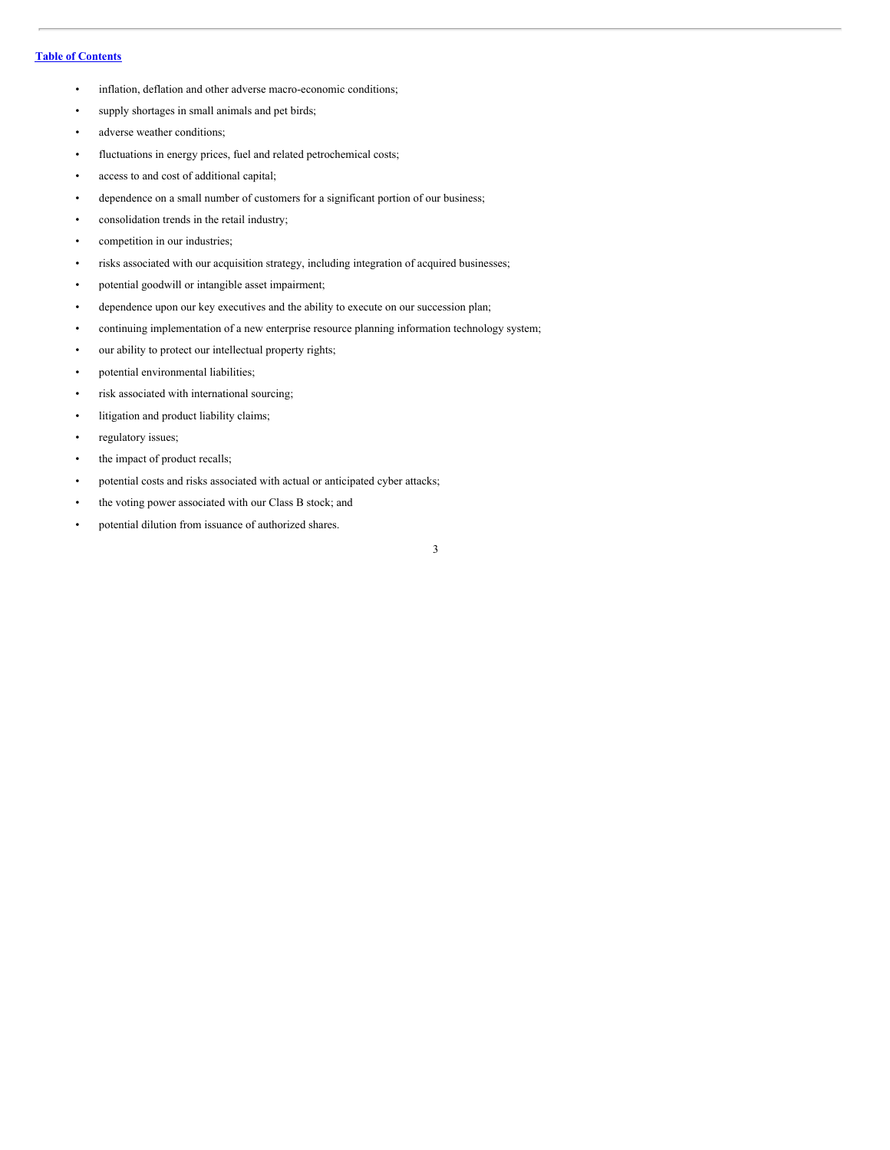- inflation, deflation and other adverse macro-economic conditions;
- supply shortages in small animals and pet birds;
- adverse weather conditions;
- fluctuations in energy prices, fuel and related petrochemical costs;
- access to and cost of additional capital;
- dependence on a small number of customers for a significant portion of our business;
- consolidation trends in the retail industry;
- competition in our industries;
- risks associated with our acquisition strategy, including integration of acquired businesses;
- potential goodwill or intangible asset impairment;
- dependence upon our key executives and the ability to execute on our succession plan;
- continuing implementation of a new enterprise resource planning information technology system;
- our ability to protect our intellectual property rights;
- potential environmental liabilities;
- risk associated with international sourcing;
- litigation and product liability claims;
- regulatory issues;
- the impact of product recalls;
- potential costs and risks associated with actual or anticipated cyber attacks;
- the voting power associated with our Class B stock; and
- potential dilution from issuance of authorized shares.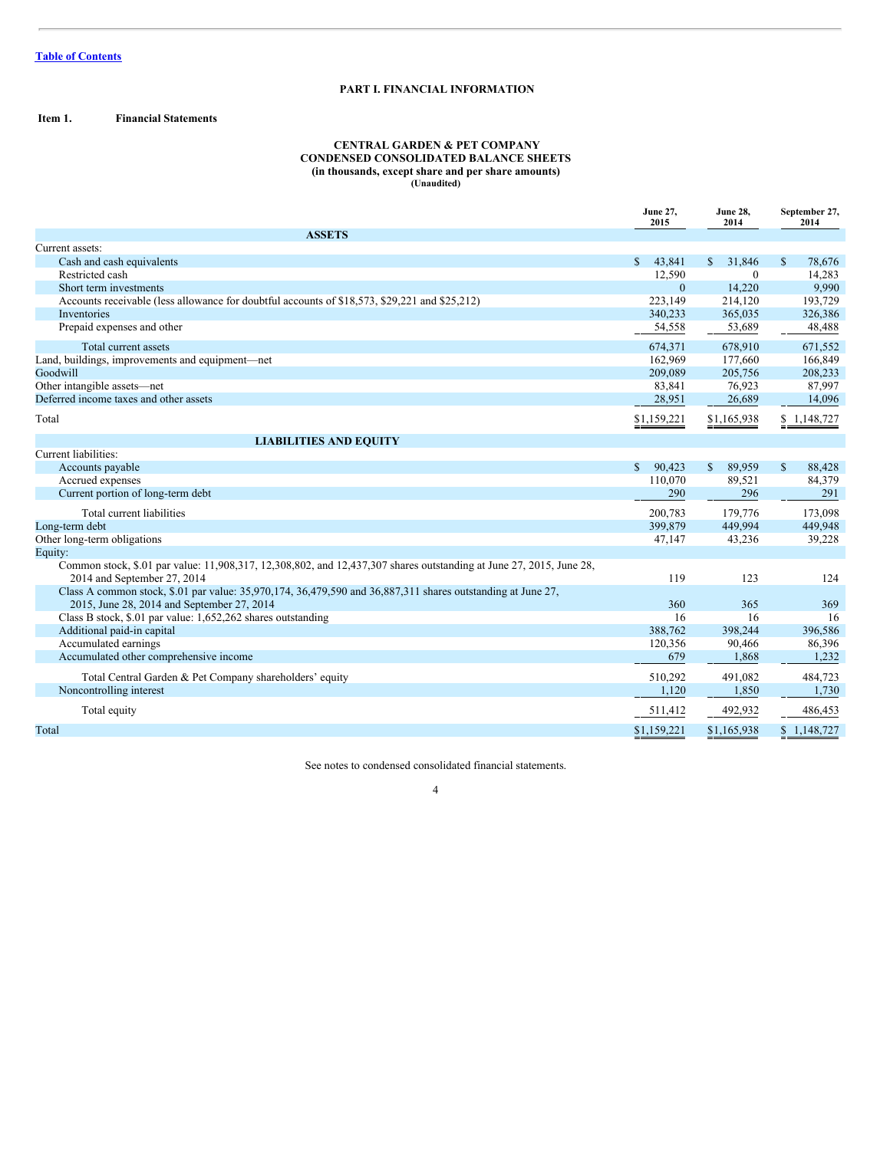## **PART I. FINANCIAL INFORMATION**

<span id="page-3-0"></span>**Item 1. Financial Statements**

## <span id="page-3-1"></span>**CENTRAL GARDEN & PET COMPANY CONDENSED CONSOLIDATED BALANCE SHEETS (in thousands, except share and per share amounts) (Unaudited)**

|                                                                                                                                                    | <b>June 27,</b><br>2015 | <b>June 28,</b><br>2014 | September 27,<br>2014   |
|----------------------------------------------------------------------------------------------------------------------------------------------------|-------------------------|-------------------------|-------------------------|
| <b>ASSETS</b>                                                                                                                                      |                         |                         |                         |
| Current assets:                                                                                                                                    |                         |                         |                         |
| Cash and cash equivalents                                                                                                                          | $\mathcal{S}$<br>43.841 | \$.<br>31,846           | <sup>\$</sup><br>78,676 |
| Restricted cash                                                                                                                                    | 12,590                  | $\mathbf{0}$            | 14,283                  |
| Short term investments                                                                                                                             | $\Omega$                | 14.220                  | 9,990                   |
| Accounts receivable (less allowance for doubtful accounts of \$18,573, \$29,221 and \$25,212)                                                      | 223,149                 | 214,120                 | 193,729                 |
| Inventories                                                                                                                                        | 340,233                 | 365,035                 | 326,386                 |
| Prepaid expenses and other                                                                                                                         | 54,558                  | 53,689                  | 48,488                  |
| Total current assets                                                                                                                               | 674,371                 | 678,910                 | 671,552                 |
| Land, buildings, improvements and equipment-net                                                                                                    | 162.969                 | 177,660                 | 166,849                 |
| Goodwill                                                                                                                                           | 209.089                 | 205,756                 | 208,233                 |
| Other intangible assets-net                                                                                                                        | 83,841                  | 76,923                  | 87,997                  |
| Deferred income taxes and other assets                                                                                                             | 28,951                  | 26,689                  | 14,096                  |
| Total                                                                                                                                              | \$1,159,221             | \$1,165,938             | \$1,148,727             |
| <b>LIABILITIES AND EQUITY</b>                                                                                                                      |                         |                         |                         |
| Current liabilities:                                                                                                                               |                         |                         |                         |
| Accounts payable                                                                                                                                   | $\mathbf{s}$<br>90.423  | $\mathbb{S}$<br>89,959  | $\mathbf{s}$<br>88,428  |
| Accrued expenses                                                                                                                                   | 110,070                 | 89,521                  | 84,379                  |
| Current portion of long-term debt                                                                                                                  | 290                     | 296                     | 291                     |
| Total current liabilities                                                                                                                          | 200,783                 | 179,776                 | 173,098                 |
| Long-term debt                                                                                                                                     | 399,879                 | 449,994                 | 449,948                 |
| Other long-term obligations                                                                                                                        | 47,147                  | 43,236                  | 39,228                  |
| Equity:                                                                                                                                            |                         |                         |                         |
| Common stock, \$.01 par value: 11,908,317, 12,308,802, and 12,437,307 shares outstanding at June 27, 2015, June 28,<br>2014 and September 27, 2014 | 119                     | 123                     | 124                     |
| Class A common stock, \$.01 par value: 35,970,174, 36,479,590 and 36,887,311 shares outstanding at June 27,                                        |                         |                         |                         |
| 2015, June 28, 2014 and September 27, 2014                                                                                                         | 360                     | 365                     | 369                     |
| Class B stock, \$.01 par value: 1,652,262 shares outstanding                                                                                       | 16                      | 16                      | 16                      |
| Additional paid-in capital                                                                                                                         | 388,762                 | 398,244                 | 396,586                 |
| Accumulated earnings                                                                                                                               | 120,356                 | 90,466                  | 86,396                  |
| Accumulated other comprehensive income                                                                                                             | 679                     | 1,868                   | 1,232                   |
| Total Central Garden & Pet Company shareholders' equity                                                                                            | 510,292                 | 491,082                 | 484,723                 |
| Noncontrolling interest                                                                                                                            | 1.120                   | 1,850                   | 1.730                   |
| Total equity                                                                                                                                       | 511,412                 | 492,932                 | 486,453                 |
| Total                                                                                                                                              | \$1,159,221             | \$1,165,938             | \$1.148,727             |

See notes to condensed consolidated financial statements.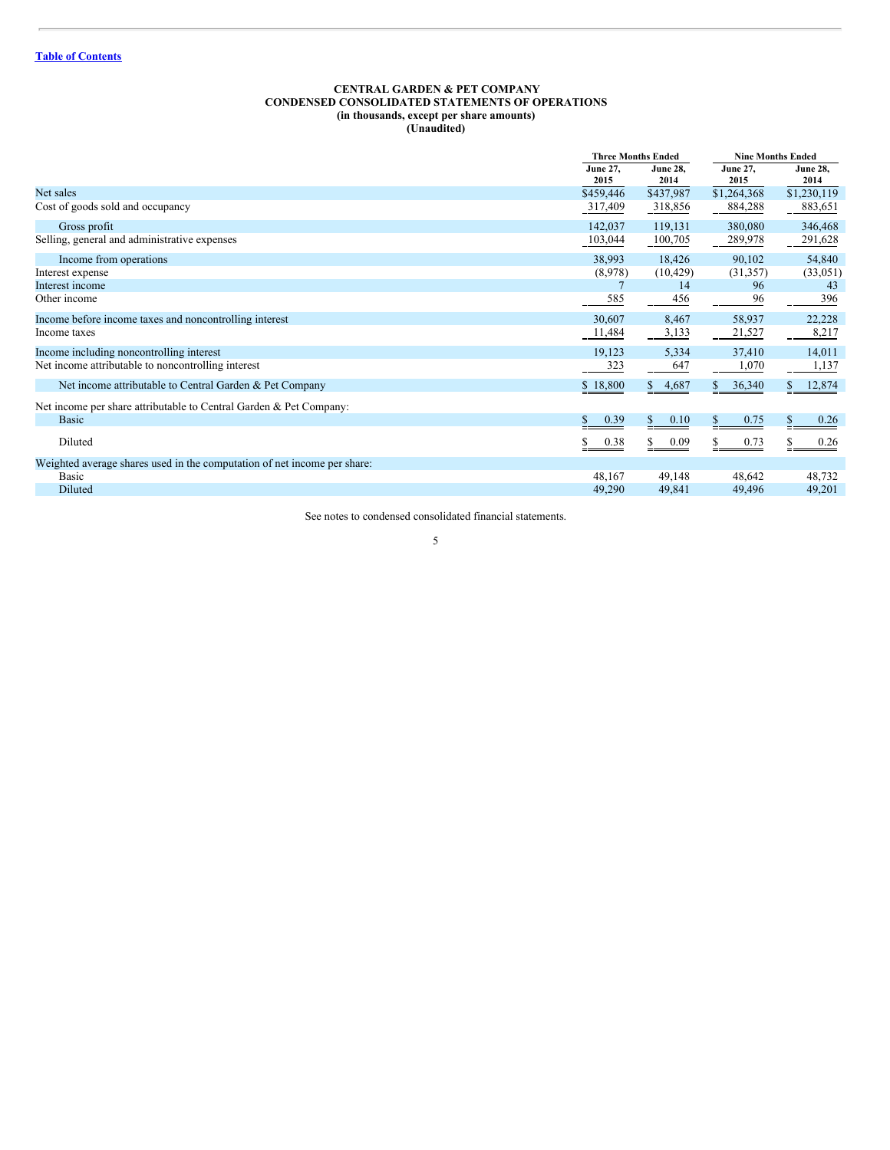#### <span id="page-4-0"></span>**CENTRAL GARDEN & PET COMPANY CONDENSED CONSOLIDATED STATEMENTS OF OPERATIONS (in thousands, except per share amounts) (Unaudited)**

|                                                                          |                 | <b>Three Months Ended</b> |             | <b>Nine Months Ended</b> |  |
|--------------------------------------------------------------------------|-----------------|---------------------------|-------------|--------------------------|--|
|                                                                          | <b>June 27,</b> | June 28,                  |             | <b>June 28,</b>          |  |
|                                                                          | 2015            | 2014                      | 2015        | 2014                     |  |
| Net sales                                                                | \$459,446       | \$437,987                 | \$1,264,368 | \$1,230,119              |  |
| Cost of goods sold and occupancy                                         | 317,409         | 318,856                   | 884,288     | 883,651                  |  |
| Gross profit                                                             | 142,037         | 119,131                   | 380,080     | 346,468                  |  |
| Selling, general and administrative expenses                             | 103,044         | 100,705                   | 289,978     | 291,628                  |  |
| Income from operations                                                   | 38,993          | 18,426                    | 90,102      | 54,840                   |  |
| Interest expense                                                         | (8,978)         | (10, 429)                 | (31,357)    | (33,051)                 |  |
| Interest income                                                          | 7               | 14                        | 96          | 43                       |  |
| Other income                                                             | 585             | 456                       | 96          | 396                      |  |
| Income before income taxes and noncontrolling interest                   | 30,607          | 8,467                     | 58,937      | 22,228                   |  |
| Income taxes                                                             | 11,484          | 3,133                     | 21,527      | 8,217                    |  |
| Income including noncontrolling interest                                 | 19,123          | 5,334                     | 37,410      | 14,011                   |  |
| Net income attributable to noncontrolling interest                       | 323             | 647                       | 1,070       | 1,137                    |  |
| Net income attributable to Central Garden & Pet Company                  | \$18,800        | 4,687                     | 36,340      | 12,874                   |  |
| Net income per share attributable to Central Garden & Pet Company:       |                 |                           |             |                          |  |
| <b>Basic</b>                                                             | 0.39<br>S.      | 0.10<br>S.                | 0.75<br>S.  | 0.26                     |  |
| Diluted                                                                  | 0.38            | 0.09                      | 0.73        | 0.26                     |  |
| Weighted average shares used in the computation of net income per share: |                 |                           |             |                          |  |
| Basic                                                                    | 48,167          | 49,148                    | 48,642      | 48,732                   |  |
| Diluted                                                                  | 49,290          | 49,841                    | 49,496      | 49,201                   |  |
|                                                                          |                 |                           |             |                          |  |

See notes to condensed consolidated financial statements.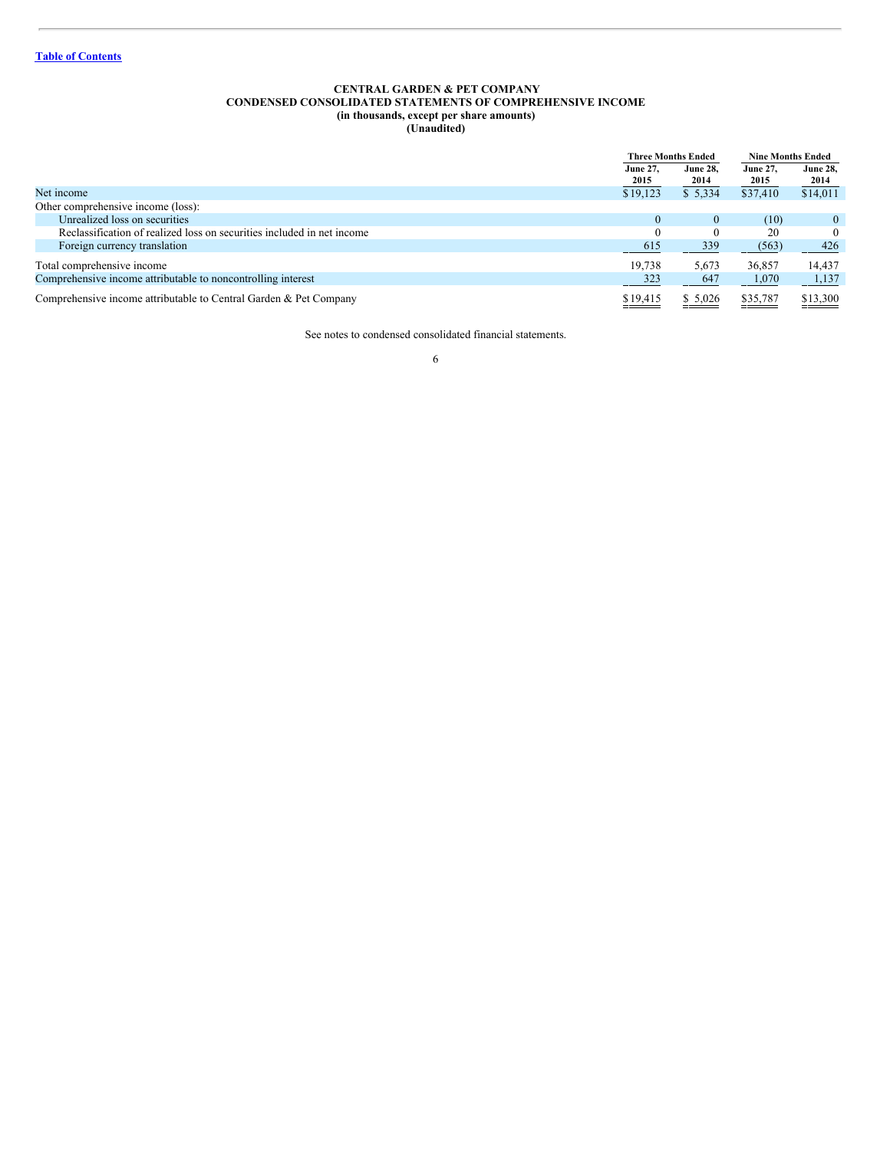#### <span id="page-5-0"></span>**CENTRAL GARDEN & PET COMPANY CONDENSED CONSOLIDATED STATEMENTS OF COMPREHENSIVE INCOME (in thousands, except per share amounts) (Unaudited)**

|                                                                        | <b>Three Months Ended</b> |                         | <b>Nine Months Ended</b> |                         |
|------------------------------------------------------------------------|---------------------------|-------------------------|--------------------------|-------------------------|
|                                                                        | <b>June 27.</b><br>2015   | <b>June 28.</b><br>2014 | <b>June 27.</b><br>2015  | <b>June 28,</b><br>2014 |
| Net income                                                             | \$19,123                  | \$5,334                 | \$37,410                 | \$14,011                |
| Other comprehensive income (loss):                                     |                           |                         |                          |                         |
| Unrealized loss on securities                                          | $\Omega$                  | $\Omega$                | (10)                     | $\mathbf{0}$            |
| Reclassification of realized loss on securities included in net income | 0                         |                         | 20                       | $\Omega$                |
| Foreign currency translation                                           | 615                       | 339                     | (563)                    | 426                     |
| Total comprehensive income                                             | 19.738                    | 5,673                   | 36,857                   | 14,437                  |
| Comprehensive income attributable to noncontrolling interest           | 323                       | 647                     | 1,070                    | 1,137                   |
| Comprehensive income attributable to Central Garden & Pet Company      | \$19,415                  | \$5,026                 | \$35,787                 | \$13,300                |

See notes to condensed consolidated financial statements.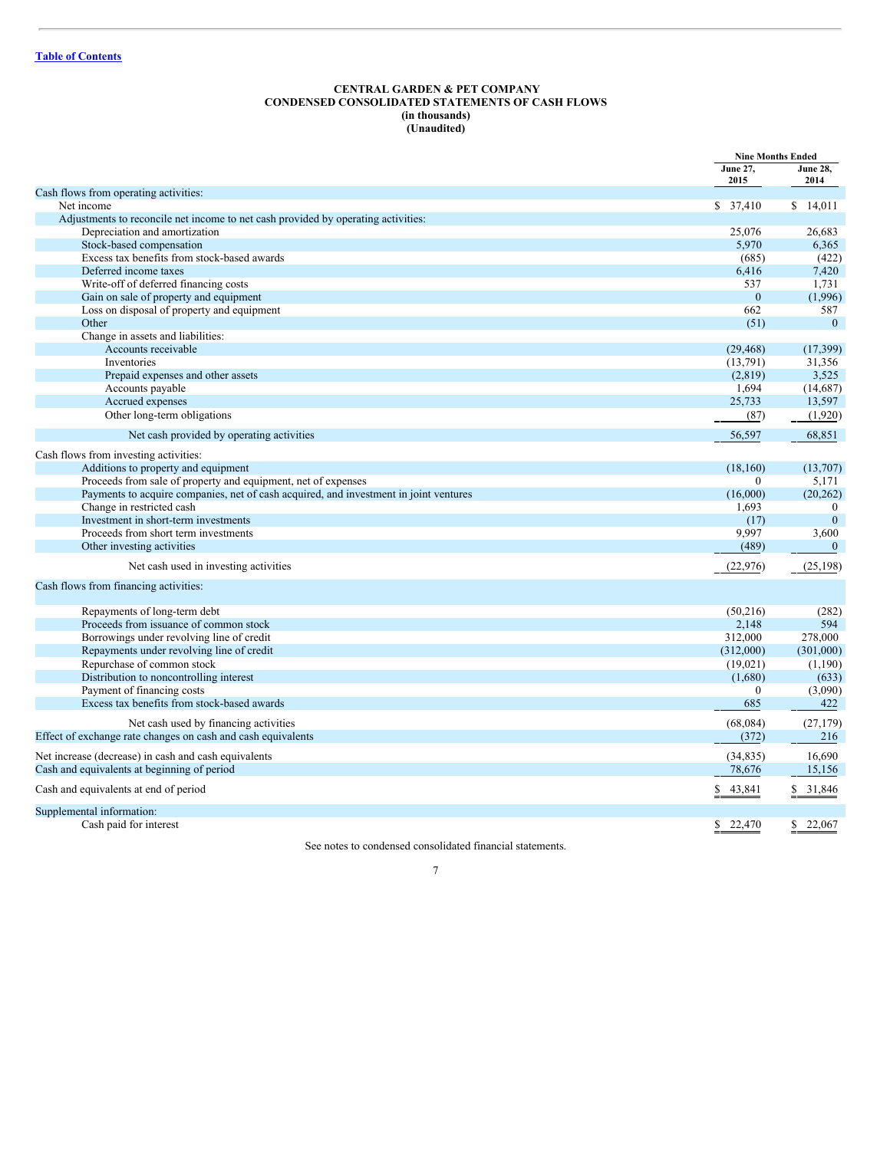#### <span id="page-6-0"></span>**CENTRAL GARDEN & PET COMPANY CONDENSED CONSOLIDATED STATEMENTS OF CASH FLOWS (in thousands) (Unaudited)**

|                                                                                       | <b>Nine Months Ended</b> |                         |  |
|---------------------------------------------------------------------------------------|--------------------------|-------------------------|--|
|                                                                                       | <b>June 27.</b><br>2015  | <b>June 28.</b><br>2014 |  |
| Cash flows from operating activities:                                                 |                          |                         |  |
| Net income                                                                            | \$37,410                 | \$14,011                |  |
| Adjustments to reconcile net income to net cash provided by operating activities:     |                          |                         |  |
| Depreciation and amortization                                                         | 25,076                   | 26,683                  |  |
| Stock-based compensation                                                              | 5,970                    | 6,365                   |  |
| Excess tax benefits from stock-based awards                                           | (685)                    | (422)                   |  |
| Deferred income taxes                                                                 | 6,416                    | 7,420                   |  |
| Write-off of deferred financing costs                                                 | 537                      | 1,731                   |  |
| Gain on sale of property and equipment                                                | $\mathbf{0}$             | (1,996)                 |  |
| Loss on disposal of property and equipment                                            | 662                      | 587                     |  |
| Other                                                                                 | (51)                     | $\theta$                |  |
| Change in assets and liabilities:                                                     |                          |                         |  |
| Accounts receivable                                                                   | (29, 468)                | (17, 399)               |  |
| Inventories                                                                           | (13,791)                 | 31,356                  |  |
| Prepaid expenses and other assets                                                     | (2,819)                  | 3,525                   |  |
| Accounts payable                                                                      | 1,694                    | (14,687)                |  |
| Accrued expenses                                                                      | 25,733                   | 13,597                  |  |
| Other long-term obligations                                                           | (87)                     | (1,920)                 |  |
| Net cash provided by operating activities                                             | 56,597                   | 68,851                  |  |
| Cash flows from investing activities:                                                 |                          |                         |  |
| Additions to property and equipment                                                   | (18, 160)                | (13,707)                |  |
| Proceeds from sale of property and equipment, net of expenses                         | $\mathbf{0}$             | 5,171                   |  |
| Payments to acquire companies, net of cash acquired, and investment in joint ventures | (16,000)                 | (20, 262)               |  |
| Change in restricted cash                                                             | 1,693                    | $\mathbf{0}$            |  |
| Investment in short-term investments                                                  | (17)                     | $\mathbf{0}$            |  |
| Proceeds from short term investments                                                  | 9,997                    | 3,600                   |  |
| Other investing activities                                                            | (489)                    | $\mathbf{0}$            |  |
| Net cash used in investing activities                                                 | (22, 976)                | (25, 198)               |  |
| Cash flows from financing activities:                                                 |                          |                         |  |
| Repayments of long-term debt                                                          | (50,216)                 | (282)                   |  |
| Proceeds from issuance of common stock                                                | 2,148                    | 594                     |  |
| Borrowings under revolving line of credit                                             | 312,000                  | 278,000                 |  |
| Repayments under revolving line of credit                                             | (312,000)                | (301,000)               |  |
| Repurchase of common stock                                                            | (19,021)                 | (1,190)                 |  |
| Distribution to noncontrolling interest                                               | (1,680)                  | (633)                   |  |
| Payment of financing costs                                                            | $\mathbf{0}$             | (3,090)                 |  |
| Excess tax benefits from stock-based awards                                           | 685                      | 422                     |  |
| Net cash used by financing activities                                                 | (68,084)                 | (27, 179)               |  |
| Effect of exchange rate changes on cash and cash equivalents                          | (372)                    | 216                     |  |
|                                                                                       |                          |                         |  |
| Net increase (decrease) in cash and cash equivalents                                  | (34, 835)                | 16,690                  |  |
| Cash and equivalents at beginning of period                                           | 78,676                   | 15,156                  |  |
| Cash and equivalents at end of period                                                 | \$<br>43,841             | \$<br>31,846            |  |
| Supplemental information:                                                             |                          |                         |  |
| Cash paid for interest                                                                | \$ 22,470                | 22,067<br>S.            |  |

See notes to condensed consolidated financial statements.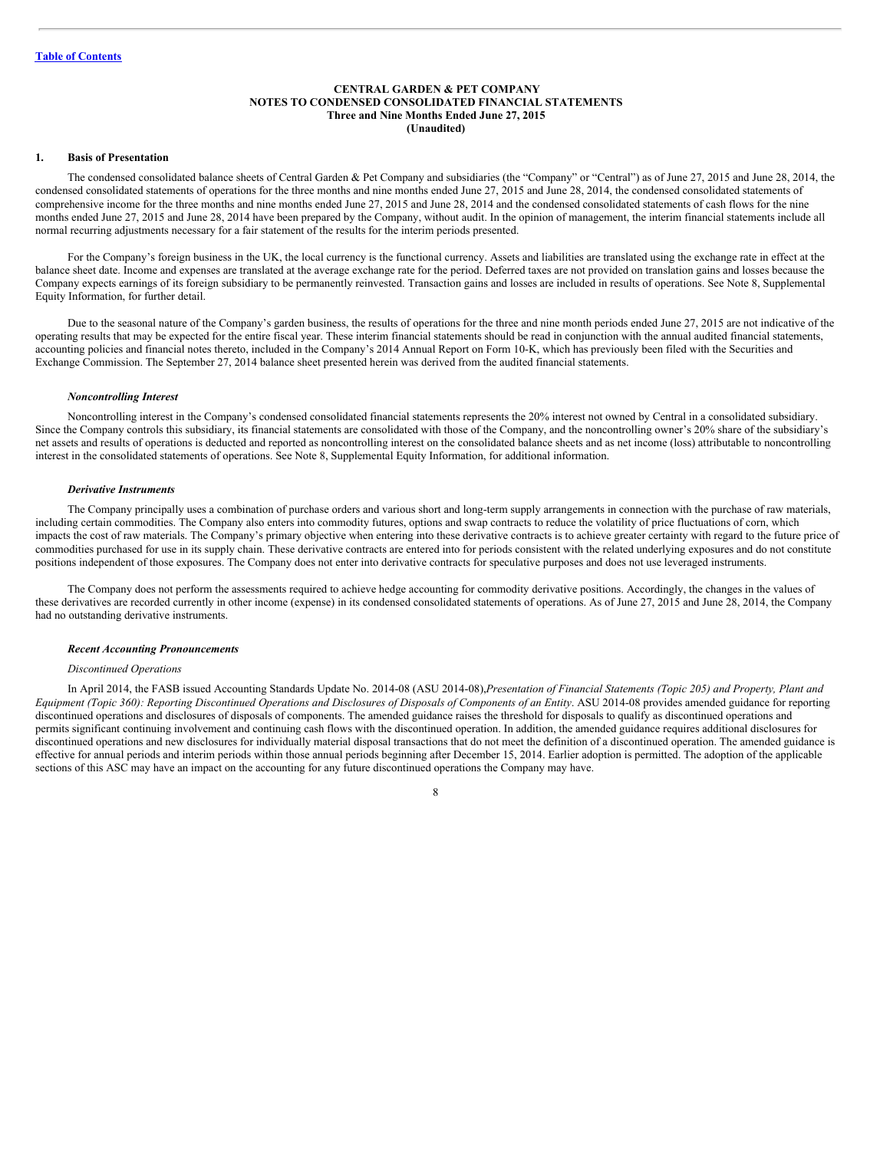#### <span id="page-7-0"></span>**CENTRAL GARDEN & PET COMPANY NOTES TO CONDENSED CONSOLIDATED FINANCIAL STATEMENTS Three and Nine Months Ended June 27, 2015 (Unaudited)**

#### **1. Basis of Presentation**

The condensed consolidated balance sheets of Central Garden & Pet Company and subsidiaries (the "Company" or "Central") as of June 27, 2015 and June 28, 2014, the condensed consolidated statements of operations for the three months and nine months ended June 27, 2015 and June 28, 2014, the condensed consolidated statements of comprehensive income for the three months and nine months ended June 27, 2015 and June 28, 2014 and the condensed consolidated statements of cash flows for the nine months ended June 27, 2015 and June 28, 2014 have been prepared by the Company, without audit. In the opinion of management, the interim financial statements include all normal recurring adjustments necessary for a fair statement of the results for the interim periods presented.

For the Company's foreign business in the UK, the local currency is the functional currency. Assets and liabilities are translated using the exchange rate in effect at the balance sheet date. Income and expenses are translated at the average exchange rate for the period. Deferred taxes are not provided on translation gains and losses because the Company expects earnings of its foreign subsidiary to be permanently reinvested. Transaction gains and losses are included in results of operations. See Note 8, Supplemental Equity Information, for further detail.

Due to the seasonal nature of the Company's garden business, the results of operations for the three and nine month periods ended June 27, 2015 are not indicative of the operating results that may be expected for the entire fiscal year. These interim financial statements should be read in conjunction with the annual audited financial statements, accounting policies and financial notes thereto, included in the Company's 2014 Annual Report on Form 10-K, which has previously been filed with the Securities and Exchange Commission. The September 27, 2014 balance sheet presented herein was derived from the audited financial statements.

#### *Noncontrolling Interest*

Noncontrolling interest in the Company's condensed consolidated financial statements represents the 20% interest not owned by Central in a consolidated subsidiary. Since the Company controls this subsidiary, its financial statements are consolidated with those of the Company, and the noncontrolling owner's 20% share of the subsidiary's net assets and results of operations is deducted and reported as noncontrolling interest on the consolidated balance sheets and as net income (loss) attributable to noncontrolling interest in the consolidated statements of operations. See Note 8, Supplemental Equity Information, for additional information.

#### *Derivative Instruments*

The Company principally uses a combination of purchase orders and various short and long-term supply arrangements in connection with the purchase of raw materials, including certain commodities. The Company also enters into commodity futures, options and swap contracts to reduce the volatility of price fluctuations of corn, which impacts the cost of raw materials. The Company's primary objective when entering into these derivative contracts is to achieve greater certainty with regard to the future price of commodities purchased for use in its supply chain. These derivative contracts are entered into for periods consistent with the related underlying exposures and do not constitute positions independent of those exposures. The Company does not enter into derivative contracts for speculative purposes and does not use leveraged instruments.

The Company does not perform the assessments required to achieve hedge accounting for commodity derivative positions. Accordingly, the changes in the values of these derivatives are recorded currently in other income (expense) in its condensed consolidated statements of operations. As of June 27, 2015 and June 28, 2014, the Company had no outstanding derivative instruments.

#### *Recent Accounting Pronouncements*

#### *Discontinued Operations*

In April 2014, the FASB issued Accounting Standards Update No. 2014-08 (ASU 2014-08), Presentation of Financial Statements (Topic 205) and Property, Plant and Equipment (Topic 360): Reporting Discontinued Operations and Disclosures of Disposals of Components of an Entity. ASU 2014-08 provides amended guidance for reporting discontinued operations and disclosures of disposals of components. The amended guidance raises the threshold for disposals to qualify as discontinued operations and permits significant continuing involvement and continuing cash flows with the discontinued operation. In addition, the amended guidance requires additional disclosures for discontinued operations and new disclosures for individually material disposal transactions that do not meet the definition of a discontinued operation. The amended guidance is effective for annual periods and interim periods within those annual periods beginning after December 15, 2014. Earlier adoption is permitted. The adoption of the applicable sections of this ASC may have an impact on the accounting for any future discontinued operations the Company may have.

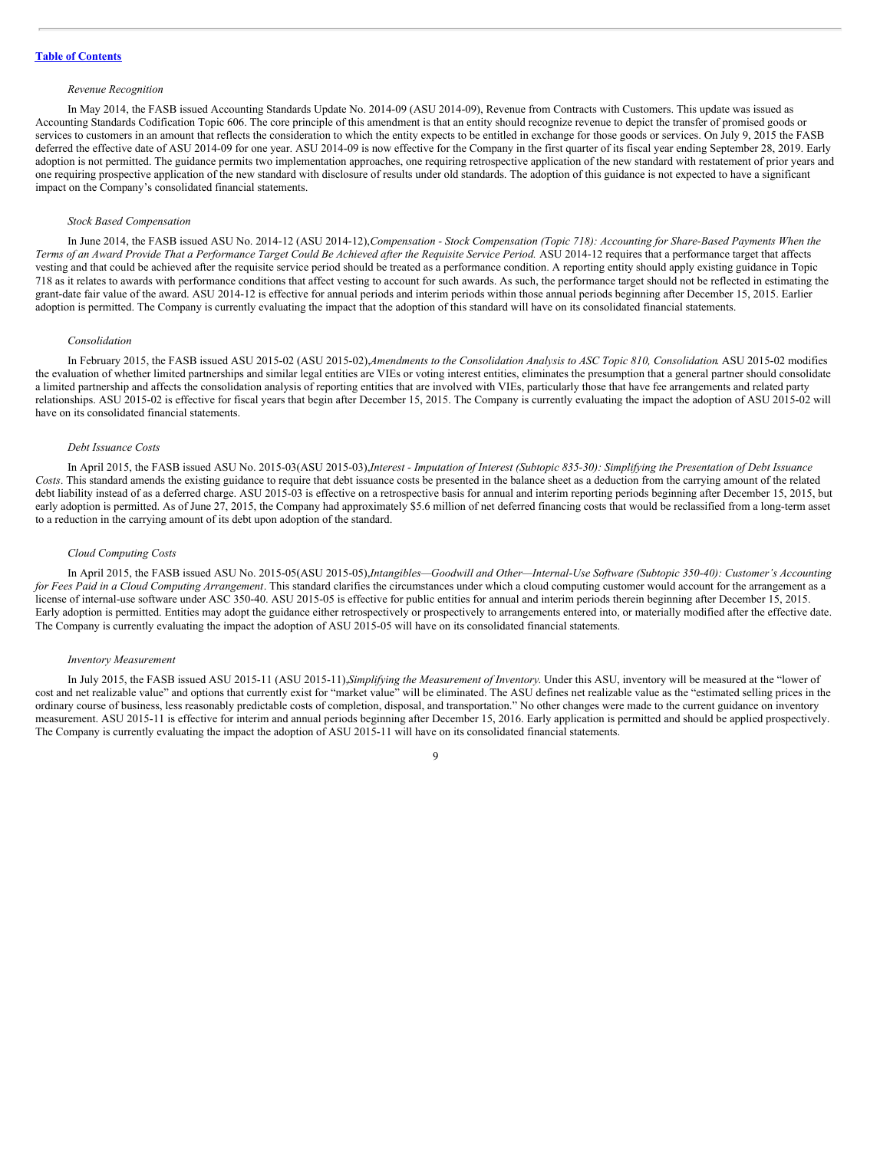#### *Revenue Recognition*

In May 2014, the FASB issued Accounting Standards Update No. 2014-09 (ASU 2014-09), Revenue from Contracts with Customers. This update was issued as Accounting Standards Codification Topic 606. The core principle of this amendment is that an entity should recognize revenue to depict the transfer of promised goods or services to customers in an amount that reflects the consideration to which the entity expects to be entitled in exchange for those goods or services. On July 9, 2015 the FASB deferred the effective date of ASU 2014-09 for one year. ASU 2014-09 is now effective for the Company in the first quarter of its fiscal year ending September 28, 2019. Early adoption is not permitted. The guidance permits two implementation approaches, one requiring retrospective application of the new standard with restatement of prior years and one requiring prospective application of the new standard with disclosure of results under old standards. The adoption of this guidance is not expected to have a significant impact on the Company's consolidated financial statements.

#### *Stock Based Compensation*

In June 2014, the FASB issued ASU No. 2014-12 (ASU 2014-12), Compensation - Stock Compensation (Topic 718): Accounting for Share-Based Payments When the Terms of an Award Provide That a Performance Target Could Be Achieved after the Requisite Service Period. ASU 2014-12 requires that a performance target that affects vesting and that could be achieved after the requisite service period should be treated as a performance condition. A reporting entity should apply existing guidance in Topic 718 as it relates to awards with performance conditions that affect vesting to account for such awards. As such, the performance target should not be reflected in estimating the grant-date fair value of the award. ASU 2014-12 is effective for annual periods and interim periods within those annual periods beginning after December 15, 2015. Earlier adoption is permitted. The Company is currently evaluating the impact that the adoption of this standard will have on its consolidated financial statements.

#### *Consolidation*

In February 2015, the FASB issued ASU 2015-02 (ASU 2015-02),*Amendments to the Consolidation Analysis to ASC Topic 810, Consolidation*. ASU 2015-02 modifies the evaluation of whether limited partnerships and similar legal entities are VIEs or voting interest entities, eliminates the presumption that a general partner should consolidate a limited partnership and affects the consolidation analysis of reporting entities that are involved with VIEs, particularly those that have fee arrangements and related party relationships. ASU 2015-02 is effective for fiscal years that begin after December 15, 2015. The Company is currently evaluating the impact the adoption of ASU 2015-02 will have on its consolidated financial statements.

#### *Debt Issuance Costs*

In April 2015, the FASB issued ASU No. 2015-03(ASU 2015-03), Interest - Imputation of Interest (Subtopic 835-30): Simplifying the Presentation of Debt Issuance *Costs*. This standard amends the existing guidance to require that debt issuance costs be presented in the balance sheet as a deduction from the carrying amount of the related debt liability instead of as a deferred charge. ASU 2015-03 is effective on a retrospective basis for annual and interim reporting periods beginning after December 15, 2015, but early adoption is permitted. As of June 27, 2015, the Company had approximately \$5.6 million of net deferred financing costs that would be reclassified from a long-term asset to a reduction in the carrying amount of its debt upon adoption of the standard.

#### *Cloud Computing Costs*

In April 2015, the FASB issued ASU No. 2015-05(ASU 2015-05),*Intangibles—Goodwill and Other—Internal-Use Software (Subtopic 350-40): Customer's Accounting for Fees Paid in a Cloud Computing Arrangement*. This standard clarifies the circumstances under which a cloud computing customer would account for the arrangement as a license of internal-use software under ASC 350-40. ASU 2015-05 is effective for public entities for annual and interim periods therein beginning after December 15, 2015. Early adoption is permitted. Entities may adopt the guidance either retrospectively or prospectively to arrangements entered into, or materially modified after the effective date. The Company is currently evaluating the impact the adoption of ASU 2015-05 will have on its consolidated financial statements.

#### *Inventory Measurement*

In July 2015, the FASB issued ASU 2015-11 (ASU 2015-11),*Simplifying the Measurement of Inventory*. Under this ASU, inventory will be measured at the "lower of cost and net realizable value" and options that currently exist for "market value" will be eliminated. The ASU defines net realizable value as the "estimated selling prices in the ordinary course of business, less reasonably predictable costs of completion, disposal, and transportation." No other changes were made to the current guidance on inventory measurement. ASU 2015-11 is effective for interim and annual periods beginning after December 15, 2016. Early application is permitted and should be applied prospectively. The Company is currently evaluating the impact the adoption of ASU 2015-11 will have on its consolidated financial statements.

 $\overline{Q}$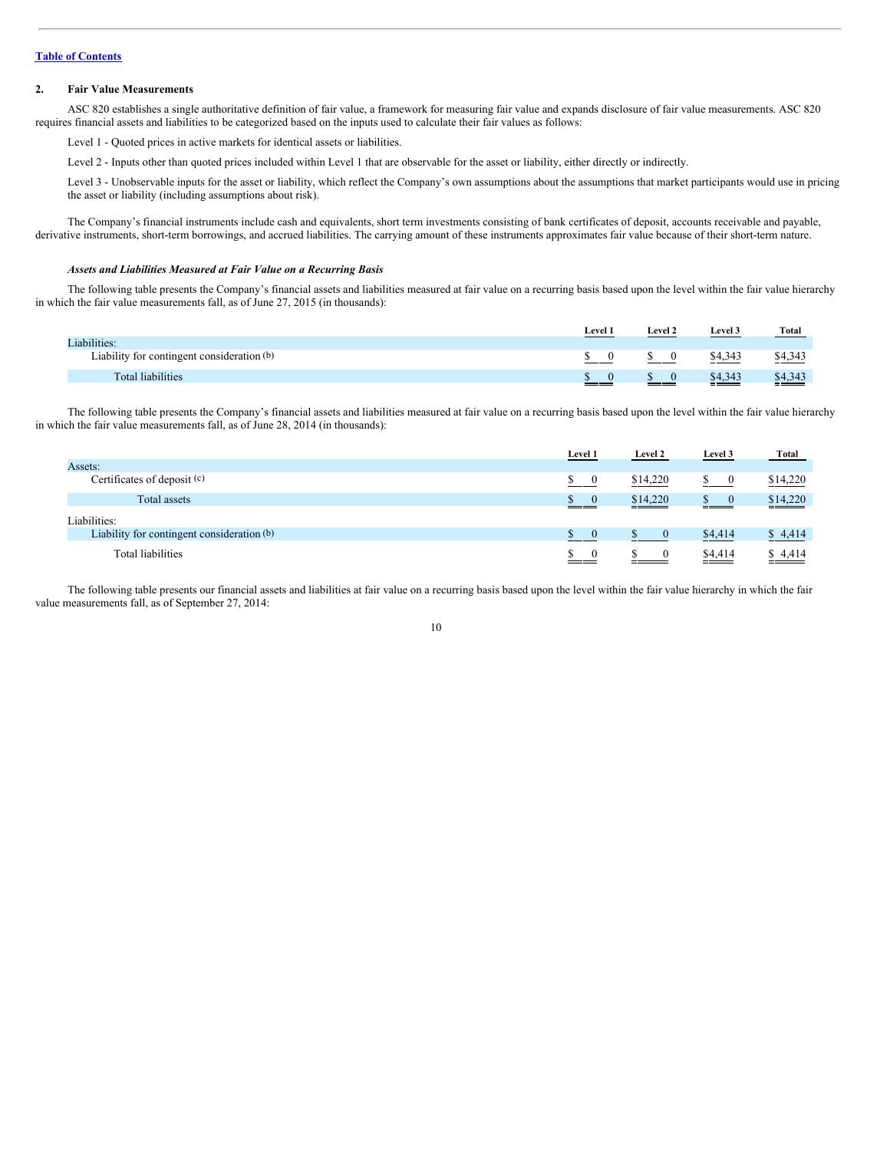#### **2. Fair Value Measurements**

ASC 820 establishes a single authoritative definition of fair value, a framework for measuring fair value and expands disclosure of fair value measurements. ASC 820 requires financial assets and liabilities to be categorized based on the inputs used to calculate their fair values as follows:

Level 1 - Quoted prices in active markets for identical assets or liabilities.

Level 2 - Inputs other than quoted prices included within Level 1 that are observable for the asset or liability, either directly or indirectly.

Level 3 - Unobservable inputs for the asset or liability, which reflect the Company's own assumptions about the assumptions that market participants would use in pricing the asset or liability (including assumptions about risk).

The Company's financial instruments include cash and equivalents, short term investments consisting of bank certificates of deposit, accounts receivable and payable, derivative instruments, short-term borrowings, and accrued liabilities. The carrying amount of these instruments approximates fair value because of their short-term nature.

#### *Assets and Liabilities Measured at Fair Value on a Recurring Basis*

The following table presents the Company's financial assets and liabilities measured at fair value on a recurring basis based upon the level within the fair value hierarchy in which the fair value measurements fall, as of June 27, 2015 (in thousands):

|                                              | <b>Level 1</b> | <b>Level 2</b>                | Level 3 | <b>Total</b> |
|----------------------------------------------|----------------|-------------------------------|---------|--------------|
| Liabilities:                                 |                |                               |         |              |
| Liability for contingent consideration $(b)$ |                |                               | \$4,343 | \$4,343      |
| <b>Total liabilities</b>                     |                | $\frac{\text{S}}{\text{S}}$ 0 | \$4,343 | \$4,343      |

The following table presents the Company's financial assets and liabilities measured at fair value on a recurring basis based upon the level within the fair value hierarchy in which the fair value measurements fall, as of June 28, 2014 (in thousands):

|                                            | Level 1             | Level 2      | Level 3        | <b>Total</b>      |
|--------------------------------------------|---------------------|--------------|----------------|-------------------|
| Assets:                                    |                     |              |                |                   |
| Certificates of deposit (c)                | $\bf{0}$            | \$14,220     | \$             | \$14,220          |
| Total assets                               | $\theta$            | \$14,220     | \$<br>$\theta$ | \$14,220          |
| Liabilities:                               |                     |              |                |                   |
| Liability for contingent consideration (b) | $\theta$            | $\mathbf{0}$ | \$4,414        | \$4,414           |
| <b>Total liabilities</b>                   | $\overline{0}$<br>S | $\theta$     | \$4,414        | $\frac{$4,414}{}$ |

The following table presents our financial assets and liabilities at fair value on a recurring basis based upon the level within the fair value hierarchy in which the fair value measurements fall, as of September 27, 2014:

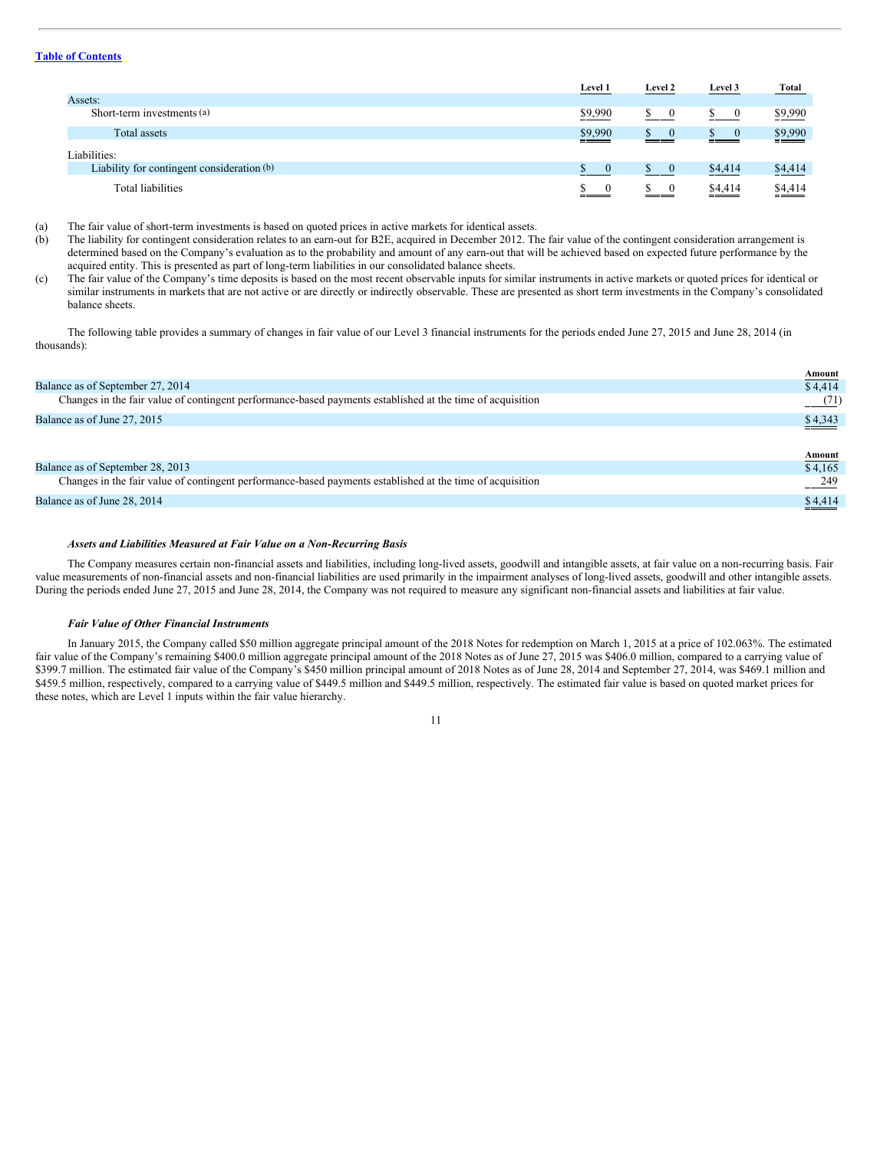|                                            | Level 1        | Level 2              | Level 3      | <b>Total</b> |
|--------------------------------------------|----------------|----------------------|--------------|--------------|
| Assets:                                    |                |                      |              |              |
| Short-term investments (a)                 | \$9,990        | S<br>$\bf{0}$        | $\mathbf{0}$ | \$9,990      |
| Total assets                               | \$9,990<br>___ | \$<br>-0             | $\bf{0}$     | \$9,990      |
| Liabilities:                               |                |                      |              |              |
| Liability for contingent consideration (b) | $\theta$       | - 0                  | \$4,414      | \$4,414      |
| Total liabilities                          | ___            | S.<br>$\overline{0}$ | \$4,414      | \$4,414      |

(a) The fair value of short-term investments is based on quoted prices in active markets for identical assets.

(b) The liability for contingent consideration relates to an earn-out for B2E, acquired in December 2012. The fair value of the contingent consideration arrangement is determined based on the Company's evaluation as to the probability and amount of any earn-out that will be achieved based on expected future performance by the acquired entity. This is presented as part of long-term liabilities in our consolidated balance sheets.

(c) The fair value of the Company's time deposits is based on the most recent observable inputs for similar instruments in active markets or quoted prices for identical or similar instruments in markets that are not active or are directly or indirectly observable. These are presented as short term investments in the Company's consolidated balance sheets.

The following table provides a summary of changes in fair value of our Level 3 financial instruments for the periods ended June 27, 2015 and June 28, 2014 (in thousands)

|                                                                                                           | Amount            |
|-----------------------------------------------------------------------------------------------------------|-------------------|
| Balance as of September 27, 2014                                                                          | \$4,414           |
| Changes in the fair value of contingent performance-based payments established at the time of acquisition | (71)              |
| Balance as of June 27, 2015                                                                               | \$4,343           |
|                                                                                                           |                   |
|                                                                                                           | Amount            |
| Balance as of September 28, 2013                                                                          | \$4,165           |
| Changes in the fair value of contingent performance-based payments established at the time of acquisition | $-249$            |
| Balance as of June 28, 2014                                                                               | $\frac{$4,414}{}$ |
|                                                                                                           |                   |

#### *Assets and Liabilities Measured at Fair Value on a Non-Recurring Basis*

The Company measures certain non-financial assets and liabilities, including long-lived assets, goodwill and intangible assets, at fair value on a non-recurring basis. Fair value measurements of non-financial assets and non-financial liabilities are used primarily in the impairment analyses of long-lived assets, goodwill and other intangible assets. During the periods ended June 27, 2015 and June 28, 2014, the Company was not required to measure any significant non-financial assets and liabilities at fair value.

#### *Fair Value of Other Financial Instruments*

In January 2015, the Company called \$50 million aggregate principal amount of the 2018 Notes for redemption on March 1, 2015 at a price of 102.063%. The estimated fair value of the Company's remaining \$400.0 million aggregate principal amount of the 2018 Notes as of June 27, 2015 was \$406.0 million, compared to a carrying value of \$399.7 million. The estimated fair value of the Company's \$450 million principal amount of 2018 Notes as of June 28, 2014 and September 27, 2014, was \$469.1 million and \$459.5 million, respectively, compared to a carrying value of \$449.5 million and \$449.5 million, respectively. The estimated fair value is based on quoted market prices for these notes, which are Level 1 inputs within the fair value hierarchy.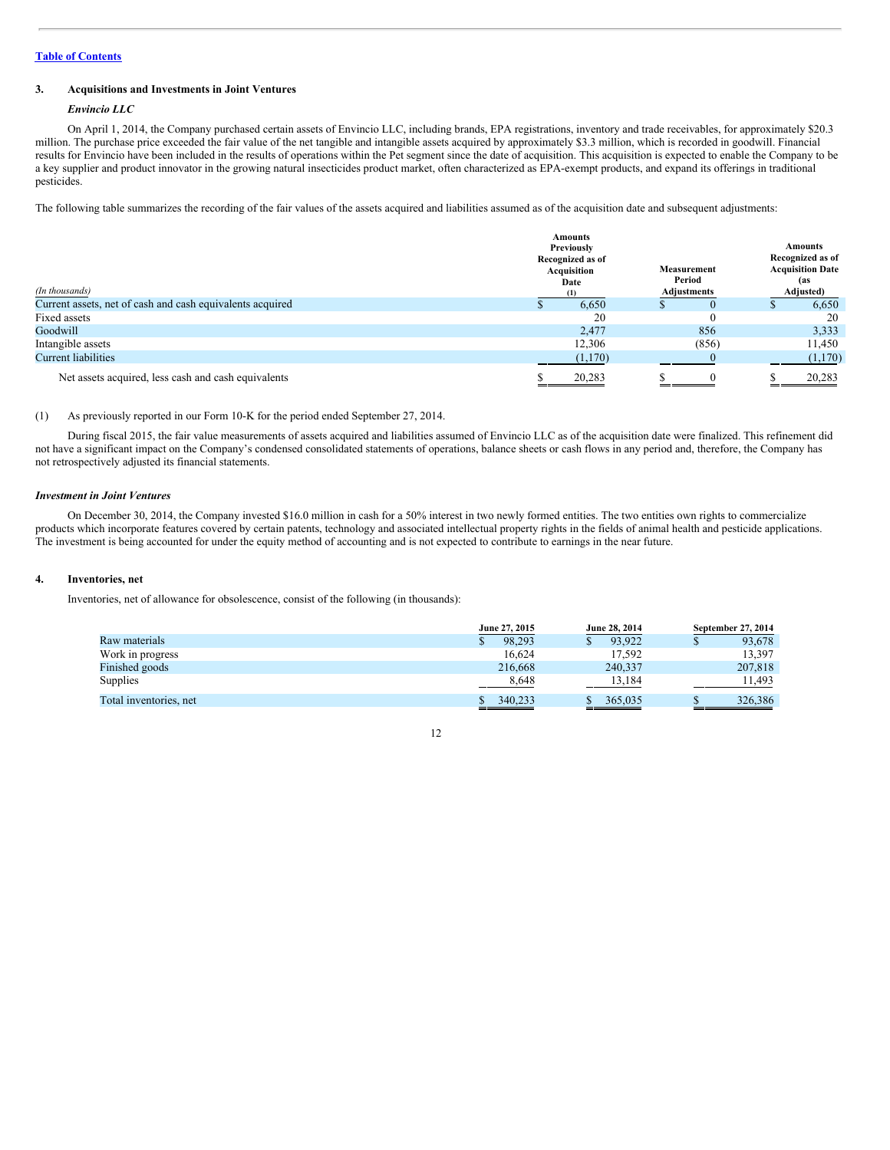## **3. Acquisitions and Investments in Joint Ventures**

## *Envincio LLC*

On April 1, 2014, the Company purchased certain assets of Envincio LLC, including brands, EPA registrations, inventory and trade receivables, for approximately \$20.3 million. The purchase price exceeded the fair value of the net tangible and intangible assets acquired by approximately \$3.3 million, which is recorded in goodwill. Financial results for Envincio have been included in the results of operations within the Pet segment since the date of acquisition. This acquisition is expected to enable the Company to be a key supplier and product innovator in the growing natural insecticides product market, often characterized as EPA-exempt products, and expand its offerings in traditional pesticides.

The following table summarizes the recording of the fair values of the assets acquired and liabilities assumed as of the acquisition date and subsequent adjustments:

| (In thousands)                                            | <b>Amounts</b><br>Previously<br>Recognized as of<br>Acquisition<br>Date<br>(1) | Measurement<br>Period<br>Adjustments | <b>Amounts</b><br>Recognized as of<br><b>Acquisition Date</b><br>(as<br>Adjusted) |
|-----------------------------------------------------------|--------------------------------------------------------------------------------|--------------------------------------|-----------------------------------------------------------------------------------|
| Current assets, net of cash and cash equivalents acquired |                                                                                | 6.650<br>$\Omega$                    | 6,650                                                                             |
| Fixed assets                                              |                                                                                | 20<br>$\Omega$                       | 20                                                                                |
| Goodwill                                                  |                                                                                | 856<br>2,477                         | 3,333                                                                             |
| Intangible assets                                         |                                                                                | 12.306<br>(856)                      | 11,450                                                                            |
| <b>Current liabilities</b>                                |                                                                                | (1,170)                              | (1,170)                                                                           |
| Net assets acquired, less cash and cash equivalents       | 20,283                                                                         |                                      | 20,283                                                                            |

#### (1) As previously reported in our Form 10-K for the period ended September 27, 2014.

During fiscal 2015, the fair value measurements of assets acquired and liabilities assumed of Envincio LLC as of the acquisition date were finalized. This refinement did not have a significant impact on the Company's condensed consolidated statements of operations, balance sheets or cash flows in any period and, therefore, the Company has not retrospectively adjusted its financial statements.

#### *Investment in Joint Ventures*

On December 30, 2014, the Company invested \$16.0 million in cash for a 50% interest in two newly formed entities. The two entities own rights to commercialize products which incorporate features covered by certain patents, technology and associated intellectual property rights in the fields of animal health and pesticide applications. The investment is being accounted for under the equity method of accounting and is not expected to contribute to earnings in the near future.

### **4. Inventories, net**

Inventories, net of allowance for obsolescence, consist of the following (in thousands):

|                        | June 27, 2015 | June 28, 2014 | September 27, 2014 |
|------------------------|---------------|---------------|--------------------|
| Raw materials          | 98.293        | 93.922        | 93,678<br>D        |
| Work in progress       | 16.624        | 17,592        | 13,397             |
| Finished goods         | 216,668       | 240,337       | 207,818            |
| Supplies               | 8.648         | 13,184        | 11.493             |
| Total inventories, net | 340,233       | 365,035       | 326,386            |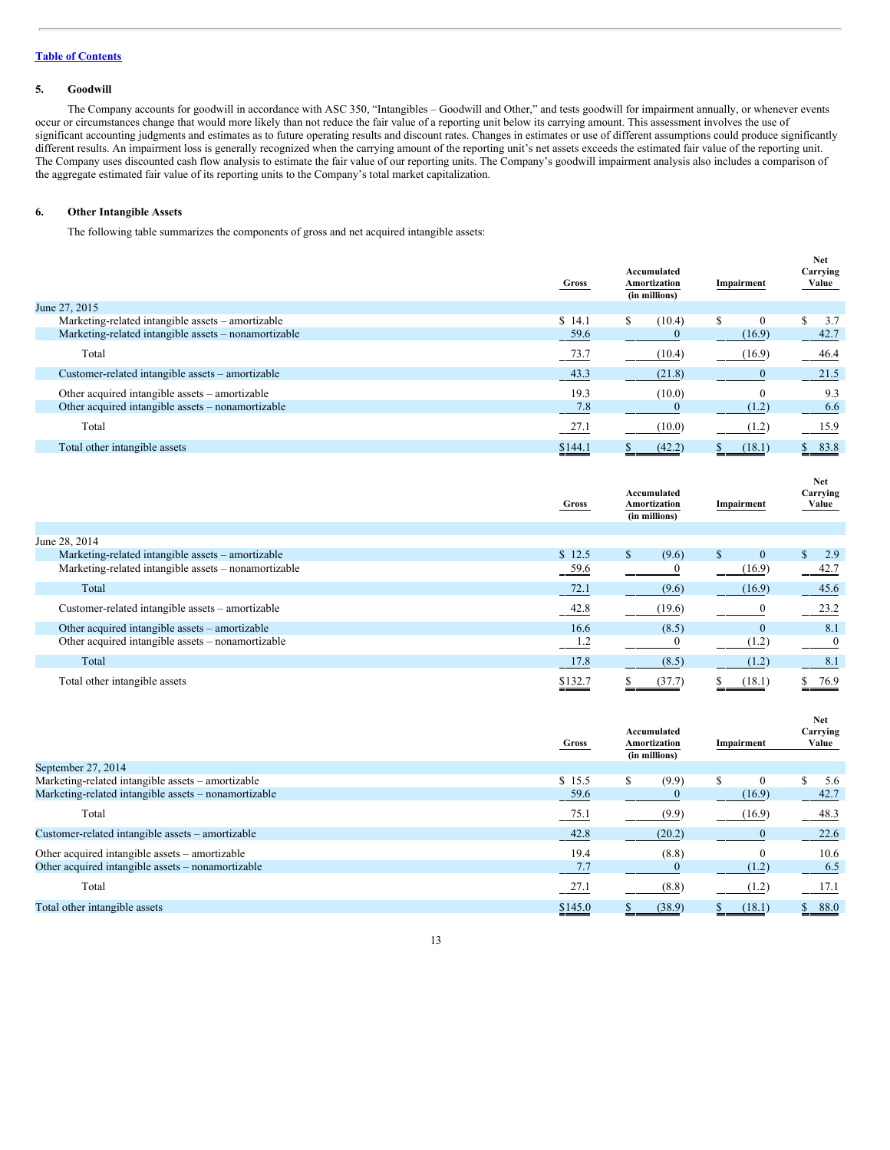## **5. Goodwill**

The Company accounts for goodwill in accordance with ASC 350, "Intangibles – Goodwill and Other," and tests goodwill for impairment annually, or whenever events occur or circumstances change that would more likely than not reduce the fair value of a reporting unit below its carrying amount. This assessment involves the use of significant accounting judgments and estimates as to future operating results and discount rates. Changes in estimates or use of different assumptions could produce significantly different results. An impairment loss is generally recognized when the carrying amount of the reporting unit's net assets exceeds the estimated fair value of the reporting unit. The Company uses discounted cash flow analysis to estimate the fair value of our reporting units. The Company's goodwill impairment analysis also includes a comparison of the aggregate estimated fair value of its reporting units to the Company's total market capitalization.

#### **6. Other Intangible Assets**

The following table summarizes the components of gross and net acquired intangible assets:

|                                                      | Gross   | Accumulated<br><b>Amortization</b><br>(in millions) | Impairment    | <b>Net</b><br>Carrying<br>Value |  |
|------------------------------------------------------|---------|-----------------------------------------------------|---------------|---------------------------------|--|
| June 27, 2015                                        |         |                                                     |               |                                 |  |
| Marketing-related intangible assets – amortizable    | \$14.1  | (10.4)<br>S.                                        | S<br>$\theta$ | 3.7                             |  |
| Marketing-related intangible assets - nonamortizable | 59.6    |                                                     | (16.9)        | 42.7                            |  |
| Total                                                | 73.7    | (10.4)                                              | (16.9)        | 46.4                            |  |
| Customer-related intangible assets – amortizable     | 43.3    | (21.8)                                              |               | 21.5                            |  |
| Other acquired intangible assets – amortizable       | 19.3    | (10.0)                                              |               | 9.3                             |  |
| Other acquired intangible assets – nonamortizable    | 7.8     |                                                     | (1.2)         | 6.6                             |  |
| Total                                                | 27.1    | (10.0)                                              | (1.2)         | 15.9                            |  |
| Total other intangible assets                        | \$144.1 | (42.2)                                              | (18.1)        | 83.8                            |  |

|                                                      | Gross       | Accumulated<br>Amortization<br>(in millions) | Impairment     | <b>Net</b><br>Carrying<br>Value |
|------------------------------------------------------|-------------|----------------------------------------------|----------------|---------------------------------|
|                                                      |             |                                              |                |                                 |
| June 28, 2014                                        |             |                                              |                |                                 |
| Marketing-related intangible assets – amortizable    | \$12.5      | (9.6)<br>S.                                  | $\theta$<br>\$ | 2.9                             |
| Marketing-related intangible assets - nonamortizable | <u>59.6</u> |                                              | (16.9)         | 42.7                            |
| Total                                                | 72.1        | (9.6)                                        | (16.9)         | 45.6                            |
| Customer-related intangible assets – amortizable     | 42.8        | (19.6)                                       |                | 23.2                            |
| Other acquired intangible assets – amortizable       | 16.6        | (8.5)                                        | $\theta$       | 8.1                             |
| Other acquired intangible assets – nonamortizable    | $\perp$ .   |                                              | (1.2)          | $\boldsymbol{0}$                |
| Total                                                | 17.8        | (8.5)                                        | (1.2)          | 8.1                             |
| Total other intangible assets                        | \$132.7     | (37.7                                        | (18.1)         | 76.9                            |

| September 27, 2014<br>Marketing-related intangible assets – amortizable<br>\$15.5<br>(9.9)<br>$\Omega$<br>Marketing-related intangible assets – nonamortizable<br>59.6<br>(16.9)<br>$-75.1$<br>Total<br>(9.9)<br>(16.9)<br>Customer-related intangible assets – amortizable<br>42.8<br>(20.2)<br>Other acquired intangible assets - amortizable<br>19.4<br>(8.8)<br>$\Omega$<br>Other acquired intangible assets – nonamortizable<br>7.7<br>(1.2)<br>Total<br>27.1<br>(8.8)<br>(1.2) |                               | Gross   | Accumulated<br>Amortization<br>(in millions) | Impairment | лчет<br>Carrying<br>Value |
|--------------------------------------------------------------------------------------------------------------------------------------------------------------------------------------------------------------------------------------------------------------------------------------------------------------------------------------------------------------------------------------------------------------------------------------------------------------------------------------|-------------------------------|---------|----------------------------------------------|------------|---------------------------|
|                                                                                                                                                                                                                                                                                                                                                                                                                                                                                      |                               |         |                                              |            |                           |
|                                                                                                                                                                                                                                                                                                                                                                                                                                                                                      |                               |         |                                              |            | 5.6                       |
|                                                                                                                                                                                                                                                                                                                                                                                                                                                                                      |                               |         |                                              |            | 42.7                      |
|                                                                                                                                                                                                                                                                                                                                                                                                                                                                                      |                               |         |                                              |            | 48.3                      |
|                                                                                                                                                                                                                                                                                                                                                                                                                                                                                      |                               |         |                                              |            | 22.6                      |
|                                                                                                                                                                                                                                                                                                                                                                                                                                                                                      |                               |         |                                              |            | 10.6                      |
|                                                                                                                                                                                                                                                                                                                                                                                                                                                                                      |                               |         |                                              |            | 6.5                       |
|                                                                                                                                                                                                                                                                                                                                                                                                                                                                                      |                               |         |                                              |            | 17.1                      |
|                                                                                                                                                                                                                                                                                                                                                                                                                                                                                      | Total other intangible assets | \$145.0 | (38.9)                                       | (18.1)     | \$88.0                    |

**Net**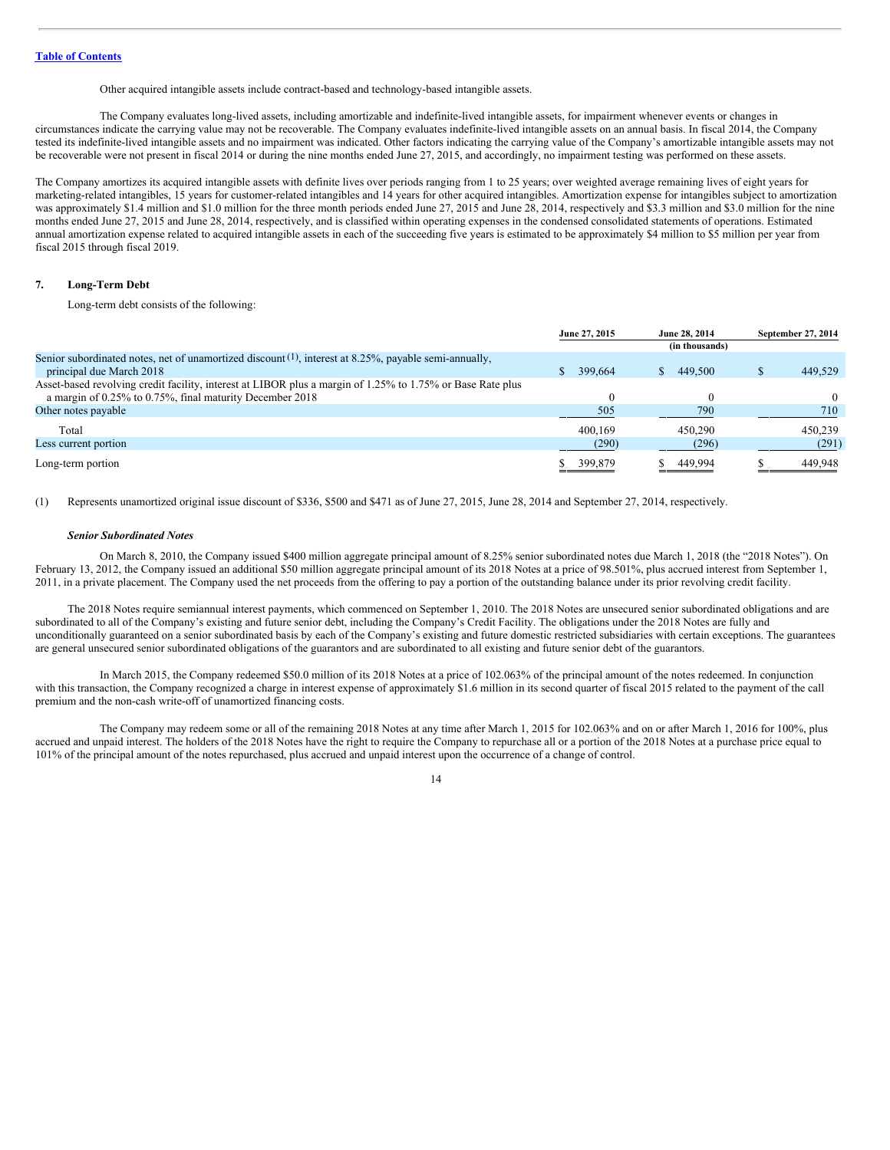Other acquired intangible assets include contract-based and technology-based intangible assets.

The Company evaluates long-lived assets, including amortizable and indefinite-lived intangible assets, for impairment whenever events or changes in circumstances indicate the carrying value may not be recoverable. The Company evaluates indefinite-lived intangible assets on an annual basis. In fiscal 2014, the Company tested its indefinite-lived intangible assets and no impairment was indicated. Other factors indicating the carrying value of the Company's amortizable intangible assets may not be recoverable were not present in fiscal 2014 or during the nine months ended June 27, 2015, and accordingly, no impairment testing was performed on these assets.

The Company amortizes its acquired intangible assets with definite lives over periods ranging from 1 to 25 years; over weighted average remaining lives of eight years for marketing-related intangibles, 15 years for customer-related intangibles and 14 years for other acquired intangibles. Amortization expense for intangibles subject to amortization was approximately \$1.4 million and \$1.0 million for the three month periods ended June 27, 2015 and June 28, 2014, respectively and \$3.3 million and \$3.0 million for the nine months ended June 27, 2015 and June 28, 2014, respectively, and is classified within operating expenses in the condensed consolidated statements of operations. Estimated annual amortization expense related to acquired intangible assets in each of the succeeding five years is estimated to be approximately \$4 million to \$5 million per year from fiscal 2015 through fiscal 2019.

#### **7. Long-Term Debt**

Long-term debt consists of the following:

|                                                                                                                                                                        | June 27, 2015<br>June 28, 2014 |                | September 27, 2014 |  |  |
|------------------------------------------------------------------------------------------------------------------------------------------------------------------------|--------------------------------|----------------|--------------------|--|--|
|                                                                                                                                                                        |                                | (in thousands) |                    |  |  |
| Senior subordinated notes, net of unamortized discount $(1)$ , interest at 8.25%, payable semi-annually,<br>principal due March 2018                                   | 399.664                        | 449,500<br>S.  | 449.529            |  |  |
| Asset-based revolving credit facility, interest at LIBOR plus a margin of 1.25% to 1.75% or Base Rate plus<br>a margin of 0.25% to 0.75%, final maturity December 2018 |                                |                | 0                  |  |  |
| Other notes payable                                                                                                                                                    | 505                            | 790            | 710                |  |  |
| Total                                                                                                                                                                  | 400,169                        | 450,290        | 450,239            |  |  |
| Less current portion                                                                                                                                                   | (290)                          | (296)          | (291)              |  |  |
| Long-term portion                                                                                                                                                      | 399,879                        | 449,994        | 449,948            |  |  |

(1) Represents unamortized original issue discount of \$336, \$500 and \$471 as of June 27, 2015, June 28, 2014 and September 27, 2014, respectively.

#### *Senior Subordinated Notes*

On March 8, 2010, the Company issued \$400 million aggregate principal amount of 8.25% senior subordinated notes due March 1, 2018 (the "2018 Notes"). On February 13, 2012, the Company issued an additional \$50 million aggregate principal amount of its 2018 Notes at a price of 98.501%, plus accrued interest from September 1, 2011, in a private placement. The Company used the net proceeds from the offering to pay a portion of the outstanding balance under its prior revolving credit facility.

The 2018 Notes require semiannual interest payments, which commenced on September 1, 2010. The 2018 Notes are unsecured senior subordinated obligations and are subordinated to all of the Company's existing and future senior debt, including the Company's Credit Facility. The obligations under the 2018 Notes are fully and unconditionally guaranteed on a senior subordinated basis by each of the Company's existing and future domestic restricted subsidiaries with certain exceptions. The guarantees are general unsecured senior subordinated obligations of the guarantors and are subordinated to all existing and future senior debt of the guarantors.

In March 2015, the Company redeemed \$50.0 million of its 2018 Notes at a price of 102.063% of the principal amount of the notes redeemed. In conjunction with this transaction, the Company recognized a charge in interest expense of approximately \$1.6 million in its second quarter of fiscal 2015 related to the payment of the call premium and the non-cash write-off of unamortized financing costs.

The Company may redeem some or all of the remaining 2018 Notes at any time after March 1, 2015 for 102.063% and on or after March 1, 2016 for 100%, plus accrued and unpaid interest. The holders of the 2018 Notes have the right to require the Company to repurchase all or a portion of the 2018 Notes at a purchase price equal to 101% of the principal amount of the notes repurchased, plus accrued and unpaid interest upon the occurrence of a change of control.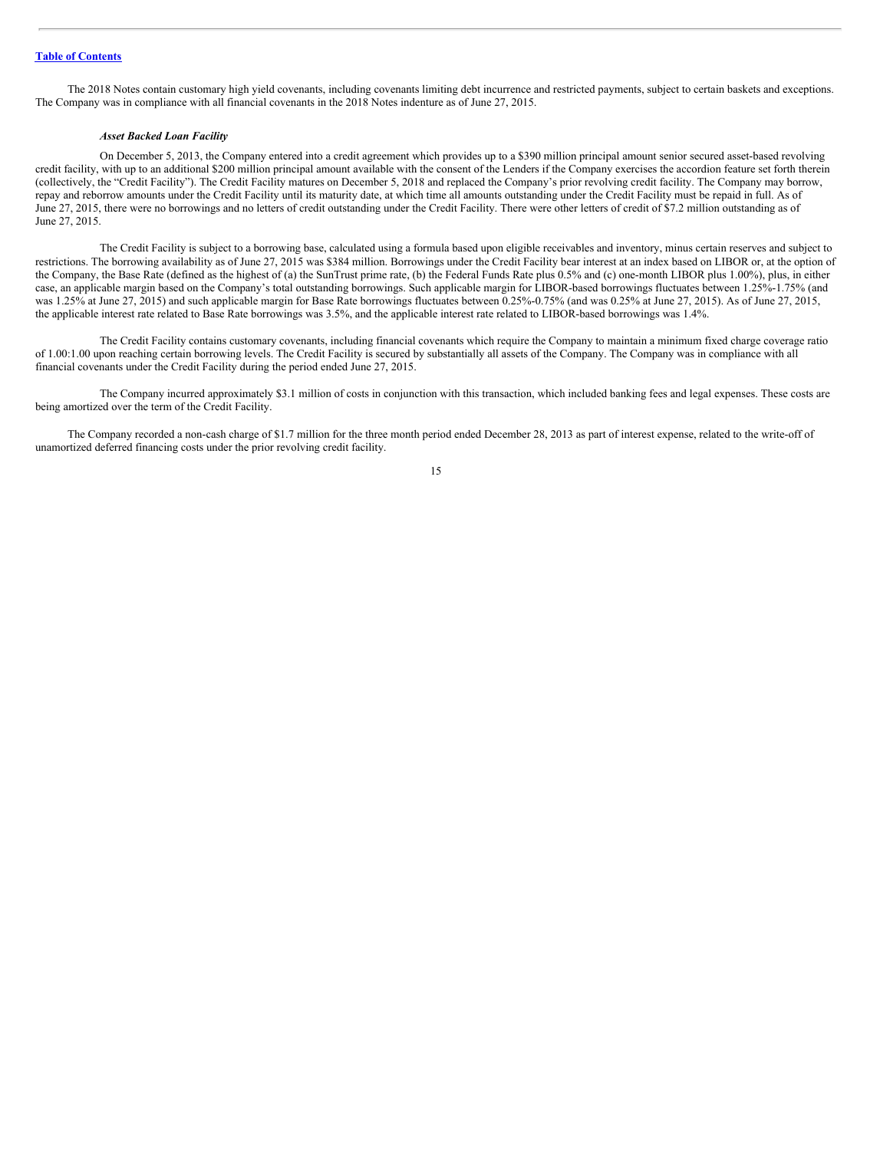The 2018 Notes contain customary high yield covenants, including covenants limiting debt incurrence and restricted payments, subject to certain baskets and exceptions. The Company was in compliance with all financial covenants in the 2018 Notes indenture as of June 27, 2015.

#### *Asset Backed Loan Facility*

On December 5, 2013, the Company entered into a credit agreement which provides up to a \$390 million principal amount senior secured asset-based revolving credit facility, with up to an additional \$200 million principal amount available with the consent of the Lenders if the Company exercises the accordion feature set forth therein (collectively, the "Credit Facility"). The Credit Facility matures on December 5, 2018 and replaced the Company's prior revolving credit facility. The Company may borrow, repay and reborrow amounts under the Credit Facility until its maturity date, at which time all amounts outstanding under the Credit Facility must be repaid in full. As of June 27, 2015, there were no borrowings and no letters of credit outstanding under the Credit Facility. There were other letters of credit of \$7.2 million outstanding as of June 27, 2015.

The Credit Facility is subject to a borrowing base, calculated using a formula based upon eligible receivables and inventory, minus certain reserves and subject to restrictions. The borrowing availability as of June 27, 2015 was \$384 million. Borrowings under the Credit Facility bear interest at an index based on LIBOR or, at the option of the Company, the Base Rate (defined as the highest of (a) the SunTrust prime rate, (b) the Federal Funds Rate plus 0.5% and (c) one-month LIBOR plus 1.00%), plus, in either case, an applicable margin based on the Company's total outstanding borrowings. Such applicable margin for LIBOR-based borrowings fluctuates between 1.25%-1.75% (and was 1.25% at June 27, 2015) and such applicable margin for Base Rate borrowings fluctuates between 0.25%-0.75% (and was 0.25% at June 27, 2015). As of June 27, 2015, the applicable interest rate related to Base Rate borrowings was 3.5%, and the applicable interest rate related to LIBOR-based borrowings was 1.4%.

The Credit Facility contains customary covenants, including financial covenants which require the Company to maintain a minimum fixed charge coverage ratio of 1.00:1.00 upon reaching certain borrowing levels. The Credit Facility is secured by substantially all assets of the Company. The Company was in compliance with all financial covenants under the Credit Facility during the period ended June 27, 2015.

The Company incurred approximately \$3.1 million of costs in conjunction with this transaction, which included banking fees and legal expenses. These costs are being amortized over the term of the Credit Facility.

The Company recorded a non-cash charge of \$1.7 million for the three month period ended December 28, 2013 as part of interest expense, related to the write-off of unamortized deferred financing costs under the prior revolving credit facility.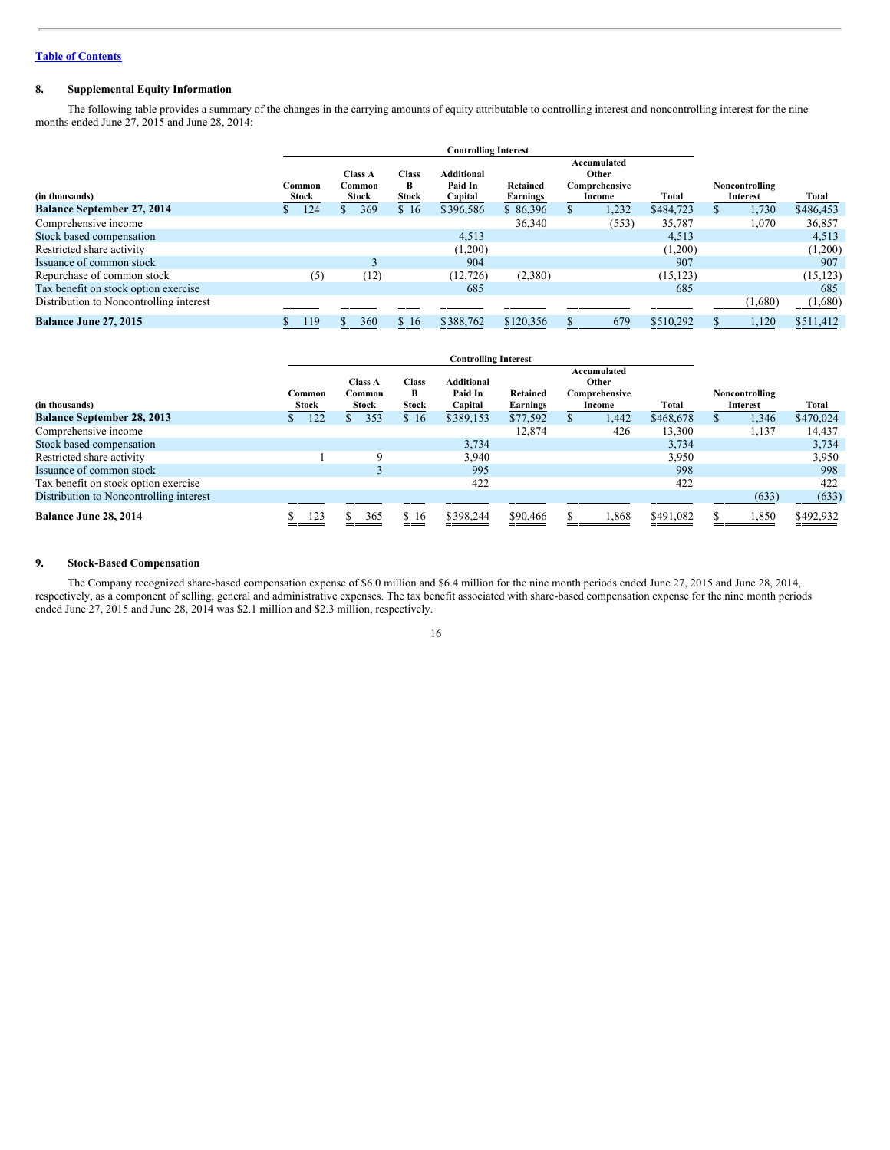## **8. Supplemental Equity Information**

The following table provides a summary of the changes in the carrying amounts of equity attributable to controlling interest and noncontrolling interest for the nine months ended June 27, 2015 and June 28, 2014:

|                                         | <b>Controlling Interest</b> |  |                                   |                            |                                         |                             |  |                                                 |           |                            |           |
|-----------------------------------------|-----------------------------|--|-----------------------------------|----------------------------|-----------------------------------------|-----------------------------|--|-------------------------------------------------|-----------|----------------------------|-----------|
| (in thousands)                          | Common<br>Stock             |  | <b>Class A</b><br>Common<br>Stock | <b>Class</b><br>в<br>Stock | <b>Additional</b><br>Paid In<br>Capital | Retained<br><b>Earnings</b> |  | Accumulated<br>Other<br>Comprehensive<br>Income | Total     | Noncontrolling<br>Interest | Total     |
| <b>Balance September 27, 2014</b>       | 124                         |  | 369                               | \$16                       | \$396,586                               | \$86,396                    |  | 1,232                                           | \$484,723 | 1,730                      | \$486,453 |
| Comprehensive income                    |                             |  |                                   |                            |                                         | 36,340                      |  | (553)                                           | 35,787    | 1,070                      | 36,857    |
| Stock based compensation                |                             |  |                                   |                            | 4,513                                   |                             |  |                                                 | 4,513     |                            | 4,513     |
| Restricted share activity               |                             |  |                                   |                            | (1,200)                                 |                             |  |                                                 | (1,200)   |                            | (1,200)   |
| Issuance of common stock                |                             |  |                                   |                            | 904                                     |                             |  |                                                 | 907       |                            | 907       |
| Repurchase of common stock              | (5)                         |  | (12)                              |                            | (12, 726)                               | (2,380)                     |  |                                                 | (15, 123) |                            | (15, 123) |
| Tax benefit on stock option exercise    |                             |  |                                   |                            | 685                                     |                             |  |                                                 | 685       |                            | 685       |
| Distribution to Noncontrolling interest |                             |  |                                   |                            |                                         |                             |  |                                                 |           | (1,680)                    | (1,680)   |
| Balance June 27, 2015                   | 119                         |  | 360                               | \$16                       | \$388,762                               | \$120,356                   |  | 679                                             | \$510,292 | ,120                       | \$511,412 |

|                                         | <b>Controlling Interest</b> |                 |  |                                   |                                   |                                  |                             |  |                                                 |           |                            |           |
|-----------------------------------------|-----------------------------|-----------------|--|-----------------------------------|-----------------------------------|----------------------------------|-----------------------------|--|-------------------------------------------------|-----------|----------------------------|-----------|
| (in thousands)                          |                             | Common<br>Stock |  | <b>Class A</b><br>Common<br>Stock | <b>Class</b><br>B<br><b>Stock</b> | Additional<br>Paid In<br>Capital | Retained<br><b>Earnings</b> |  | Accumulated<br>Other<br>Comprehensive<br>Income | Total     | Noncontrolling<br>Interest | Total     |
| <b>Balance September 28, 2013</b>       |                             | 122             |  | 353                               | \$16                              | \$389,153                        | \$77,592                    |  | 1,442                                           | \$468,678 | 1,346                      | \$470,024 |
| Comprehensive income                    |                             |                 |  |                                   |                                   |                                  | 12,874                      |  | 426                                             | 13,300    | 1,137                      | 14,437    |
| Stock based compensation                |                             |                 |  |                                   |                                   | 3,734                            |                             |  |                                                 | 3,734     |                            | 3,734     |
| Restricted share activity               |                             |                 |  | Q                                 |                                   | 3,940                            |                             |  |                                                 | 3,950     |                            | 3,950     |
| Issuance of common stock                |                             |                 |  |                                   |                                   | 995                              |                             |  |                                                 | 998       |                            | 998       |
| Tax benefit on stock option exercise    |                             |                 |  |                                   |                                   | 422                              |                             |  |                                                 | 422       |                            | 422       |
| Distribution to Noncontrolling interest |                             |                 |  |                                   |                                   |                                  |                             |  |                                                 |           | (633)                      | (633)     |
| Balance June 28, 2014                   |                             | .23             |  | 365                               | \$16                              | \$398,244                        | \$90,466                    |  | 1,868                                           | \$491,082 | 1,850                      | \$492,932 |

#### **9. Stock-Based Compensation**

The Company recognized share-based compensation expense of \$6.0 million and \$6.4 million for the nine month periods ended June 27, 2015 and June 28, 2014, respectively, as a component of selling, general and administrative expenses. The tax benefit associated with share-based compensation expense for the nine month periods ended June 27, 2015 and June 28, 2014 was \$2.1 million and \$2.3 million, respectively.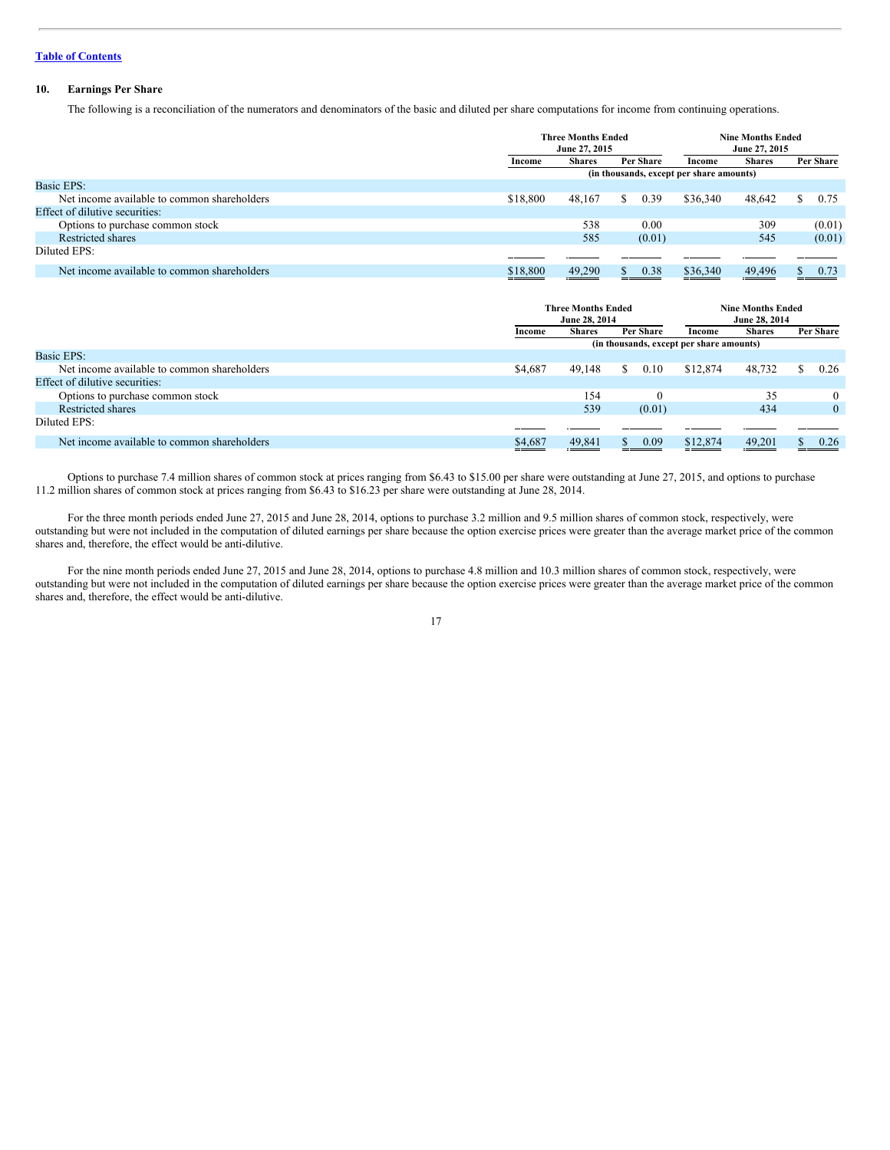## **10. Earnings Per Share**

The following is a reconciliation of the numerators and denominators of the basic and diluted per share computations for income from continuing operations.

|                                             |          | <b>Three Months Ended</b><br>June 27, 2015 |    |           | <b>Nine Months Ended</b><br>June 27, 2015 |               |  |           |
|---------------------------------------------|----------|--------------------------------------------|----|-----------|-------------------------------------------|---------------|--|-----------|
|                                             | Income   | <b>Shares</b>                              |    | Per Share | Income                                    | <b>Shares</b> |  | Per Share |
|                                             |          |                                            |    |           | (in thousands, except per share amounts)  |               |  |           |
| <b>Basic EPS:</b>                           |          |                                            |    |           |                                           |               |  |           |
| Net income available to common shareholders | \$18,800 | 48.167                                     | S. | 0.39      | \$36,340                                  | 48.642        |  | 0.75      |
| Effect of dilutive securities:              |          |                                            |    |           |                                           |               |  |           |
| Options to purchase common stock            |          | 538                                        |    | 0.00      |                                           | 309           |  | (0.01)    |
| <b>Restricted shares</b>                    |          | 585                                        |    | (0.01)    |                                           | 545           |  | (0.01)    |
| Diluted EPS:                                |          |                                            |    |           |                                           |               |  |           |
|                                             |          |                                            |    |           |                                           |               |  |           |
| Net income available to common shareholders | \$18,800 | 49,290                                     |    | 0.38      | \$36,340                                  | 49,496        |  | 0.73      |

|                                             |         | <b>Three Months Ended</b><br>June 28, 2014 |  |           | <b>Nine Months Ended</b><br>June 28, 2014 |               |  |              |  |  |
|---------------------------------------------|---------|--------------------------------------------|--|-----------|-------------------------------------------|---------------|--|--------------|--|--|
|                                             | Income  | <b>Shares</b>                              |  | Per Share | Income                                    | <b>Shares</b> |  | Per Share    |  |  |
|                                             |         | (in thousands, except per share amounts)   |  |           |                                           |               |  |              |  |  |
| <b>Basic EPS:</b>                           |         |                                            |  |           |                                           |               |  |              |  |  |
| Net income available to common shareholders | \$4,687 | 49.148                                     |  | 0.10      | \$12,874                                  | 48,732        |  | 0.26         |  |  |
| Effect of dilutive securities:              |         |                                            |  |           |                                           |               |  |              |  |  |
| Options to purchase common stock            |         | 154                                        |  |           |                                           | 35            |  | $\mathbf{0}$ |  |  |
| Restricted shares                           |         | 539                                        |  | (0.01)    |                                           | 434           |  | $\mathbf{0}$ |  |  |
| Diluted EPS:                                |         |                                            |  |           |                                           |               |  |              |  |  |
| Net income available to common shareholders | \$4,687 | 49,841                                     |  | 0.09      | \$12,874                                  | 49,201        |  | 0.26         |  |  |

Options to purchase 7.4 million shares of common stock at prices ranging from \$6.43 to \$15.00 per share were outstanding at June 27, 2015, and options to purchase 11.2 million shares of common stock at prices ranging from \$6.43 to \$16.23 per share were outstanding at June 28, 2014.

For the three month periods ended June 27, 2015 and June 28, 2014, options to purchase 3.2 million and 9.5 million shares of common stock, respectively, were outstanding but were not included in the computation of diluted earnings per share because the option exercise prices were greater than the average market price of the common shares and, therefore, the effect would be anti-dilutive.

For the nine month periods ended June 27, 2015 and June 28, 2014, options to purchase 4.8 million and 10.3 million shares of common stock, respectively, were outstanding but were not included in the computation of diluted earnings per share because the option exercise prices were greater than the average market price of the common shares and, therefore, the effect would be anti-dilutive.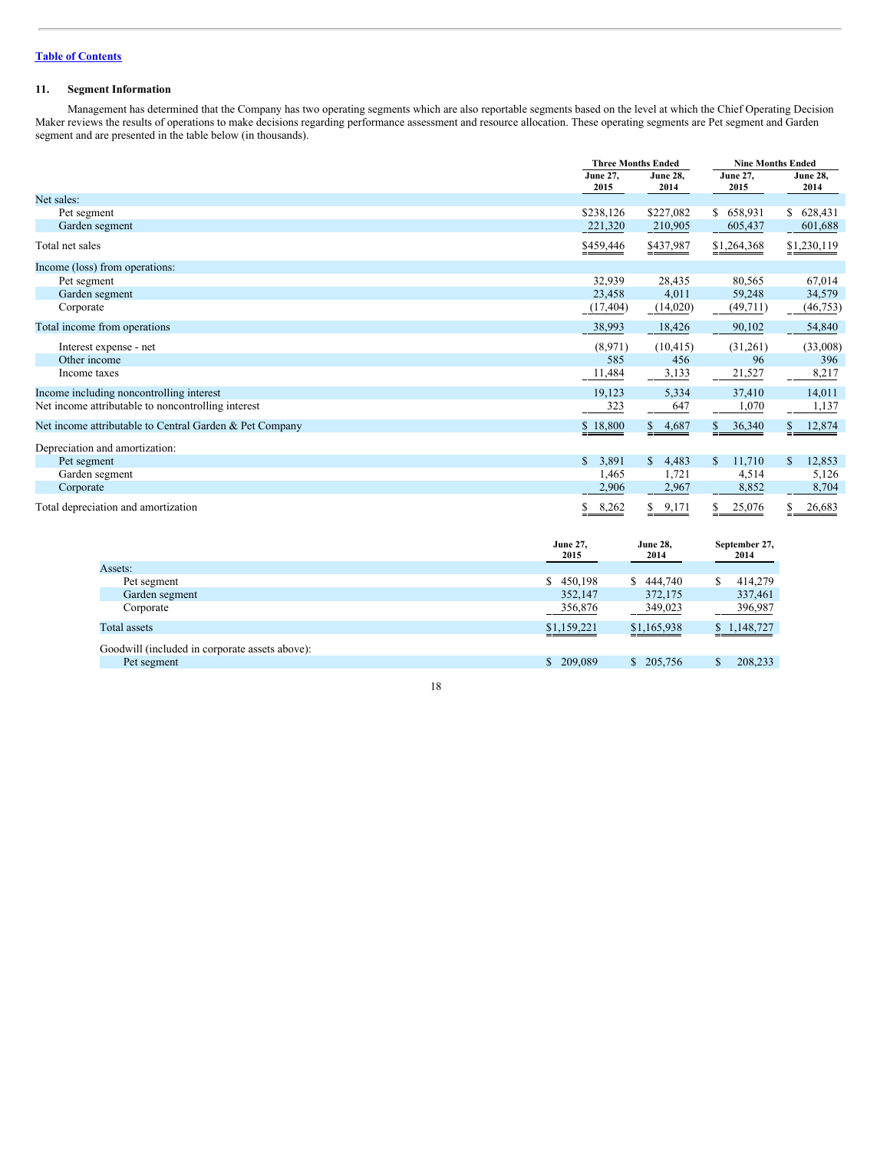## **11. Segment Information**

Management has determined that the Company has two operating segments which are also reportable segments based on the level at which the Chief Operating Decision Maker reviews the results of operations to make decisions regarding performance assessment and resource allocation. These operating segments are Pet segment and Garden segment and are presented in the table below (in thousands).

|                                                         |                         | <b>Three Months Ended</b> | <b>Nine Months Ended</b> |                         |  |
|---------------------------------------------------------|-------------------------|---------------------------|--------------------------|-------------------------|--|
|                                                         | <b>June 27,</b><br>2015 | <b>June 28,</b><br>2014   | <b>June 27,</b><br>2015  | <b>June 28,</b><br>2014 |  |
| Net sales:                                              |                         |                           |                          |                         |  |
| Pet segment                                             | \$238,126               | \$227,082                 | \$658,931                | S.<br>628,431           |  |
| Garden segment                                          | 221,320                 | 210,905                   | 605,437                  | 601,688                 |  |
| Total net sales                                         | \$459,446               | \$437,987                 | \$1,264,368              | \$1,230,119             |  |
| Income (loss) from operations:                          |                         |                           |                          |                         |  |
| Pet segment                                             | 32,939                  | 28,435                    | 80,565                   | 67,014                  |  |
| Garden segment                                          | 23,458                  | 4,011                     | 59,248                   | 34,579                  |  |
| Corporate                                               | (17, 404)               | (14,020)                  | (49,711)                 | (46, 753)               |  |
| Total income from operations                            | 38,993                  | 18,426                    | 90,102                   | 54,840                  |  |
| Interest expense - net                                  | (8,971)                 | (10, 415)                 | (31,261)                 | (33,008)                |  |
| Other income                                            | 585                     | 456                       | 96                       | 396                     |  |
| Income taxes                                            | 11,484                  | 3,133                     | 21,527                   | 8,217                   |  |
| Income including noncontrolling interest                | 19,123                  | 5,334                     | 37,410                   | 14,011                  |  |
| Net income attributable to noncontrolling interest      | 323                     | 647                       | 1,070                    | 1,137                   |  |
| Net income attributable to Central Garden & Pet Company | \$18,800                | 4,687<br>S.               | 36,340<br>S.             | 12,874                  |  |
| Depreciation and amortization:                          |                         |                           |                          |                         |  |
| Pet segment                                             | 3,891<br>S              | 4,483<br>S.               | 11,710<br><sup>\$</sup>  | $\mathbb{S}$<br>12,853  |  |
| Garden segment                                          | 1,465                   | 1,721                     | 4,514                    | 5,126                   |  |
| Corporate                                               | 2,906                   | 2,967                     | 8,852                    | 8,704                   |  |
| Total depreciation and amortization                     | 8,262<br>S              | 9,171<br>S.               | 25,076<br>S.             | 26,683<br>S             |  |

|                                                | <b>June 27.</b><br>2015 | <b>June 28.</b><br>2014 | September 27,<br>2014 |
|------------------------------------------------|-------------------------|-------------------------|-----------------------|
| Assets:                                        |                         |                         |                       |
| Pet segment                                    | 450,198<br>\$           | \$444,740               | 414,279<br>S          |
| Garden segment                                 | 352,147                 | 372,175                 | 337,461               |
| Corporate                                      | 356,876                 | 349,023                 | 396,987               |
| Total assets                                   | \$1,159,221             | \$1,165,938             | \$1,148,727           |
| Goodwill (included in corporate assets above): |                         |                         |                       |
| Pet segment                                    | \$209,089               | \$205,756               | 208.233               |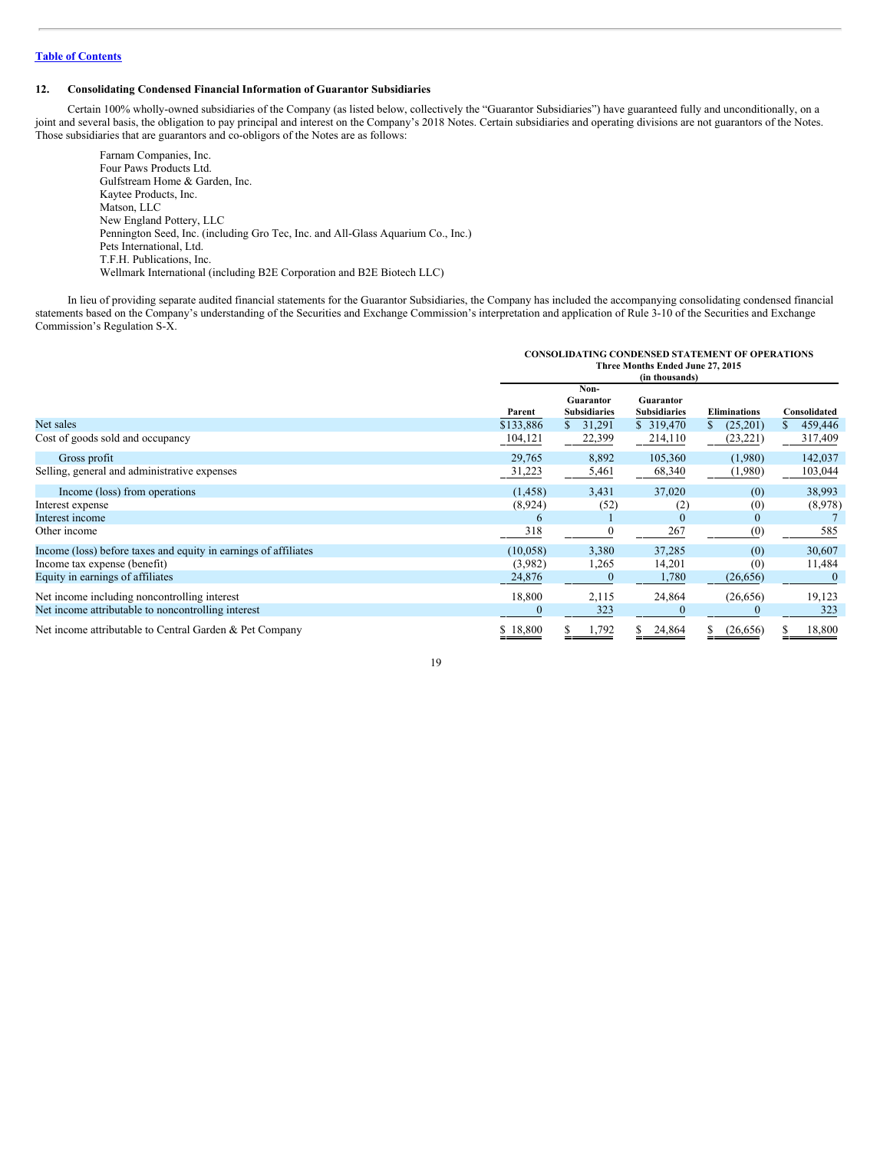#### **12. Consolidating Condensed Financial Information of Guarantor Subsidiaries**

Certain 100% wholly-owned subsidiaries of the Company (as listed below, collectively the "Guarantor Subsidiaries") have guaranteed fully and unconditionally, on a joint and several basis, the obligation to pay principal and interest on the Company's 2018 Notes. Certain subsidiaries and operating divisions are not guarantors of the Notes. Those subsidiaries that are guarantors and co-obligors of the Notes are as follows:

Farnam Companies, Inc. Four Paws Products Ltd. Gulfstream Home & Garden, Inc. Kaytee Products, Inc. Matson, LLC New England Pottery, LLC Pennington Seed, Inc. (including Gro Tec, Inc. and All-Glass Aquarium Co., Inc.) Pets International, Ltd. T.F.H. Publications, Inc. Wellmark International (including B2E Corporation and B2E Biotech LLC)

In lieu of providing separate audited financial statements for the Guarantor Subsidiaries, the Company has included the accompanying consolidating condensed financial statements based on the Company's understanding of the Securities and Exchange Commission's interpretation and application of Rule 3-10 of the Securities and Exchange Commission's Regulation S-X.

|                                                                 |                  | <b>CONSOLIDATING CONDENSED STATEMENT OF OPERATIONS</b><br>Three Months Ended June 27, 2015<br>(in thousands) |                                  |                     |              |  |  |  |  |  |
|-----------------------------------------------------------------|------------------|--------------------------------------------------------------------------------------------------------------|----------------------------------|---------------------|--------------|--|--|--|--|--|
|                                                                 | Parent           | Non-<br>Guarantor<br><b>Subsidiaries</b>                                                                     | Guarantor<br><b>Subsidiaries</b> | <b>Eliminations</b> | Consolidated |  |  |  |  |  |
| Net sales                                                       | \$133,886        | 31,291<br>S.                                                                                                 | \$ 319,470                       | (25,201)            | 459,446      |  |  |  |  |  |
| Cost of goods sold and occupancy                                | 104,121          | 22,399                                                                                                       | 214,110                          | (23, 221)           | 317,409      |  |  |  |  |  |
| Gross profit                                                    | 29,765           | 8,892                                                                                                        | 105,360                          | (1,980)             | 142,037      |  |  |  |  |  |
| Selling, general and administrative expenses                    | 31,223           | 5,461                                                                                                        | 68,340                           | (1,980)             | 103,044      |  |  |  |  |  |
| Income (loss) from operations                                   | (1, 458)         | 3,431                                                                                                        | 37,020                           | (0)                 | 38,993       |  |  |  |  |  |
| Interest expense                                                | (8,924)          | (52)                                                                                                         | (2)                              | (0)                 | (8,978)      |  |  |  |  |  |
| Interest income                                                 | 6                |                                                                                                              |                                  |                     |              |  |  |  |  |  |
| Other income                                                    | 318              |                                                                                                              | 267                              | (0)                 | 585          |  |  |  |  |  |
| Income (loss) before taxes and equity in earnings of affiliates | (10, 058)        | 3,380                                                                                                        | 37,285                           | (0)                 | 30,607       |  |  |  |  |  |
| Income tax expense (benefit)                                    | (3,982)          | 1,265                                                                                                        | 14,201                           | (0)                 | 11,484       |  |  |  |  |  |
| Equity in earnings of affiliates                                | 24,876           | $\theta$                                                                                                     | 1,780                            | (26,656)            |              |  |  |  |  |  |
| Net income including noncontrolling interest                    | 18,800           | 2,115                                                                                                        | 24,864                           | (26, 656)           | 19,123       |  |  |  |  |  |
| Net income attributable to noncontrolling interest              | $\boldsymbol{0}$ | 323                                                                                                          | $\theta$                         |                     | 323          |  |  |  |  |  |
| Net income attributable to Central Garden & Pet Company         | \$18,800         | 1,792<br>S                                                                                                   | 24,864                           | (26, 656)<br>S.     | 18,800       |  |  |  |  |  |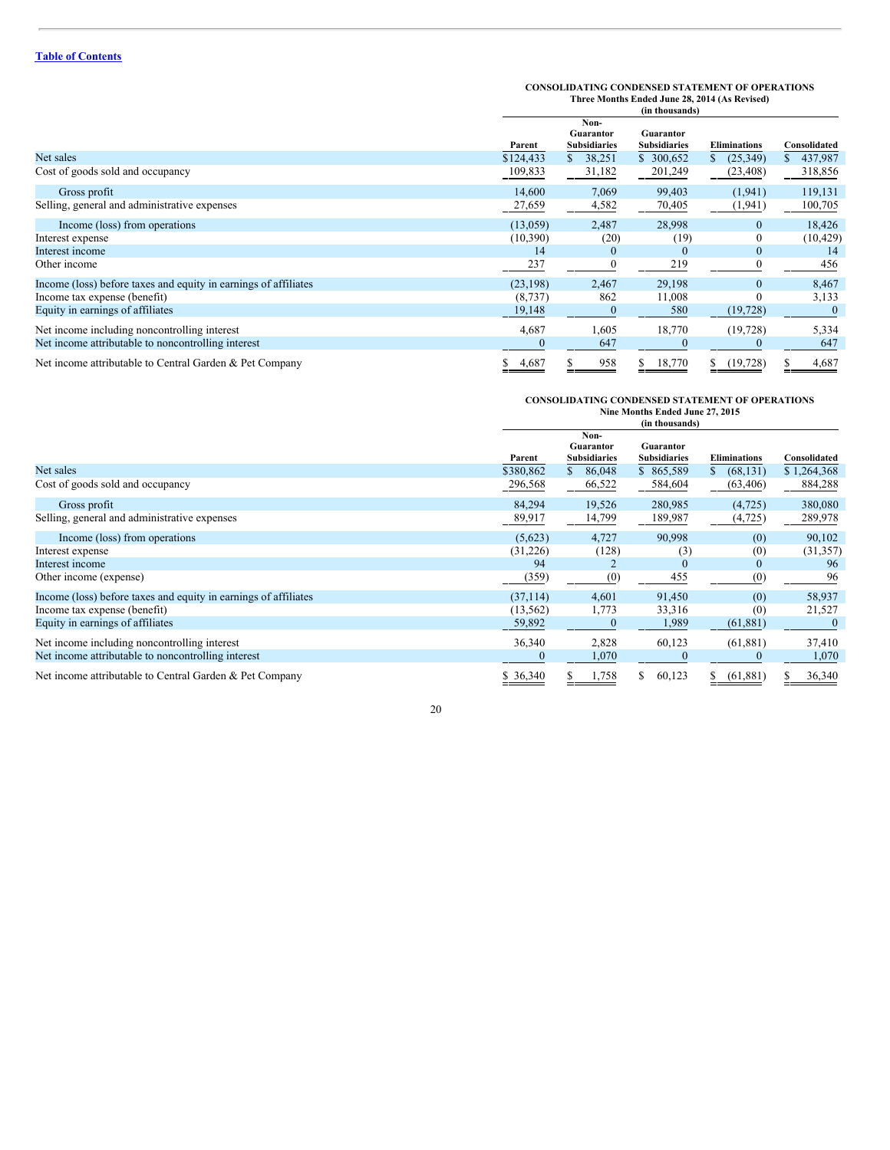# **CONSOLIDATING CONDENSED STATEMENT OF OPERATIONS Three Months Ended June 28, 2014 (As Revised) (in thousands)**

|                                                                 |             | (in thousands)      |                     |                     |              |  |  |
|-----------------------------------------------------------------|-------------|---------------------|---------------------|---------------------|--------------|--|--|
|                                                                 |             | Non-                |                     |                     |              |  |  |
|                                                                 |             | Guarantor           | Guarantor           |                     |              |  |  |
|                                                                 | Parent      | <b>Subsidiaries</b> | <b>Subsidiaries</b> | <b>Eliminations</b> | Consolidated |  |  |
| Net sales                                                       | \$124,433   | 38,251              | \$ 300,652          | (25, 349)           | 437,987      |  |  |
| Cost of goods sold and occupancy                                | 109,833     | 31,182              | 201,249             | (23, 408)           | 318,856      |  |  |
| Gross profit                                                    | 14.600      | 7,069               | 99,403              | (1,941)             | 119,131      |  |  |
| Selling, general and administrative expenses                    | 27,659      | 4,582               | 70,405              | (1,941)             | 100,705      |  |  |
| Income (loss) from operations                                   | (13,059)    | 2,487               | 28,998              | $\theta$            | 18,426       |  |  |
| Interest expense                                                | (10,390)    | (20)                | (19)                |                     | (10, 429)    |  |  |
| Interest income                                                 | 14          | $\theta$            | $\Omega$            | 0                   | 14           |  |  |
| Other income                                                    | 237         | 0                   | 219                 |                     | 456          |  |  |
| Income (loss) before taxes and equity in earnings of affiliates | (23, 198)   | 2,467               | 29,198              | $\theta$            | 8,467        |  |  |
| Income tax expense (benefit)                                    | (8, 737)    | 862                 | 11,008              |                     | 3,133        |  |  |
| Equity in earnings of affiliates                                | 19,148      | $\theta$            | 580                 | (19, 728)           |              |  |  |
| Net income including noncontrolling interest                    | 4,687       | 1,605               | 18,770              | (19, 728)           | 5,334        |  |  |
| Net income attributable to noncontrolling interest              |             | 647                 |                     |                     | 647          |  |  |
| Net income attributable to Central Garden & Pet Company         | 4,687<br>ъ. | 958                 | 18,770              | (19, 728)<br>S.     | 4,687        |  |  |

## **CONSOLIDATING CONDENSED STATEMENT OF OPERATIONS Nine Months Ended June 27, 2015**

|                                                                 | (in thousands) |                                          |                                  |                            |              |  |  |
|-----------------------------------------------------------------|----------------|------------------------------------------|----------------------------------|----------------------------|--------------|--|--|
|                                                                 | Parent         | Non-<br>Guarantor<br><b>Subsidiaries</b> | Guarantor<br><b>Subsidiaries</b> | <b>Eliminations</b>        | Consolidated |  |  |
| Net sales                                                       | \$380,862      | 86,048                                   | \$865,589                        | (68, 131)                  | \$1,264,368  |  |  |
| Cost of goods sold and occupancy                                | 296,568        | 66,522                                   | 584,604                          | (63, 406)                  | 884,288      |  |  |
| Gross profit                                                    | 84,294         | 19,526                                   | 280,985                          | (4,725)                    | 380,080      |  |  |
| Selling, general and administrative expenses                    | 89,917         | 14,799                                   | 189,987                          | (4, 725)                   | 289,978      |  |  |
| Income (loss) from operations                                   | (5,623)        | 4,727                                    | 90,998                           | (0)                        | 90,102       |  |  |
| Interest expense                                                | (31,226)       | (128)                                    | (3)                              | (0)                        | (31, 357)    |  |  |
| Interest income                                                 | 94             |                                          | $\theta$                         |                            | 96           |  |  |
| Other income (expense)                                          | (359)          | (0)                                      | 455                              | (0)                        | 96           |  |  |
| Income (loss) before taxes and equity in earnings of affiliates | (37, 114)      | 4,601                                    | 91,450                           | (0)                        | 58,937       |  |  |
| Income tax expense (benefit)                                    | (13, 562)      | 1,773                                    | 33,316                           | (0)                        | 21,527       |  |  |
| Equity in earnings of affiliates                                | 59,892         | $\theta$                                 | 1,989                            | (61, 881)                  |              |  |  |
| Net income including noncontrolling interest                    | 36,340         | 2,828                                    | 60,123                           | (61, 881)                  | 37,410       |  |  |
| Net income attributable to noncontrolling interest              | $\Omega$       | 1,070                                    | $\Omega$                         |                            | 1,070        |  |  |
| Net income attributable to Central Garden & Pet Company         | 36,340         | 1,758                                    | S<br>60,123                      | (61, 881)<br>$\mathcal{P}$ | 36,340       |  |  |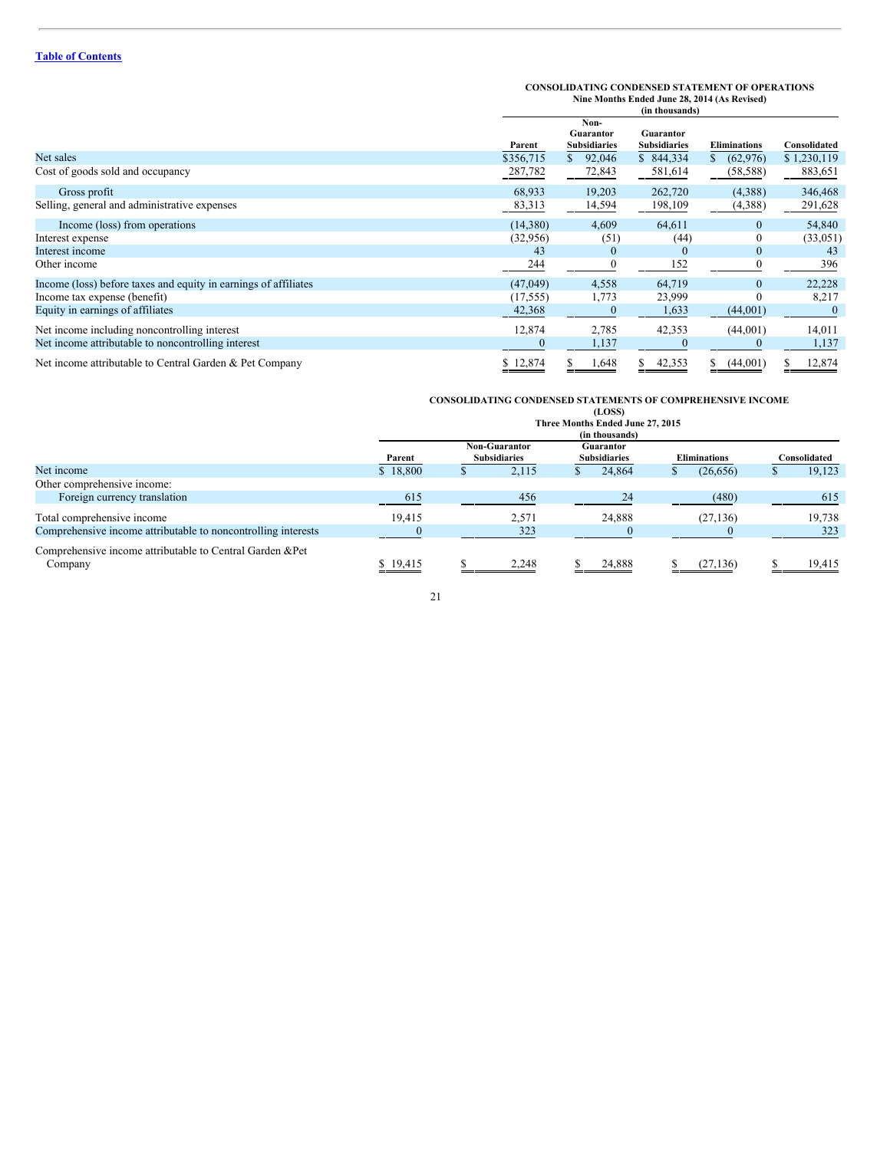# **CONSOLIDATING CONDENSED STATEMENT OF OPERATIONS Nine Months Ended June 28, 2014 (As Revised) (in thousands)**

|                                                                 |           | un mousanus)        |                     |                     |              |  |
|-----------------------------------------------------------------|-----------|---------------------|---------------------|---------------------|--------------|--|
|                                                                 |           | Non-                |                     |                     |              |  |
|                                                                 |           | Guarantor           | Guarantor           |                     |              |  |
|                                                                 | Parent    | <b>Subsidiaries</b> | <b>Subsidiaries</b> | <b>Eliminations</b> | Consolidated |  |
| Net sales                                                       | \$356,715 | 92,046              | \$ 844,334          | (62, 976)           | \$1,230,119  |  |
| Cost of goods sold and occupancy                                | 287,782   | 72,843              | 581,614             | (58, 588)           | 883,651      |  |
| Gross profit                                                    | 68,933    | 19,203              | 262,720             | (4,388)             | 346,468      |  |
| Selling, general and administrative expenses                    | 83,313    | 14,594              | 198,109             | (4,388)             | 291,628      |  |
| Income (loss) from operations                                   | (14,380)  | 4,609               | 64,611              | $\mathbf{0}$        | 54,840       |  |
| Interest expense                                                | (32,956)  | (51)                | (44)                |                     | (33,051)     |  |
| Interest income                                                 | 43        | $\theta$            | 0                   |                     | 43           |  |
| Other income                                                    | 244       |                     | 152                 |                     | 396          |  |
| Income (loss) before taxes and equity in earnings of affiliates | (47,049)  | 4,558               | 64,719              | $\theta$            | 22,228       |  |
| Income tax expense (benefit)                                    | (17, 555) | 1,773               | 23,999              | 0                   | 8,217        |  |
| Equity in earnings of affiliates                                | 42,368    | $\theta$            | 1,633               | (44,001)            |              |  |
| Net income including noncontrolling interest                    | 12,874    | 2,785               | 42,353              | (44,001)            | 14,011       |  |
| Net income attributable to noncontrolling interest              |           | 1,137               | $\left($            |                     | 1,137        |  |
| Net income attributable to Central Garden & Pet Company         | \$12,874  | 1,648<br>ж          | 42,353              | (44,001)<br>S       | 12,874       |  |

## **CONSOLIDATING CONDENSED STATEMENTS OF COMPREHENSIVE INCOME**

|                                                               | (LOSS)<br>Three Months Ended June 27, 2015 |  |                     |           |                     |  |                     |  |              |  |
|---------------------------------------------------------------|--------------------------------------------|--|---------------------|-----------|---------------------|--|---------------------|--|--------------|--|
|                                                               |                                            |  |                     |           |                     |  |                     |  |              |  |
|                                                               | (in thousands)                             |  |                     |           |                     |  |                     |  |              |  |
|                                                               |                                            |  | Non-Guarantor       | Guarantor |                     |  |                     |  |              |  |
|                                                               | Parent                                     |  | <b>Subsidiaries</b> |           | <b>Subsidiaries</b> |  | <b>Eliminations</b> |  | Consolidated |  |
| Net income                                                    | \$18,800                                   |  | 2,115               |           | 24.864              |  | (26,656)            |  | 19,123       |  |
| Other comprehensive income:                                   |                                            |  |                     |           |                     |  |                     |  |              |  |
| Foreign currency translation                                  | 615                                        |  | 456                 |           | 24                  |  | (480)               |  | 615          |  |
| Total comprehensive income                                    | 19.415                                     |  | 2,571               |           | 24,888              |  | (27, 136)           |  | 19,738       |  |
| Comprehensive income attributable to noncontrolling interests |                                            |  | 323                 |           |                     |  |                     |  | 323          |  |
| Comprehensive income attributable to Central Garden &Pet      |                                            |  |                     |           |                     |  |                     |  |              |  |
| Company                                                       | \$19,415                                   |  | 2,248               |           | 24,888              |  | (27, 136)           |  | 19,415       |  |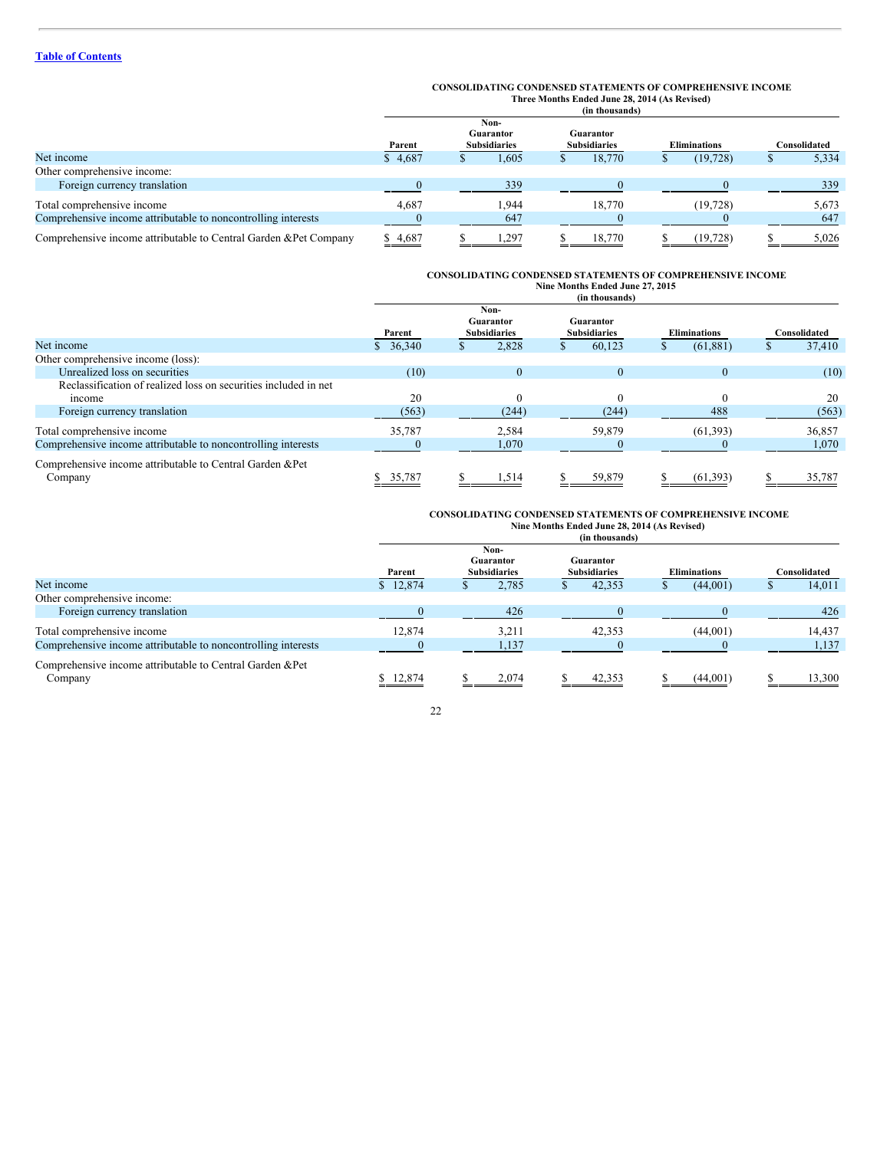# **CONSOLIDATING CONDENSED STATEMENTS OF COMPREHENSIVE INCOME**<br>Three Months Ended June 28, 2014 (As Revised)<br>(in thousands)

|                                                                   | un unousanus, |  |                     |  |                     |  |              |  |              |
|-------------------------------------------------------------------|---------------|--|---------------------|--|---------------------|--|--------------|--|--------------|
|                                                                   |               |  | Non-                |  |                     |  |              |  |              |
|                                                                   |               |  | Guarantor           |  | Guarantor           |  |              |  |              |
|                                                                   | Parent        |  | <b>Subsidiaries</b> |  | <b>Subsidiaries</b> |  | Eliminations |  | Consolidated |
| Net income                                                        | \$4,687       |  | 1,605               |  | 18.770              |  | (19, 728)    |  | 5,334        |
| Other comprehensive income:                                       |               |  |                     |  |                     |  |              |  |              |
| Foreign currency translation                                      |               |  | 339                 |  |                     |  |              |  | 339          |
| Total comprehensive income                                        | 4.687         |  | <b>944.</b>         |  | 18.770              |  | (19, 728)    |  | 5,673        |
| Comprehensive income attributable to noncontrolling interests     |               |  | 647                 |  |                     |  |              |  | 647          |
| Comprehensive income attributable to Central Garden & Pet Company | 64,687        |  | .297                |  | 18.770              |  | (19.728)     |  | 5.026        |

|                                                                     | <b>CONSOLIDATING CONDENSED STATEMENTS OF COMPREHENSIVE INCOME</b><br>Nine Months Ended June 27, 2015<br>(in thousands) |  |                                          |  |                                  |  |                     |  |              |
|---------------------------------------------------------------------|------------------------------------------------------------------------------------------------------------------------|--|------------------------------------------|--|----------------------------------|--|---------------------|--|--------------|
|                                                                     | Parent                                                                                                                 |  | Non-<br>Guarantor<br><b>Subsidiaries</b> |  | Guarantor<br><b>Subsidiaries</b> |  | <b>Eliminations</b> |  | Consolidated |
| Net income                                                          | \$36,340                                                                                                               |  | 2,828                                    |  | 60,123                           |  | (61, 881)           |  | 37,410       |
| Other comprehensive income (loss):                                  |                                                                                                                        |  |                                          |  |                                  |  |                     |  |              |
| Unrealized loss on securities                                       | (10)                                                                                                                   |  | $\mathbf{0}$                             |  | $\mathbf{0}$                     |  | $\overline{0}$      |  | (10)         |
| Reclassification of realized loss on securities included in net     |                                                                                                                        |  |                                          |  |                                  |  |                     |  |              |
| income                                                              | 20                                                                                                                     |  | $\Omega$                                 |  |                                  |  | $\Omega$            |  | 20           |
| Foreign currency translation                                        | (563)                                                                                                                  |  | (244)                                    |  | (244)                            |  | 488                 |  | (563)        |
| Total comprehensive income                                          | 35,787                                                                                                                 |  | 2,584                                    |  | 59,879                           |  | (61, 393)           |  | 36,857       |
| Comprehensive income attributable to noncontrolling interests       |                                                                                                                        |  | 1,070                                    |  |                                  |  |                     |  | 1,070        |
| Comprehensive income attributable to Central Garden &Pet<br>Company | 35,787                                                                                                                 |  | 1,514                                    |  | 59,879                           |  | (61, 393)           |  | 35,787       |

|                                                                     | <b>CONSOLIDATING CONDENSED STATEMENTS OF COMPREHENSIVE INCOME</b><br>Nine Months Ended June 28, 2014 (As Revised)<br>(in thousands) |                                          |                                  |                     |              |  |  |  |  |  |
|---------------------------------------------------------------------|-------------------------------------------------------------------------------------------------------------------------------------|------------------------------------------|----------------------------------|---------------------|--------------|--|--|--|--|--|
|                                                                     | Parent                                                                                                                              | Non-<br>Guarantor<br><b>Subsidiaries</b> | Guarantor<br><b>Subsidiaries</b> | <b>Eliminations</b> | Consolidated |  |  |  |  |  |
| Net income                                                          | \$12,874                                                                                                                            | 2,785                                    | 42,353                           | (44,001)            | 14,011       |  |  |  |  |  |
| Other comprehensive income:                                         |                                                                                                                                     |                                          |                                  |                     |              |  |  |  |  |  |
| Foreign currency translation                                        |                                                                                                                                     | 426                                      | $\Omega$                         |                     | 426          |  |  |  |  |  |
| Total comprehensive income                                          | 12,874                                                                                                                              | 3,211                                    | 42,353                           | (44,001)            | 14,437       |  |  |  |  |  |
| Comprehensive income attributable to noncontrolling interests       |                                                                                                                                     | 1,137                                    | $\Omega$                         |                     | 1,137        |  |  |  |  |  |
| Comprehensive income attributable to Central Garden &Pet<br>Company | \$12,874                                                                                                                            | 2.074                                    | 42.353                           | (44,001)            | 13,300       |  |  |  |  |  |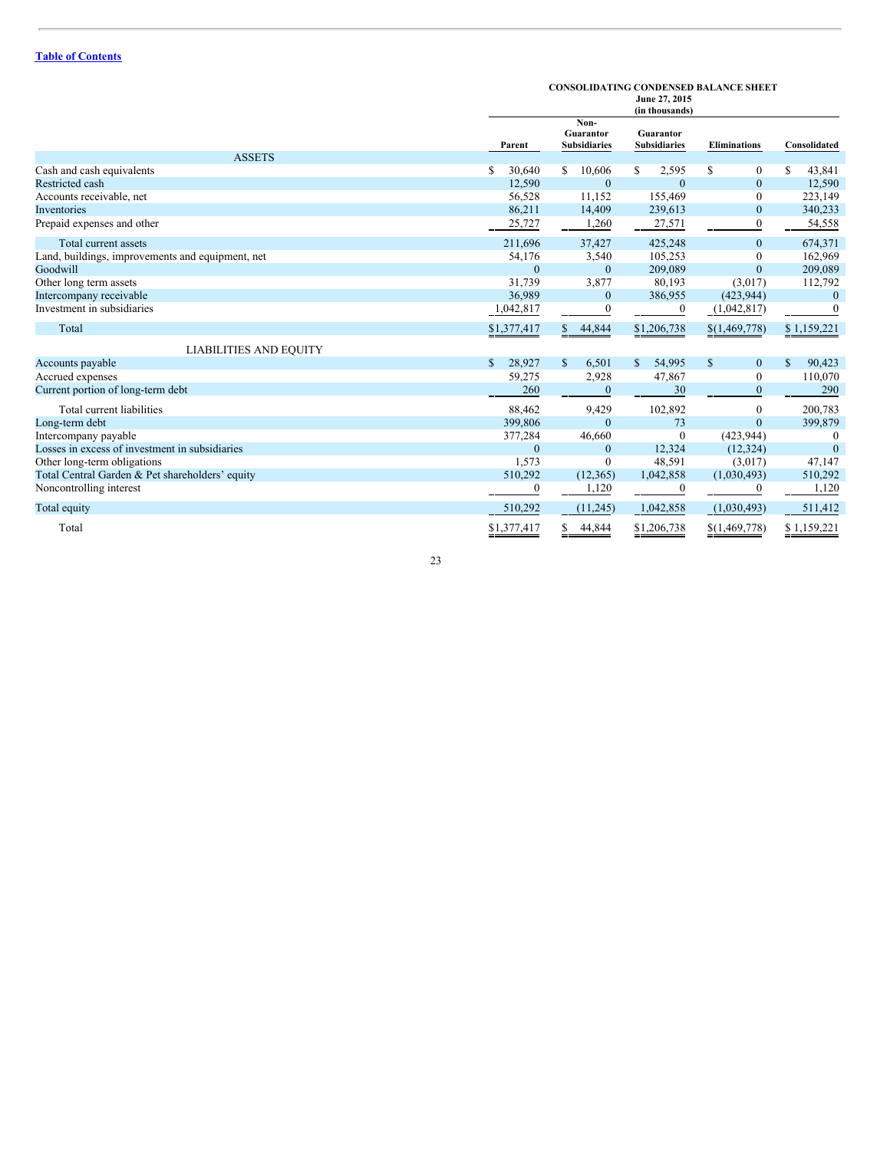|                                                  |              | <b>CONSOLIDATING CONDENSED BALANCE SHEET</b><br>June 27, 2015<br>(in thousands) |                                  |                              |                         |  |  |
|--------------------------------------------------|--------------|---------------------------------------------------------------------------------|----------------------------------|------------------------------|-------------------------|--|--|
|                                                  | Parent       | Non-<br>Guarantor<br><b>Subsidiaries</b>                                        | Guarantor<br><b>Subsidiaries</b> | <b>Eliminations</b>          | Consolidated            |  |  |
| <b>ASSETS</b>                                    |              |                                                                                 |                                  |                              |                         |  |  |
| Cash and cash equivalents                        | 30,640       | 10,606<br>S.                                                                    | 2,595<br>S                       | \$<br>$\mathbf{0}$           | 43,841<br>S             |  |  |
| Restricted cash                                  | 12,590       | $\theta$                                                                        | $\Omega$                         | $\theta$                     | 12,590                  |  |  |
| Accounts receivable, net                         | 56,528       | 11,152                                                                          | 155,469                          | $\Omega$                     | 223,149                 |  |  |
| Inventories                                      | 86,211       | 14,409                                                                          | 239,613                          | $\mathbf{0}$                 | 340,233                 |  |  |
| Prepaid expenses and other                       | 25,727       | 1,260                                                                           | 27,571                           | $\boldsymbol{0}$             | 54,558                  |  |  |
| Total current assets                             | 211,696      | 37,427                                                                          | 425,248                          | $\mathbf{0}$                 | 674,371                 |  |  |
| Land, buildings, improvements and equipment, net | 54,176       | 3,540                                                                           | 105,253                          | $\Omega$                     | 162,969                 |  |  |
| Goodwill                                         | $\Omega$     | $\theta$                                                                        | 209,089                          | $\Omega$                     | 209,089                 |  |  |
| Other long term assets                           | 31,739       | 3,877                                                                           | 80,193                           | (3,017)                      | 112,792                 |  |  |
| Intercompany receivable                          | 36,989       | $\mathbf{0}$                                                                    | 386,955                          | (423, 944)                   | $\mathbf{0}$            |  |  |
| Investment in subsidiaries                       | 1,042,817    | $\boldsymbol{0}$                                                                | $\boldsymbol{0}$                 | (1,042,817)                  | $\boldsymbol{0}$        |  |  |
| Total                                            | \$1,377,417  | 44,844                                                                          | \$1,206,738                      | \$(1,469,778)                | \$1,159,221             |  |  |
| <b>LIABILITIES AND EQUITY</b>                    |              |                                                                                 |                                  |                              |                         |  |  |
| Accounts payable                                 | 28,927<br>\$ | \$<br>6,501                                                                     | $\mathbf S$<br>54,995            | $\mathbb{S}$<br>$\mathbf{0}$ | 90,423<br><sup>\$</sup> |  |  |
| Accrued expenses                                 | 59,275       | 2,928                                                                           | 47,867                           | $\boldsymbol{0}$             | 110,070                 |  |  |
| Current portion of long-term debt                | 260          | $\mathbf{0}$                                                                    | 30                               | $\mathbf{0}$                 | 290                     |  |  |
| Total current liabilities                        | 88,462       | 9,429                                                                           | 102,892                          | $\mathbf{0}$                 | 200,783                 |  |  |
| Long-term debt                                   | 399,806      | $\theta$                                                                        | 73                               | $\mathbf{0}$                 | 399,879                 |  |  |
| Intercompany payable                             | 377,284      | 46,660                                                                          | $\mathbf{0}$                     | (423, 944)                   | $\theta$                |  |  |
| Losses in excess of investment in subsidiaries   | $\mathbf{0}$ | $\mathbf{0}$                                                                    | 12,324                           | (12, 324)                    | $\mathbf{0}$            |  |  |
| Other long-term obligations                      | 1,573        | $\overline{0}$                                                                  | 48,591                           | (3,017)                      | 47,147                  |  |  |
| Total Central Garden & Pet shareholders' equity  | 510,292      | (12, 365)                                                                       | 1,042,858                        | (1,030,493)                  | 510,292                 |  |  |
| Noncontrolling interest                          | $\bf{0}$     | 1,120                                                                           | $\boldsymbol{0}$                 | 0                            | 1,120                   |  |  |
| Total equity                                     | 510,292      | (11,245)                                                                        | 1,042,858                        | (1,030,493)                  | 511,412                 |  |  |
| Total                                            | \$1,377,417  | 44,844<br>S                                                                     | \$1,206,738                      | \$(1,469,778)                | \$1,159,221             |  |  |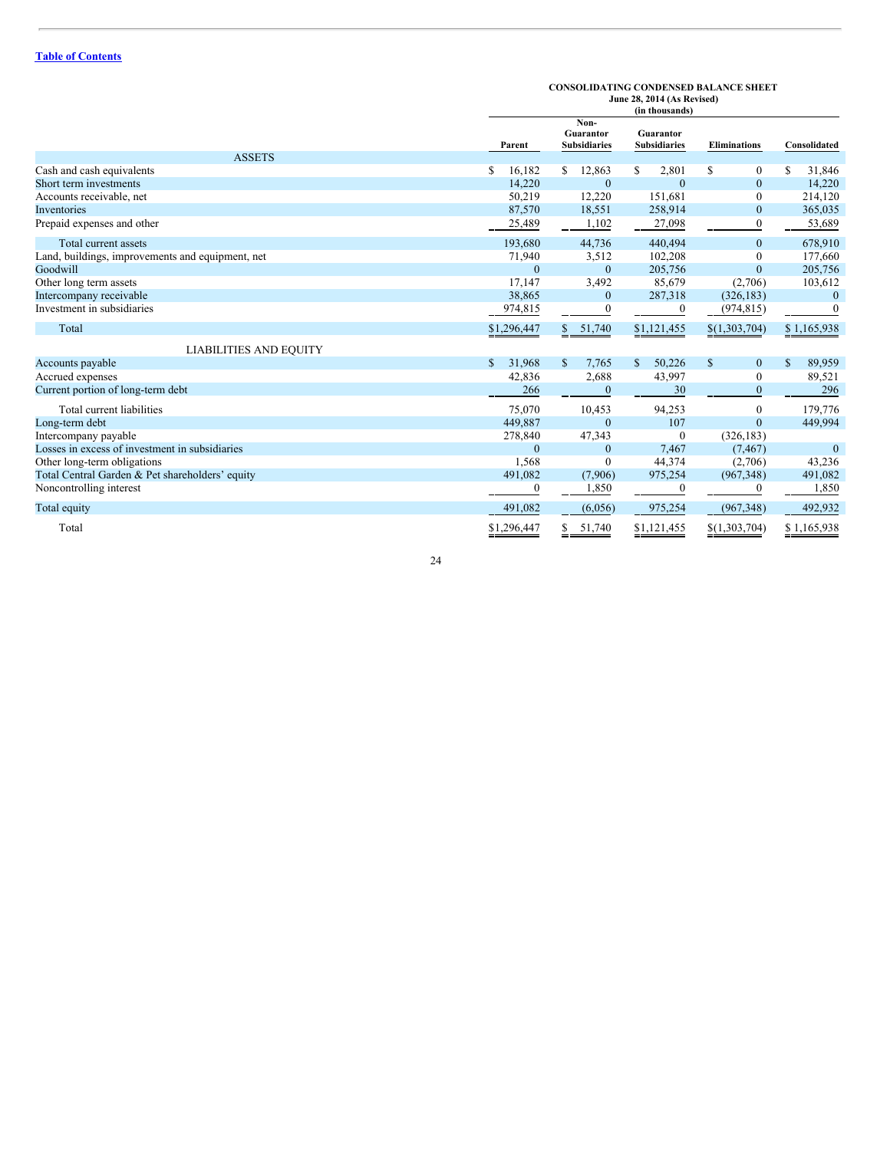|                                                  |                  | <b>CONSOLIDATING CONDENSED BALANCE SHEET</b><br><b>June 28, 2014 (As Revised)</b><br>(in thousands) |                                  |                     |              |  |  |  |
|--------------------------------------------------|------------------|-----------------------------------------------------------------------------------------------------|----------------------------------|---------------------|--------------|--|--|--|
|                                                  | Parent           | Non-<br>Guarantor<br><b>Subsidiaries</b>                                                            | Guarantor<br><b>Subsidiaries</b> | <b>Eliminations</b> | Consolidated |  |  |  |
| <b>ASSETS</b>                                    |                  |                                                                                                     |                                  |                     |              |  |  |  |
| Cash and cash equivalents                        | 16,182           | 12,863<br>S.                                                                                        | 2,801<br>S                       | \$<br>$\mathbf{0}$  | 31,846       |  |  |  |
| Short term investments                           | 14,220           | $\theta$                                                                                            | $\theta$                         | $\mathbf{0}$        | 14,220       |  |  |  |
| Accounts receivable, net                         | 50,219           | 12,220                                                                                              | 151,681                          | $\Omega$            | 214,120      |  |  |  |
| <b>Inventories</b>                               | 87,570           | 18,551                                                                                              | 258,914                          | $\mathbf{0}$        | 365,035      |  |  |  |
| Prepaid expenses and other                       | 25,489           | 1,102                                                                                               | 27,098                           | $\mathbf{0}$        | 53,689       |  |  |  |
| Total current assets                             | 193,680          | 44.736                                                                                              | 440,494                          | $\mathbf{0}$        | 678,910      |  |  |  |
| Land, buildings, improvements and equipment, net | 71,940           | 3,512                                                                                               | 102,208                          | $\mathbf{0}$        | 177,660      |  |  |  |
| Goodwill                                         | $\Omega$         | $\theta$                                                                                            | 205,756                          | $\theta$            | 205,756      |  |  |  |
| Other long term assets                           | 17,147           | 3,492                                                                                               | 85,679                           | (2,706)             | 103,612      |  |  |  |
| Intercompany receivable                          | 38,865           | $\overline{0}$                                                                                      | 287,318                          | (326, 183)          | $\bf{0}$     |  |  |  |
| Investment in subsidiaries                       | 974,815          | $\mathbf{0}$                                                                                        | $\bf{0}$                         | (974, 815)          | $\mathbf{0}$ |  |  |  |
| Total                                            | \$1,296,447      | 51,740<br>S.                                                                                        | \$1,121,455                      | \$(1,303,704)       | \$1,165,938  |  |  |  |
| <b>LIABILITIES AND EQUITY</b>                    |                  |                                                                                                     |                                  |                     |              |  |  |  |
| Accounts payable                                 | 31,968<br>\$     | 7,765<br>\$                                                                                         | 50,226<br>S                      | \$<br>$\mathbf{0}$  | 89,959<br>S  |  |  |  |
| Accrued expenses                                 | 42,836           | 2,688                                                                                               | 43,997                           | $\boldsymbol{0}$    | 89,521       |  |  |  |
| Current portion of long-term debt                | 266              | $\mathbf{0}$                                                                                        | 30                               | $\mathbf{0}$        | 296          |  |  |  |
| Total current liabilities                        | 75,070           | 10,453                                                                                              | 94,253                           | $\mathbf{0}$        | 179,776      |  |  |  |
| Long-term debt                                   | 449,887          | $\theta$                                                                                            | 107                              | $\overline{0}$      | 449,994      |  |  |  |
| Intercompany payable                             | 278,840          | 47,343                                                                                              | $\mathbf{0}$                     | (326, 183)          |              |  |  |  |
| Losses in excess of investment in subsidiaries   | $\Omega$         | $\mathbf{0}$                                                                                        | 7,467                            | (7, 467)            | $\mathbf{0}$ |  |  |  |
| Other long-term obligations                      | 1,568            | $\mathbf{0}$                                                                                        | 44,374                           | (2,706)             | 43,236       |  |  |  |
| Total Central Garden & Pet shareholders' equity  | 491,082          | (7,906)                                                                                             | 975,254                          | (967, 348)          | 491,082      |  |  |  |
| Noncontrolling interest                          | $\boldsymbol{0}$ | 1,850                                                                                               | $\boldsymbol{0}$                 | 0                   | 1,850        |  |  |  |
| Total equity                                     | 491,082          | (6,056)                                                                                             | 975,254                          | (967, 348)          | 492,932      |  |  |  |
| Total                                            | \$1,296,447      | 51,740<br>S                                                                                         | \$1,121,455                      | \$(1,303,704)       | \$1,165,938  |  |  |  |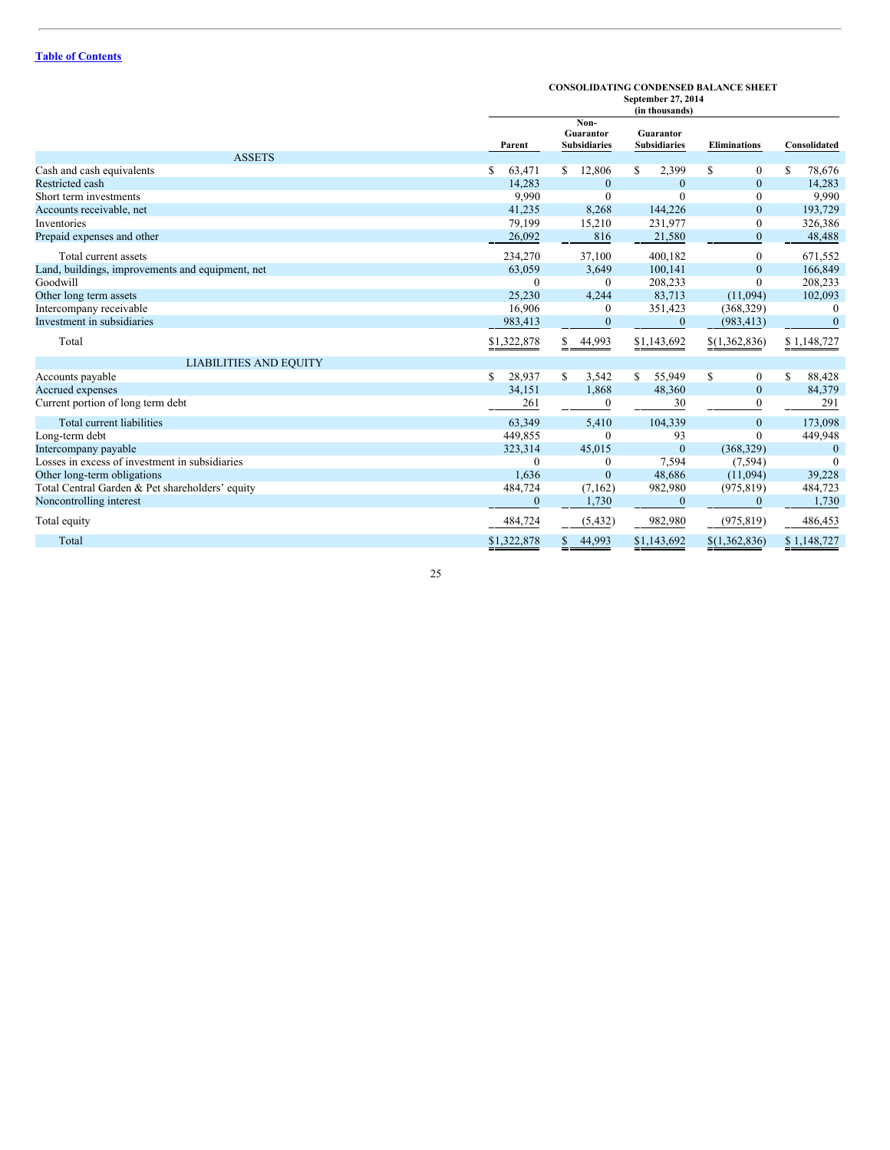|                                                  | <b>CONSOLIDATING CONDENSED BALANCE SHEET</b><br>September 27, 2014<br>(in thousands) |                                          |                                  |                     |              |  |
|--------------------------------------------------|--------------------------------------------------------------------------------------|------------------------------------------|----------------------------------|---------------------|--------------|--|
|                                                  | Parent                                                                               | Non-<br>Guarantor<br><b>Subsidiaries</b> | Guarantor<br><b>Subsidiaries</b> | <b>Eliminations</b> | Consolidated |  |
| <b>ASSETS</b>                                    |                                                                                      |                                          |                                  |                     |              |  |
| Cash and cash equivalents                        | 63,471<br>S                                                                          | 12,806<br>S.                             | 2,399<br>S                       | \$<br>$\mathbf{0}$  | 78,676<br>S  |  |
| Restricted cash                                  | 14,283                                                                               | $\overline{0}$                           | $\Omega$                         | $\mathbf{0}$        | 14,283       |  |
| Short term investments                           | 9,990                                                                                | $\mathbf{0}$                             | $\Omega$                         | $\Omega$            | 9,990        |  |
| Accounts receivable, net                         | 41,235                                                                               | 8,268                                    | 144,226                          | $\mathbf{0}$        | 193,729      |  |
| Inventories                                      | 79,199                                                                               | 15,210                                   | 231,977                          | $\mathbf{0}$        | 326,386      |  |
| Prepaid expenses and other                       | 26,092                                                                               | 816                                      | 21,580                           | $\boldsymbol{0}$    | 48,488       |  |
| Total current assets                             | 234,270                                                                              | 37,100                                   | 400,182                          | $\mathbf{0}$        | 671,552      |  |
| Land, buildings, improvements and equipment, net | 63,059                                                                               | 3,649                                    | 100,141                          | $\Omega$            | 166,849      |  |
| Goodwill                                         | $\mathbf{0}$                                                                         | $\boldsymbol{0}$                         | 208,233                          | $\theta$            | 208,233      |  |
| Other long term assets                           | 25,230                                                                               | 4,244                                    | 83,713                           | (11,094)            | 102,093      |  |
| Intercompany receivable                          | 16,906                                                                               | $\mathbf{0}$                             | 351,423                          | (368, 329)          | $\mathbf{0}$ |  |
| Investment in subsidiaries                       | 983,413                                                                              | $\boldsymbol{0}$                         | $\boldsymbol{0}$                 | (983, 413)          | $\mathbf{0}$ |  |
| Total                                            | \$1,322,878                                                                          | 44,993<br>\$                             | \$1,143,692                      | \$(1,362,836)       | \$1,148,727  |  |
| <b>LIABILITIES AND EQUITY</b>                    |                                                                                      |                                          |                                  |                     |              |  |
| Accounts payable                                 | 28,937<br>S.                                                                         | 3,542<br>\$                              | \$<br>55,949                     | \$<br>$\theta$      | S<br>88,428  |  |
| Accrued expenses                                 | 34,151                                                                               | 1,868                                    | 48,360                           | $\mathbf{0}$        | 84,379       |  |
| Current portion of long term debt                | 261                                                                                  | $\boldsymbol{0}$                         | 30                               | $\boldsymbol{0}$    | 291          |  |
| Total current liabilities                        | 63,349                                                                               | 5,410                                    | 104,339                          | $\mathbf{0}$        | 173,098      |  |
| Long-term debt                                   | 449,855                                                                              | $\mathbf{0}$                             | 93                               | $\Omega$            | 449,948      |  |
| Intercompany payable                             | 323,314                                                                              | 45,015                                   | $\mathbf{0}$                     | (368, 329)          | $\mathbf{0}$ |  |
| Losses in excess of investment in subsidiaries   | $\theta$                                                                             | $\boldsymbol{0}$                         | 7,594                            | (7,594)             | $\Omega$     |  |
| Other long-term obligations                      | 1,636                                                                                | $\mathbf{0}$                             | 48,686                           | (11,094)            | 39,228       |  |
| Total Central Garden & Pet shareholders' equity  | 484,724                                                                              | (7,162)                                  | 982,980                          | (975, 819)          | 484,723      |  |
| Noncontrolling interest                          | $\boldsymbol{0}$                                                                     | 1,730                                    | $\mathbf{0}$                     | $\bf{0}$            | 1,730        |  |
| Total equity                                     | 484,724                                                                              | (5, 432)                                 | 982,980                          | (975, 819)          | 486,453      |  |
| Total                                            | \$1,322,878                                                                          | 44,993<br>\$                             | \$1,143,692                      | \$(1,362,836)       | \$1,148,727  |  |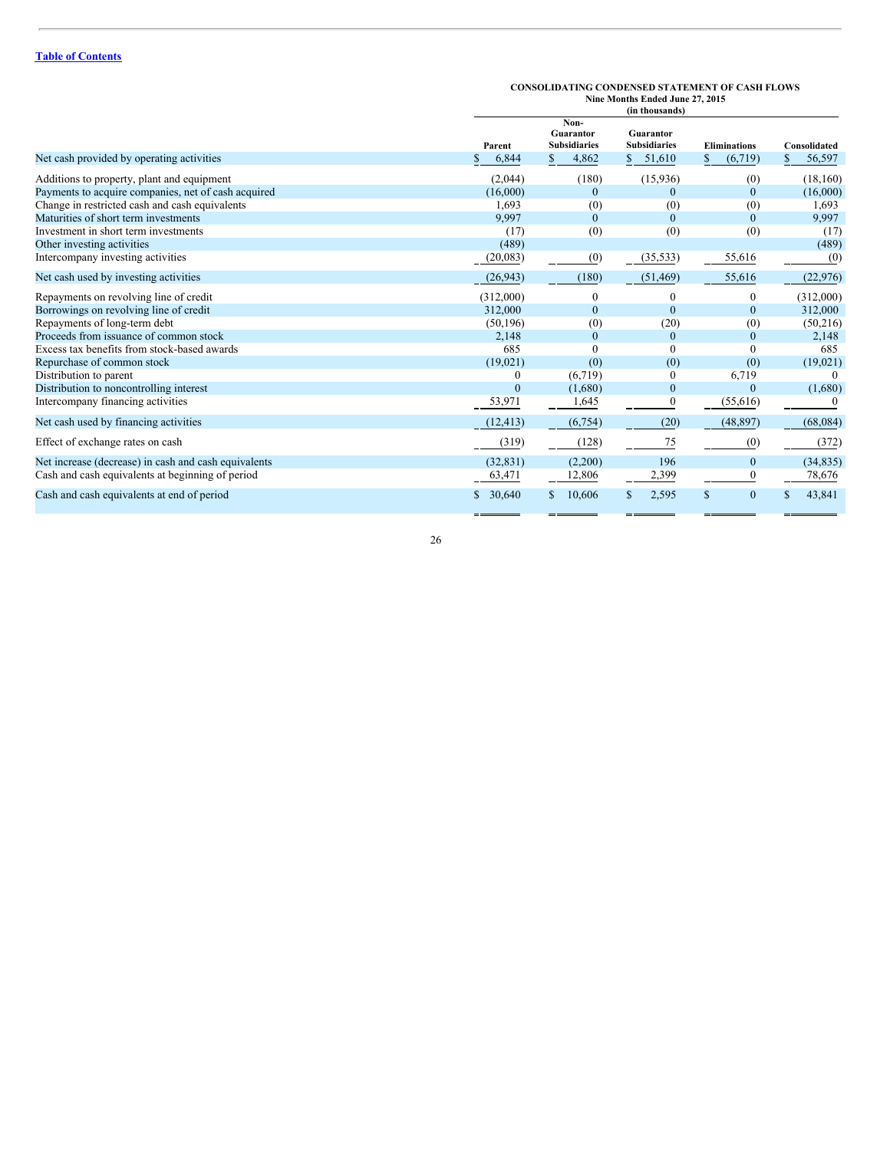|                                                      |                       | <b>CONSOLIDATING CONDENSED STATEMENT OF CASH FLOWS</b><br>Nine Months Ended June 27, 2015<br>(in thousands) |                                                            |                                      |                              |  |  |  |
|------------------------------------------------------|-----------------------|-------------------------------------------------------------------------------------------------------------|------------------------------------------------------------|--------------------------------------|------------------------------|--|--|--|
| Net cash provided by operating activities            | Parent<br>\$<br>6,844 | Non-<br>Guarantor<br><b>Subsidiaries</b><br>\$<br>4,862                                                     | Guarantor<br><b>Subsidiaries</b><br>$\mathbb{S}$<br>51,610 | <b>Eliminations</b><br>\$<br>(6,719) | Consolidated<br>56,597<br>\$ |  |  |  |
|                                                      |                       |                                                                                                             |                                                            |                                      |                              |  |  |  |
| Additions to property, plant and equipment           | (2,044)               | (180)                                                                                                       | (15,936)                                                   | (0)                                  | (18, 160)                    |  |  |  |
| Payments to acquire companies, net of cash acquired  | (16,000)              | $\mathbf{0}$                                                                                                | $\mathbf{0}$                                               | $\mathbf{0}$                         | (16,000)                     |  |  |  |
| Change in restricted cash and cash equivalents       | 1,693                 | (0)                                                                                                         | (0)                                                        | (0)                                  | 1,693                        |  |  |  |
| Maturities of short term investments                 | 9.997                 | $\Omega$                                                                                                    | $\Omega$                                                   | $\mathbf{0}$                         | 9,997                        |  |  |  |
| Investment in short term investments                 | (17)                  | (0)                                                                                                         | (0)                                                        | (0)                                  | (17)                         |  |  |  |
| Other investing activities                           | (489)                 |                                                                                                             |                                                            |                                      | (489)                        |  |  |  |
| Intercompany investing activities                    | (20,083)              | (0)                                                                                                         | (35, 533)                                                  | 55,616                               | (0)                          |  |  |  |
| Net cash used by investing activities                | (26, 943)             | (180)                                                                                                       | (51, 469)                                                  | 55,616                               | (22, 976)                    |  |  |  |
| Repayments on revolving line of credit               | (312,000)             | $\boldsymbol{0}$                                                                                            | $\mathbf{0}$                                               | 0                                    | (312,000)                    |  |  |  |
| Borrowings on revolving line of credit               | 312,000               | $\mathbf{0}$                                                                                                | $\Omega$                                                   | $\mathbf{0}$                         | 312,000                      |  |  |  |
| Repayments of long-term debt                         | (50, 196)             | (0)                                                                                                         | (20)                                                       | (0)                                  | (50,216)                     |  |  |  |
| Proceeds from issuance of common stock               | 2,148                 | $\theta$                                                                                                    | $\Omega$                                                   | $\mathbf{0}$                         | 2,148                        |  |  |  |
| Excess tax benefits from stock-based awards          | 685                   |                                                                                                             | 0                                                          | $\boldsymbol{0}$                     | 685                          |  |  |  |
| Repurchase of common stock                           | (19,021)              | (0)                                                                                                         | (0)                                                        | (0)                                  | (19,021)                     |  |  |  |
| Distribution to parent                               | $\mathbf{0}$          | (6,719)                                                                                                     | $\Omega$                                                   | 6,719                                | $\Omega$                     |  |  |  |
| Distribution to noncontrolling interest              | $\theta$              | (1,680)                                                                                                     | $\mathbf{0}$                                               | $\mathbf{0}$                         | (1,680)                      |  |  |  |
| Intercompany financing activities                    | 53,971                | 1,645                                                                                                       | 0                                                          | (55, 616)                            |                              |  |  |  |
| Net cash used by financing activities                | (12, 413)             | (6,754)                                                                                                     | (20)                                                       | (48, 897)                            | (68, 084)                    |  |  |  |
| Effect of exchange rates on cash                     | (319)                 | (128)                                                                                                       | 75                                                         | (0)                                  | (372)                        |  |  |  |
| Net increase (decrease) in cash and cash equivalents | (32, 831)             | (2,200)                                                                                                     | 196                                                        | $\mathbf{0}$                         | (34, 835)                    |  |  |  |
| Cash and cash equivalents at beginning of period     | 63,471                | 12,806                                                                                                      | 2,399                                                      | $\boldsymbol{0}$                     | 78,676                       |  |  |  |
| Cash and cash equivalents at end of period           | 30,640                | 10,606                                                                                                      | 2,595<br>\$                                                | $\mathbb{S}$<br>$\boldsymbol{0}$     | 43,841<br>\$                 |  |  |  |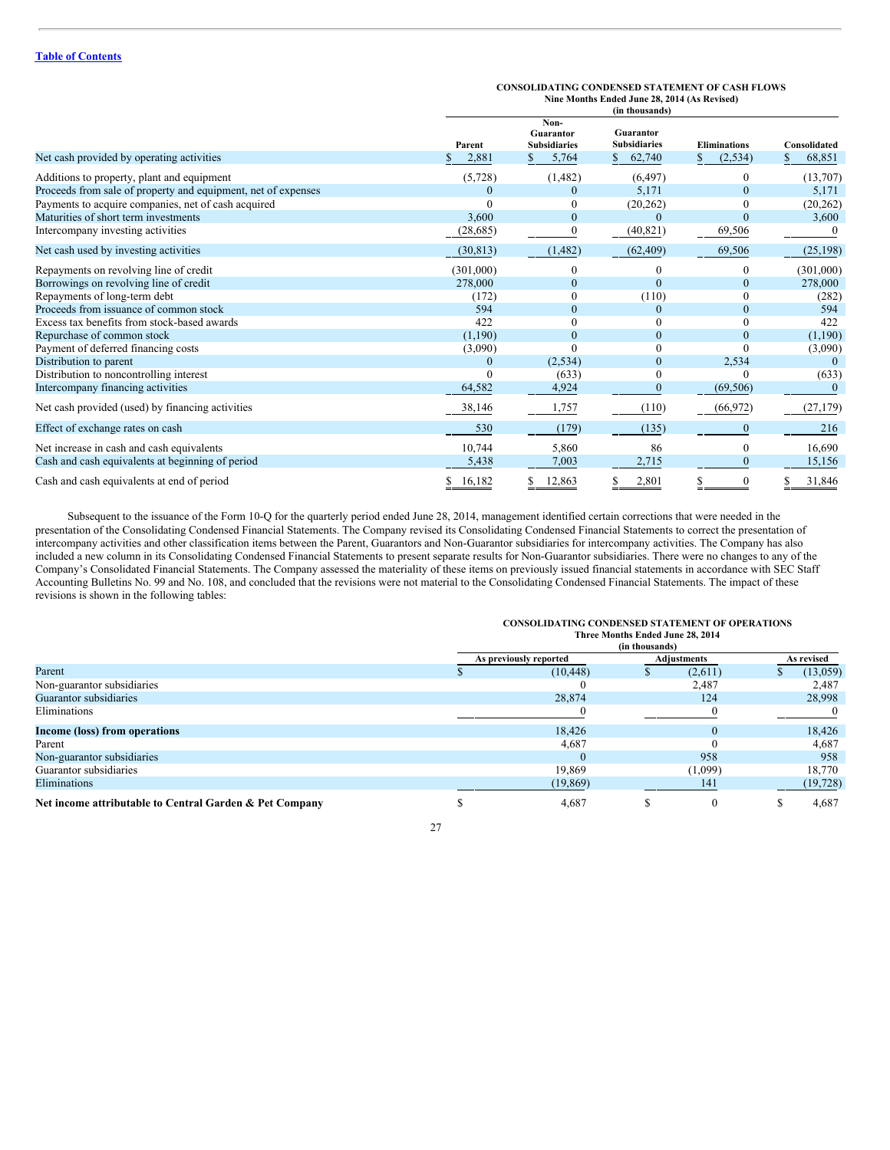|                                                               |              | Nine Months Ended June 28, 2014 (As Revised)<br>(in thousands) |                                  |                       |              |  |  |  |  |  |
|---------------------------------------------------------------|--------------|----------------------------------------------------------------|----------------------------------|-----------------------|--------------|--|--|--|--|--|
|                                                               | Parent       | Non-<br>Guarantor<br><b>Subsidiaries</b>                       | Guarantor<br><b>Subsidiaries</b> | <b>Eliminations</b>   | Consolidated |  |  |  |  |  |
| Net cash provided by operating activities                     | 2,881        | 5,764                                                          | 62,740<br>S                      | (2, 534)<br>S         | 68,851<br>S  |  |  |  |  |  |
| Additions to property, plant and equipment                    | (5,728)      | (1,482)                                                        | (6, 497)                         |                       | (13,707)     |  |  |  |  |  |
| Proceeds from sale of property and equipment, net of expenses | 0            |                                                                | 5,171                            | $\theta$              | 5,171        |  |  |  |  |  |
| Payments to acquire companies, net of cash acquired           |              |                                                                | (20, 262)                        |                       | (20, 262)    |  |  |  |  |  |
| Maturities of short term investments                          | 3,600        | $\mathbf{0}$                                                   |                                  | $\Omega$              | 3,600        |  |  |  |  |  |
| Intercompany investing activities                             | (28, 685)    | $\mathbf{0}$                                                   | (40, 821)                        | 69,506                |              |  |  |  |  |  |
| Net cash used by investing activities                         | (30, 813)    | (1,482)                                                        | (62, 409)                        | 69,506                | (25, 198)    |  |  |  |  |  |
| Repayments on revolving line of credit                        | (301,000)    |                                                                |                                  | $\theta$              | (301,000)    |  |  |  |  |  |
| Borrowings on revolving line of credit                        | 278,000      | $\Omega$                                                       | $\theta$                         | $\Omega$              | 278,000      |  |  |  |  |  |
| Repayments of long-term debt                                  | (172)        |                                                                | (110)                            |                       | (282)        |  |  |  |  |  |
| Proceeds from issuance of common stock                        | 594          | $\Omega$                                                       |                                  | $\Omega$              | 594          |  |  |  |  |  |
| Excess tax benefits from stock-based awards                   | 422          |                                                                |                                  |                       | 422          |  |  |  |  |  |
| Repurchase of common stock                                    | (1,190)      | $\Omega$                                                       | $\mathbf{0}$                     | $\mathbf{0}$          | (1,190)      |  |  |  |  |  |
| Payment of deferred financing costs                           | (3,090)      |                                                                |                                  | $\Omega$              | (3,090)      |  |  |  |  |  |
| Distribution to parent                                        |              | (2, 534)                                                       | $\theta$                         | 2,534                 |              |  |  |  |  |  |
| Distribution to noncontrolling interest                       |              | (633)                                                          |                                  |                       | (633)        |  |  |  |  |  |
| Intercompany financing activities                             | 64,582       | 4,924                                                          |                                  | (69, 506)             |              |  |  |  |  |  |
| Net cash provided (used) by financing activities              | 38,146       | 1,757                                                          | (110)                            | (66, 972)             | (27, 179)    |  |  |  |  |  |
| Effect of exchange rates on cash                              | 530          | (179)                                                          | (135)                            | $\mathbf{0}$          | 216          |  |  |  |  |  |
| Net increase in cash and cash equivalents                     | 10,744       | 5,860                                                          | 86                               | $\bf{0}$              | 16,690       |  |  |  |  |  |
| Cash and cash equivalents at beginning of period              | 5,438        | 7,003                                                          | 2,715                            | $\bf{0}$              | 15,156       |  |  |  |  |  |
| Cash and cash equivalents at end of period                    | 16,182<br>S. | 12,863<br>S                                                    | 2,801                            | $\boldsymbol{0}$<br>S | 31,846<br>S  |  |  |  |  |  |

## **CONSOLIDATING CONDENSED STATEMENT OF CASH FLOWS**

Subsequent to the issuance of the Form 10-Q for the quarterly period ended June 28, 2014, management identified certain corrections that were needed in the presentation of the Consolidating Condensed Financial Statements. The Company revised its Consolidating Condensed Financial Statements to correct the presentation of intercompany activities and other classification items between the Parent, Guarantors and Non-Guarantor subsidiaries for intercompany activities. The Company has also included a new column in its Consolidating Condensed Financial Statements to present separate results for Non-Guarantor subsidiaries. There were no changes to any of the Company's Consolidated Financial Statements. The Company assessed the materiality of these items on previously issued financial statements in accordance with SEC Staff Accounting Bulletins No. 99 and No. 108, and concluded that the revisions were not material to the Consolidating Condensed Financial Statements. The impact of these revisions is shown in the following tables:

#### **CONSOLIDATING CONDENSED STATEMENT OF OPERATIONS Three Months Ended June 28, 2014 (in thousands)**

|                                                         | (iii urousanus)        |  |             |  |            |  |
|---------------------------------------------------------|------------------------|--|-------------|--|------------|--|
|                                                         | As previously reported |  | Adjustments |  | As revised |  |
| Parent                                                  | (10, 448)              |  | (2,611)     |  | (13,059)   |  |
| Non-guarantor subsidiaries                              |                        |  | 2,487       |  | 2,487      |  |
| Guarantor subsidiaries                                  | 28,874                 |  | 124         |  | 28,998     |  |
| Eliminations                                            |                        |  |             |  |            |  |
| Income (loss) from operations                           | 18.426                 |  | $\Omega$    |  | 18,426     |  |
| Parent                                                  | 4,687                  |  |             |  | 4,687      |  |
| Non-guarantor subsidiaries                              | $\Omega$               |  | 958         |  | 958        |  |
| Guarantor subsidiaries                                  | 19.869                 |  | (1,099)     |  | 18,770     |  |
| Eliminations                                            | (19, 869)              |  | 141         |  | (19, 728)  |  |
| Net income attributable to Central Garden & Pet Company | 4,687                  |  | $\theta$    |  | 4,687      |  |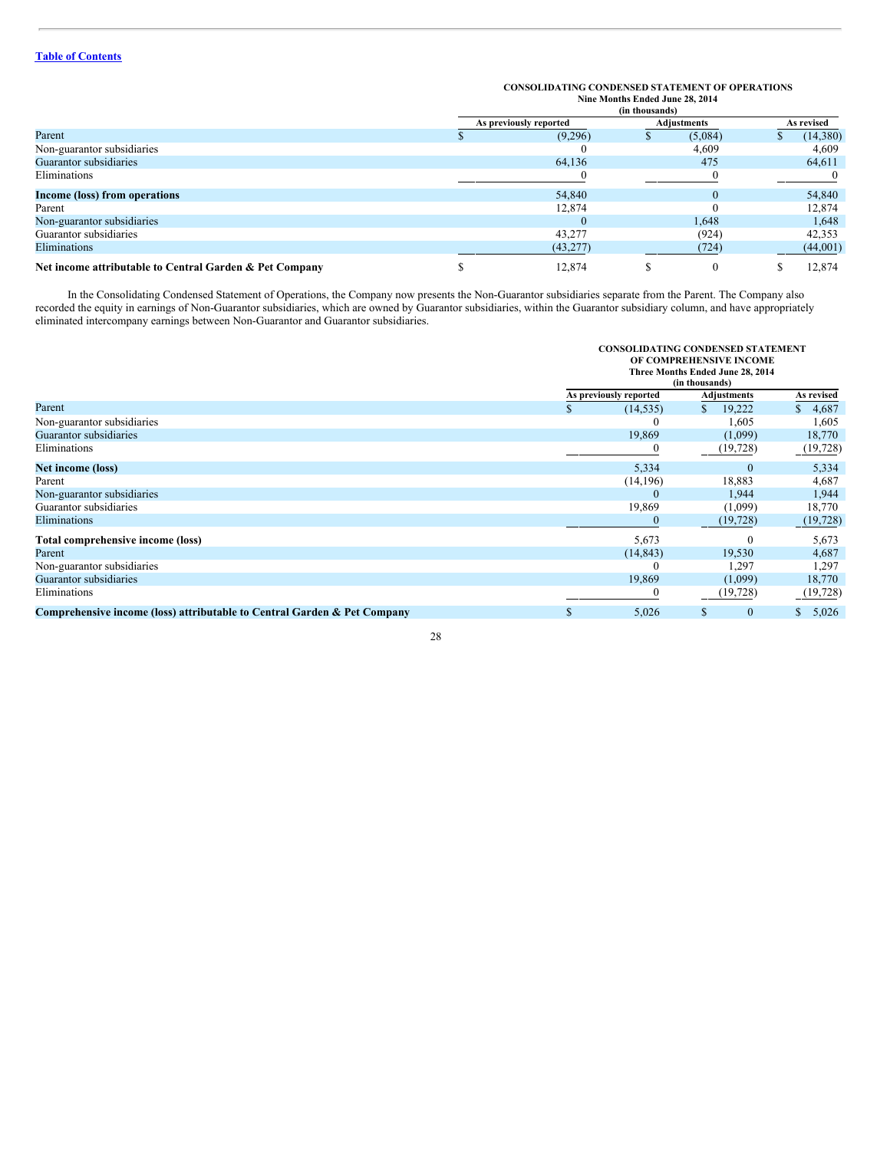|                                                         | Nine Months Ended June 28, 2014<br>(in thousands) |                        |  |             |  |            |  |  |
|---------------------------------------------------------|---------------------------------------------------|------------------------|--|-------------|--|------------|--|--|
|                                                         |                                                   | As previously reported |  | Adjustments |  | As revised |  |  |
| Parent                                                  |                                                   | (9,296)                |  | (5,084)     |  | (14,380)   |  |  |
| Non-guarantor subsidiaries                              |                                                   |                        |  | 4,609       |  | 4,609      |  |  |
| Guarantor subsidiaries                                  |                                                   | 64,136                 |  | 475         |  | 64,611     |  |  |
| Eliminations                                            |                                                   |                        |  |             |  |            |  |  |
| Income (loss) from operations                           |                                                   | 54,840                 |  |             |  | 54,840     |  |  |
| Parent                                                  |                                                   | 12,874                 |  |             |  | 12,874     |  |  |
| Non-guarantor subsidiaries                              |                                                   |                        |  | 1,648       |  | 1,648      |  |  |
| Guarantor subsidiaries                                  |                                                   | 43,277                 |  | (924)       |  | 42,353     |  |  |
| Eliminations                                            |                                                   | (43, 277)              |  | (724)       |  | (44,001)   |  |  |
| Net income attributable to Central Garden & Pet Company |                                                   | 12.874                 |  |             |  | 12.874     |  |  |

**CONSOLIDATING CONDENSED STATEMENT OF OPERATIONS**

In the Consolidating Condensed Statement of Operations, the Company now presents the Non-Guarantor subsidiaries separate from the Parent. The Company also recorded the equity in earnings of Non-Guarantor subsidiaries, which are owned by Guarantor subsidiaries, within the Guarantor subsidiary column, and have appropriately eliminated intercompany earnings between Non-Guarantor and Guarantor subsidiaries.

|                                                                          | <b>CONSOLIDATING CONDENSED STATEMENT</b> |                        |                                  |             |  |
|--------------------------------------------------------------------------|------------------------------------------|------------------------|----------------------------------|-------------|--|
|                                                                          | OF COMPREHENSIVE INCOME                  |                        |                                  |             |  |
|                                                                          |                                          |                        | Three Months Ended June 28, 2014 |             |  |
|                                                                          |                                          |                        | (in thousands)                   |             |  |
|                                                                          |                                          | As previously reported | <b>Adjustments</b>               | As revised  |  |
| Parent                                                                   |                                          | (14, 535)              | 19,222<br>S.                     | \$<br>4,687 |  |
| Non-guarantor subsidiaries                                               |                                          |                        | 1,605                            | 1,605       |  |
| Guarantor subsidiaries                                                   |                                          | 19,869                 | (1,099)                          | 18,770      |  |
| Eliminations                                                             |                                          | $\bf{0}$               | (19, 728)                        | (19, 728)   |  |
| <b>Net income (loss)</b>                                                 |                                          | 5,334                  | $\mathbf{0}$                     | 5,334       |  |
| Parent                                                                   |                                          | (14, 196)              | 18,883                           | 4,687       |  |
| Non-guarantor subsidiaries                                               |                                          | $\theta$               | 1,944                            | 1,944       |  |
| Guarantor subsidiaries                                                   |                                          | 19,869                 | (1,099)                          | 18,770      |  |
| Eliminations                                                             |                                          | $\theta$               | (19, 728)                        | (19, 728)   |  |
| Total comprehensive income (loss)                                        |                                          | 5,673                  |                                  | 5,673       |  |
| Parent                                                                   |                                          | (14, 843)              | 19,530                           | 4,687       |  |
| Non-guarantor subsidiaries                                               |                                          |                        | 1,297                            | 1,297       |  |
| Guarantor subsidiaries                                                   |                                          | 19,869                 | (1,099)                          | 18,770      |  |
| Eliminations                                                             |                                          |                        | (19, 728)                        | (19, 728)   |  |
| Comprehensive income (loss) attributable to Central Garden & Pet Company | S                                        | 5,026                  | $\mathbf{0}$<br>S                | \$5,026     |  |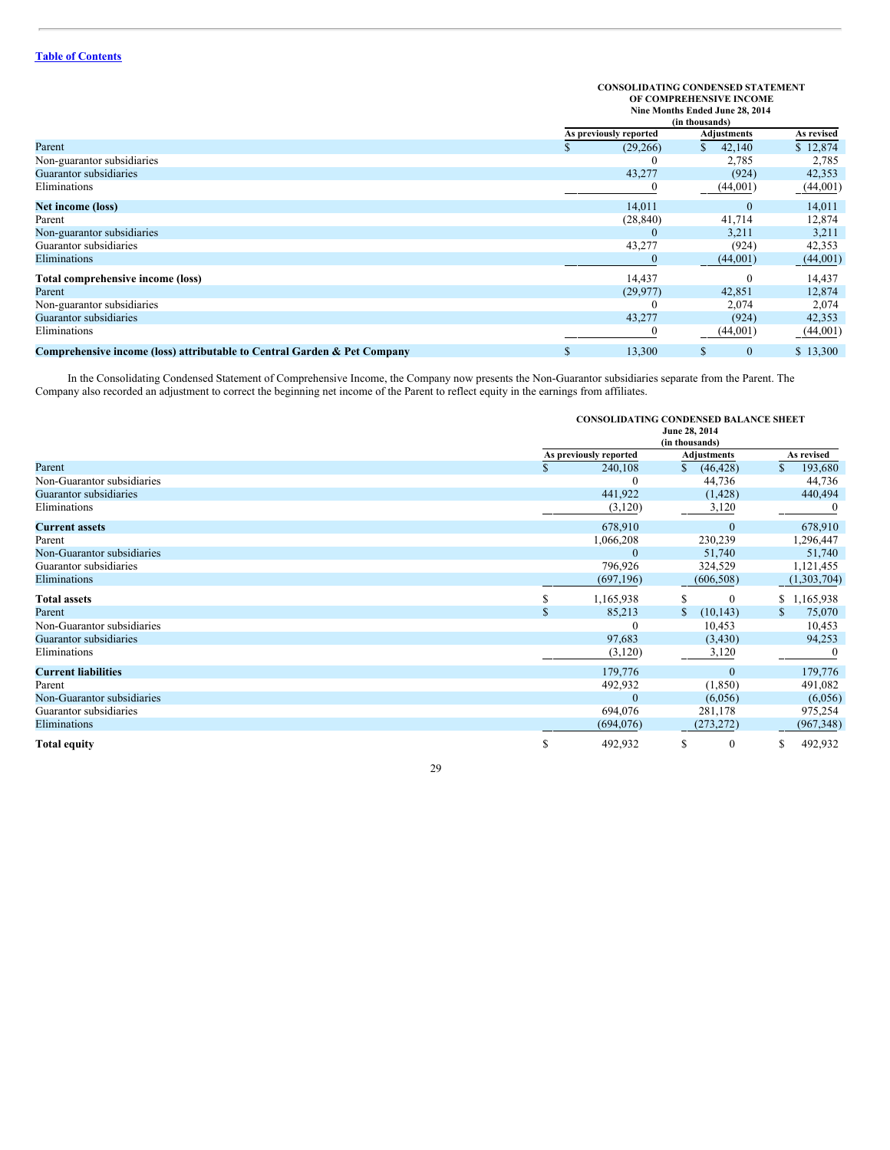|                                                                          | <b>CONSOLIDATING CONDENSED STATEMENT</b>                   |                        |                |                |            |
|--------------------------------------------------------------------------|------------------------------------------------------------|------------------------|----------------|----------------|------------|
|                                                                          | OF COMPREHENSIVE INCOME<br>Nine Months Ended June 28, 2014 |                        |                |                |            |
|                                                                          |                                                            |                        | (in thousands) |                |            |
|                                                                          |                                                            | As previously reported |                | Adjustments    | As revised |
| Parent                                                                   |                                                            | (29,266)               | S.             | 42,140         | \$12,874   |
| Non-guarantor subsidiaries                                               |                                                            |                        |                | 2,785          | 2,785      |
| Guarantor subsidiaries                                                   |                                                            | 43,277                 |                | (924)          | 42,353     |
| Eliminations                                                             |                                                            | $\theta$               |                | (44,001)       | (44,001)   |
| Net income (loss)                                                        |                                                            | 14,011                 |                | $\mathbf{0}$   | 14,011     |
| Parent                                                                   |                                                            | (28, 840)              |                | 41,714         | 12,874     |
| Non-guarantor subsidiaries                                               |                                                            | $\Omega$               |                | 3,211          | 3,211      |
| Guarantor subsidiaries                                                   |                                                            | 43,277                 |                | (924)          | 42,353     |
| Eliminations                                                             |                                                            | $\theta$               |                | (44,001)       | (44,001)   |
| Total comprehensive income (loss)                                        |                                                            | 14,437                 |                | 0              | 14,437     |
| Parent                                                                   |                                                            | (29, 977)              |                | 42,851         | 12,874     |
| Non-guarantor subsidiaries                                               |                                                            | $\Omega$               |                | 2,074          | 2,074      |
| Guarantor subsidiaries                                                   |                                                            | 43,277                 |                | (924)          | 42,353     |
| Eliminations                                                             |                                                            | 0                      |                | (44,001)       | (44,001)   |
| Comprehensive income (loss) attributable to Central Garden & Pet Company | S.                                                         | 13,300                 | S.             | $\overline{0}$ | \$13,300   |

In the Consolidating Condensed Statement of Comprehensive Income, the Company now presents the Non-Guarantor subsidiaries separate from the Parent. The Company also recorded an adjustment to correct the beginning net income of the Parent to reflect equity in the earnings from affiliates.

|                            | <b>CONSOLIDATING CONDENSED BALANCE SHEET</b> |                |                    |               |
|----------------------------|----------------------------------------------|----------------|--------------------|---------------|
|                            |                                              | June 28, 2014  |                    |               |
|                            |                                              | (in thousands) |                    |               |
|                            | As previously reported                       |                | <b>Adjustments</b> | As revised    |
| Parent                     | 240,108                                      | \$.            | (46, 428)          | \$<br>193,680 |
| Non-Guarantor subsidiaries | $\theta$                                     |                | 44,736             | 44,736        |
| Guarantor subsidiaries     | 441,922                                      |                | (1, 428)           | 440,494       |
| Eliminations               | (3,120)                                      |                | 3,120              | $\theta$      |
| <b>Current assets</b>      | 678,910                                      |                | $\mathbf{0}$       | 678,910       |
| Parent                     | 1,066,208                                    |                | 230,239            | 1,296,447     |
| Non-Guarantor subsidiaries | $\theta$                                     |                | 51,740             | 51,740        |
| Guarantor subsidiaries     | 796,926                                      |                | 324,529            | 1,121,455     |
| Eliminations               | (697, 196)                                   |                | (606, 508)         | (1,303,704)   |
| <b>Total assets</b>        | 1,165,938                                    | S.             | $\Omega$           | \$1,165,938   |
| Parent                     | 85,213<br>S                                  | \$             | (10, 143)          | \$<br>75,070  |
| Non-Guarantor subsidiaries | $\Omega$                                     |                | 10,453             | 10,453        |
| Guarantor subsidiaries     | 97,683                                       |                | (3,430)            | 94,253        |
| Eliminations               | (3,120)                                      |                | 3,120              |               |
| <b>Current liabilities</b> | 179,776                                      |                | $\mathbf{0}$       | 179,776       |
| Parent                     | 492,932                                      |                | (1, 850)           | 491,082       |
| Non-Guarantor subsidiaries | $\Omega$                                     |                | (6,056)            | (6,056)       |
| Guarantor subsidiaries     | 694,076                                      |                | 281,178            | 975,254       |
| Eliminations               | (694, 076)                                   |                | (273, 272)         | (967, 348)    |
| <b>Total equity</b>        | \$<br>492,932                                | \$             | $\bf{0}$           | \$<br>492,932 |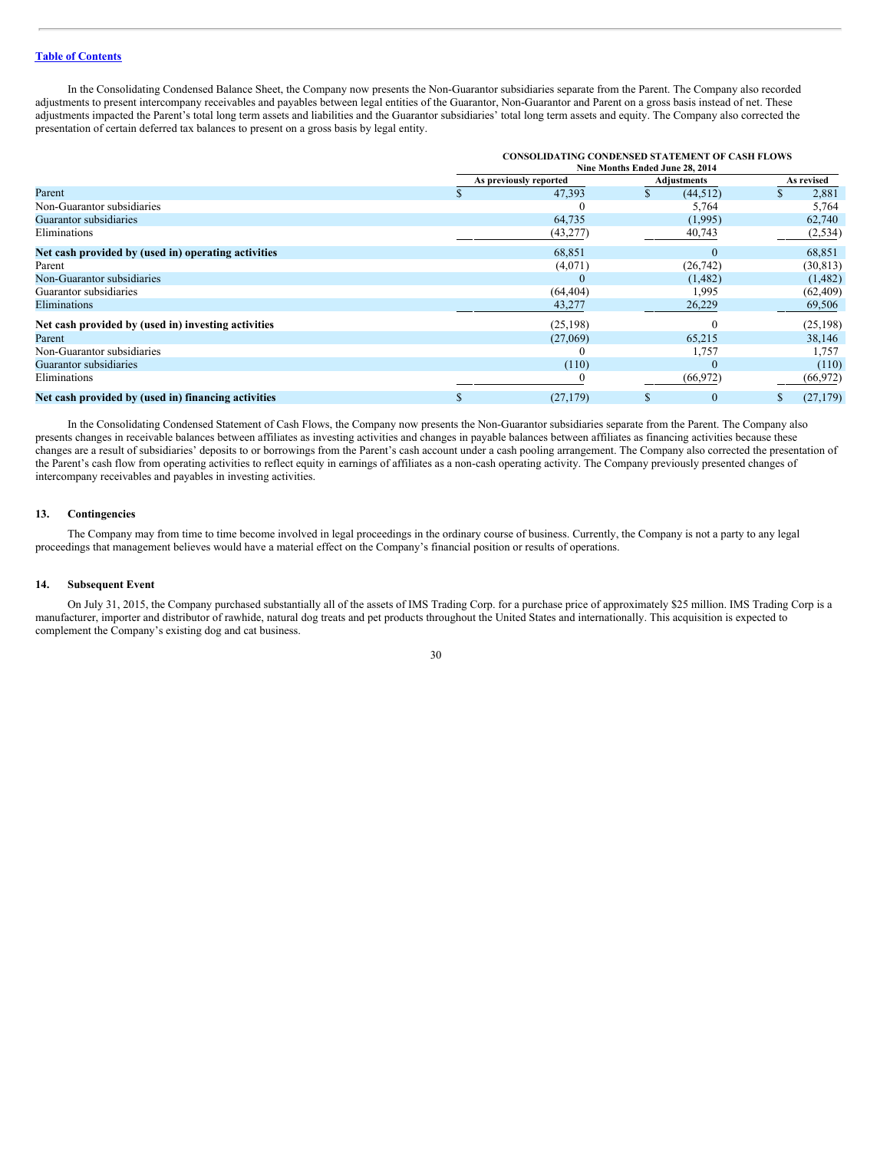In the Consolidating Condensed Balance Sheet, the Company now presents the Non-Guarantor subsidiaries separate from the Parent. The Company also recorded adjustments to present intercompany receivables and payables between legal entities of the Guarantor, Non-Guarantor and Parent on a gross basis instead of net. These adjustments impacted the Parent's total long term assets and liabilities and the Guarantor subsidiaries' total long term assets and equity. The Company also corrected the presentation of certain deferred tax balances to present on a gross basis by legal entity.

|                                                     | <b>CONSOLIDATING CONDENSED STATEMENT OF CASH FLOWS</b> | Nine Months Ended June 28, 2014 |             |            |
|-----------------------------------------------------|--------------------------------------------------------|---------------------------------|-------------|------------|
|                                                     | As previously reported                                 |                                 | Adjustments | As revised |
| Parent                                              | 47,393                                                 |                                 | (44, 512)   | 2,881      |
| Non-Guarantor subsidiaries                          | $\bf{0}$                                               |                                 | 5,764       | 5,764      |
| Guarantor subsidiaries                              | 64,735                                                 |                                 | (1,995)     | 62,740     |
| Eliminations                                        | (43, 277)                                              |                                 | 40,743      | (2, 534)   |
| Net cash provided by (used in) operating activities | 68,851                                                 |                                 | $\Omega$    | 68,851     |
| Parent                                              | (4,071)                                                |                                 | (26, 742)   | (30, 813)  |
| Non-Guarantor subsidiaries                          | $\Omega$                                               |                                 | (1, 482)    | (1,482)    |
| Guarantor subsidiaries                              | (64, 404)                                              |                                 | 1,995       | (62, 409)  |
| Eliminations                                        | 43,277                                                 |                                 | 26,229      | 69,506     |
| Net cash provided by (used in) investing activities | (25, 198)                                              |                                 |             | (25, 198)  |
| Parent                                              | (27,069)                                               |                                 | 65,215      | 38,146     |
| Non-Guarantor subsidiaries                          | 0                                                      |                                 | 1,757       | 1,757      |
| Guarantor subsidiaries                              | (110)                                                  |                                 | $\Omega$    | (110)      |
| Eliminations                                        |                                                        |                                 | (66, 972)   | (66, 972)  |
| Net cash provided by (used in) financing activities | \$<br>(27, 179)                                        | <b>S</b>                        | $\theta$    | (27, 179)  |

In the Consolidating Condensed Statement of Cash Flows, the Company now presents the Non-Guarantor subsidiaries separate from the Parent. The Company also presents changes in receivable balances between affiliates as investing activities and changes in payable balances between affiliates as financing activities because these changes are a result of subsidiaries' deposits to or borrowings from the Parent's cash account under a cash pooling arrangement. The Company also corrected the presentation of the Parent's cash flow from operating activities to reflect equity in earnings of affiliates as a non-cash operating activity. The Company previously presented changes of intercompany receivables and payables in investing activities.

#### **13. Contingencies**

The Company may from time to time become involved in legal proceedings in the ordinary course of business. Currently, the Company is not a party to any legal proceedings that management believes would have a material effect on the Company's financial position or results of operations.

#### **14. Subsequent Event**

On July 31, 2015, the Company purchased substantially all of the assets of IMS Trading Corp. for a purchase price of approximately \$25 million. IMS Trading Corp is a manufacturer, importer and distributor of rawhide, natural dog treats and pet products throughout the United States and internationally. This acquisition is expected to complement the Company's existing dog and cat business.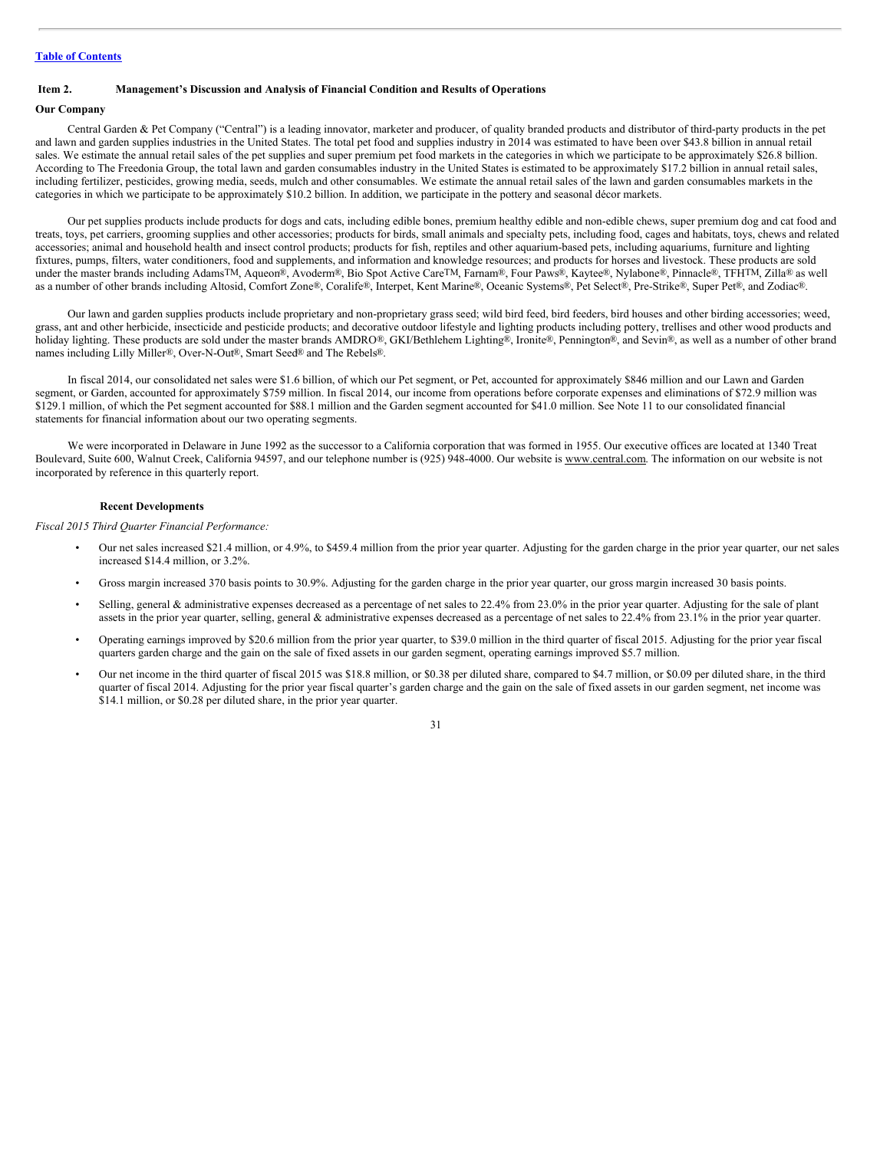#### <span id="page-30-0"></span>**Item 2. Management's Discussion and Analysis of Financial Condition and Results of Operations**

#### **Our Company**

Central Garden & Pet Company ("Central") is a leading innovator, marketer and producer, of quality branded products and distributor of third-party products in the pet and lawn and garden supplies industries in the United States. The total pet food and supplies industry in 2014 was estimated to have been over \$43.8 billion in annual retail sales. We estimate the annual retail sales of the pet supplies and super premium pet food markets in the categories in which we participate to be approximately \$26.8 billion. According to The Freedonia Group, the total lawn and garden consumables industry in the United States is estimated to be approximately \$17.2 billion in annual retail sales, including fertilizer, pesticides, growing media, seeds, mulch and other consumables. We estimate the annual retail sales of the lawn and garden consumables markets in the categories in which we participate to be approximately \$10.2 billion. In addition, we participate in the pottery and seasonal décor markets.

Our pet supplies products include products for dogs and cats, including edible bones, premium healthy edible and non-edible chews, super premium dog and cat food and treats, toys, pet carriers, grooming supplies and other accessories; products for birds, small animals and specialty pets, including food, cages and habitats, toys, chews and related accessories; animal and household health and insect control products; products for fish, reptiles and other aquarium-based pets, including aquariums, furniture and lighting fixtures, pumps, filters, water conditioners, food and supplements, and information and knowledge resources; and products for horses and livestock. These products are sold under the master brands including AdamsTM, Aqueon®, Avoderm®, Bio Spot Active CareTM, Farnam®, Four Paws®, Kaytee®, Nylabone®, Pinnacle®, TFHTM, Zilla® as well as a number of other brands including Altosid, Comfort Zone®, Coralife®, Interpet, Kent Marine®, Oceanic Systems®, Pet Select®, Pre-Strike®, Super Pet®, and Zodiac®.

Our lawn and garden supplies products include proprietary and non-proprietary grass seed; wild bird feed, bird feeders, bird houses and other birding accessories; weed, grass, ant and other herbicide, insecticide and pesticide products; and decorative outdoor lifestyle and lighting products including pottery, trellises and other wood products and holiday lighting. These products are sold under the master brands AMDRO®, GKI/Bethlehem Lighting®, Ironite®, Pennington®, and Sevin®, as well as a number of other brand names including Lilly Miller®, Over-N-Out®, Smart Seed® and The Rebels®.

In fiscal 2014, our consolidated net sales were \$1.6 billion, of which our Pet segment, or Pet, accounted for approximately \$846 million and our Lawn and Garden segment, or Garden, accounted for approximately \$759 million. In fiscal 2014, our income from operations before corporate expenses and eliminations of \$72.9 million was \$129.1 million, of which the Pet segment accounted for \$88.1 million and the Garden segment accounted for \$41.0 million. See Note 11 to our consolidated financial statements for financial information about our two operating segments.

We were incorporated in Delaware in June 1992 as the successor to a California corporation that was formed in 1955. Our executive offices are located at 1340 Treat Boulevard, Suite 600, Walnut Creek, California 94597, and our telephone number is (925) 948-4000. Our website is www.central.com. The information on our website is not incorporated by reference in this quarterly report.

#### **Recent Developments**

*Fiscal 2015 Third Quarter Financial Performance:*

- Our net sales increased \$21.4 million, or 4.9%, to \$459.4 million from the prior year quarter. Adjusting for the garden charge in the prior year quarter, our net sales increased \$14.4 million, or 3.2%.
- Gross margin increased 370 basis points to 30.9%. Adjusting for the garden charge in the prior year quarter, our gross margin increased 30 basis points.
- Selling, general & administrative expenses decreased as a percentage of net sales to 22.4% from 23.0% in the prior year quarter. Adjusting for the sale of plant assets in the prior year quarter, selling, general & administrative expenses decreased as a percentage of net sales to 22.4% from 23.1% in the prior year quarter.
- Operating earnings improved by \$20.6 million from the prior year quarter, to \$39.0 million in the third quarter of fiscal 2015. Adjusting for the prior year fiscal quarters garden charge and the gain on the sale of fixed assets in our garden segment, operating earnings improved \$5.7 million.
- Our net income in the third quarter of fiscal 2015 was \$18.8 million, or \$0.38 per diluted share, compared to \$4.7 million, or \$0.09 per diluted share, in the third quarter of fiscal 2014. Adjusting for the prior year fiscal quarter's garden charge and the gain on the sale of fixed assets in our garden segment, net income was \$14.1 million, or \$0.28 per diluted share, in the prior year quarter.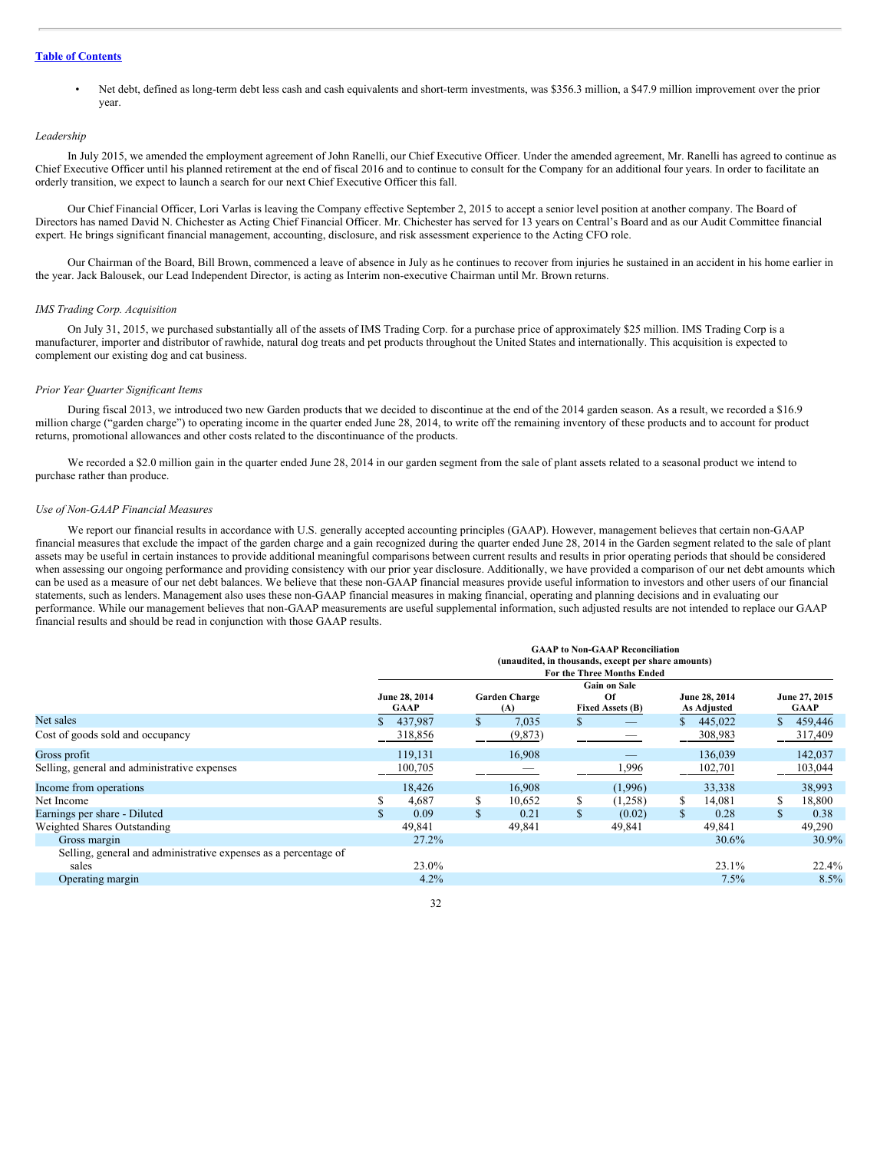• Net debt, defined as long-term debt less cash and cash equivalents and short-term investments, was \$356.3 million, a \$47.9 million improvement over the prior year.

#### *Leadership*

In July 2015, we amended the employment agreement of John Ranelli, our Chief Executive Officer. Under the amended agreement, Mr. Ranelli has agreed to continue as Chief Executive Officer until his planned retirement at the end of fiscal 2016 and to continue to consult for the Company for an additional four years. In order to facilitate an orderly transition, we expect to launch a search for our next Chief Executive Officer this fall.

Our Chief Financial Officer, Lori Varlas is leaving the Company effective September 2, 2015 to accept a senior level position at another company. The Board of Directors has named David N. Chichester as Acting Chief Financial Officer. Mr. Chichester has served for 13 years on Central's Board and as our Audit Committee financial expert. He brings significant financial management, accounting, disclosure, and risk assessment experience to the Acting CFO role.

Our Chairman of the Board, Bill Brown, commenced a leave of absence in July as he continues to recover from injuries he sustained in an accident in his home earlier in the year. Jack Balousek, our Lead Independent Director, is acting as Interim non-executive Chairman until Mr. Brown returns.

#### *IMS Trading Corp. Acquisition*

On July 31, 2015, we purchased substantially all of the assets of IMS Trading Corp. for a purchase price of approximately \$25 million. IMS Trading Corp is a manufacturer, importer and distributor of rawhide, natural dog treats and pet products throughout the United States and internationally. This acquisition is expected to complement our existing dog and cat business.

#### *Prior Year Quarter Significant Items*

During fiscal 2013, we introduced two new Garden products that we decided to discontinue at the end of the 2014 garden season. As a result, we recorded a \$16.9 million charge ("garden charge") to operating income in the quarter ended June 28, 2014, to write off the remaining inventory of these products and to account for product returns, promotional allowances and other costs related to the discontinuance of the products.

We recorded a \$2.0 million gain in the quarter ended June 28, 2014 in our garden segment from the sale of plant assets related to a seasonal product we intend to purchase rather than produce.

#### *Use of Non-GAAP Financial Measures*

We report our financial results in accordance with U.S. generally accepted accounting principles (GAAP). However, management believes that certain non-GAAP financial measures that exclude the impact of the garden charge and a gain recognized during the quarter ended June 28, 2014 in the Garden segment related to the sale of plant assets may be useful in certain instances to provide additional meaningful comparisons between current results and results in prior operating periods that should be considered when assessing our ongoing performance and providing consistency with our prior year disclosure. Additionally, we have provided a comparison of our net debt amounts which can be used as a measure of our net debt balances. We believe that these non-GAAP financial measures provide useful information to investors and other users of our financial statements, such as lenders. Management also uses these non-GAAP financial measures in making financial, operating and planning decisions and in evaluating our performance. While our management believes that non-GAAP measurements are useful supplemental information, such adjusted results are not intended to replace our GAAP financial results and should be read in conjunction with those GAAP results.

|                                                                 |                              |     |                             |    | <b>GAAP</b> to Non-GAAP Reconciliation<br>(unaudited, in thousands, except per share amounts) |   |                              |     |                              |
|-----------------------------------------------------------------|------------------------------|-----|-----------------------------|----|-----------------------------------------------------------------------------------------------|---|------------------------------|-----|------------------------------|
|                                                                 |                              |     |                             |    | For the Three Months Ended                                                                    |   |                              |     |                              |
|                                                                 |                              |     |                             |    | <b>Gain on Sale</b>                                                                           |   |                              |     |                              |
|                                                                 | June 28, 2014<br><b>GAAP</b> |     | <b>Garden Charge</b><br>(A) |    | Of<br><b>Fixed Assets (B)</b>                                                                 |   | June 28, 2014<br>As Adjusted |     | June 27, 2015<br><b>GAAP</b> |
| Net sales                                                       | 437,987                      | \$  | 7,035                       | S  |                                                                                               |   | 445,022                      |     | 459,446                      |
| Cost of goods sold and occupancy                                | 318,856                      |     | (9,873)                     |    |                                                                                               |   | 308,983                      |     | 317,409                      |
| Gross profit                                                    | 119,131                      |     | 16,908                      |    |                                                                                               |   | 136,039                      |     | 142,037                      |
| Selling, general and administrative expenses                    | 100,705                      |     |                             |    | 1,996                                                                                         |   | 102,701                      |     | 103,044                      |
| Income from operations                                          | 18,426                       |     | 16,908                      |    | (1,996)                                                                                       |   | 33,338                       |     | 38,993                       |
| Net Income                                                      | 4,687                        | \$  | 10,652                      | \$ | (1,258)                                                                                       | S | 14,081                       | S   | 18,800                       |
| Earnings per share - Diluted                                    | 0.09                         | \$. | 0.21                        | \$ | (0.02)                                                                                        |   | 0.28                         | \$. | 0.38                         |
| Weighted Shares Outstanding                                     | 49,841                       |     | 49,841                      |    | 49,841                                                                                        |   | 49,841                       |     | 49,290                       |
| Gross margin                                                    | 27.2%                        |     |                             |    |                                                                                               |   | 30.6%                        |     | $30.9\%$                     |
| Selling, general and administrative expenses as a percentage of |                              |     |                             |    |                                                                                               |   |                              |     |                              |
| sales                                                           | 23.0%                        |     |                             |    |                                                                                               |   | 23.1%                        |     | 22.4%                        |
| Operating margin                                                | 4.2%                         |     |                             |    |                                                                                               |   | 7.5%                         |     | 8.5%                         |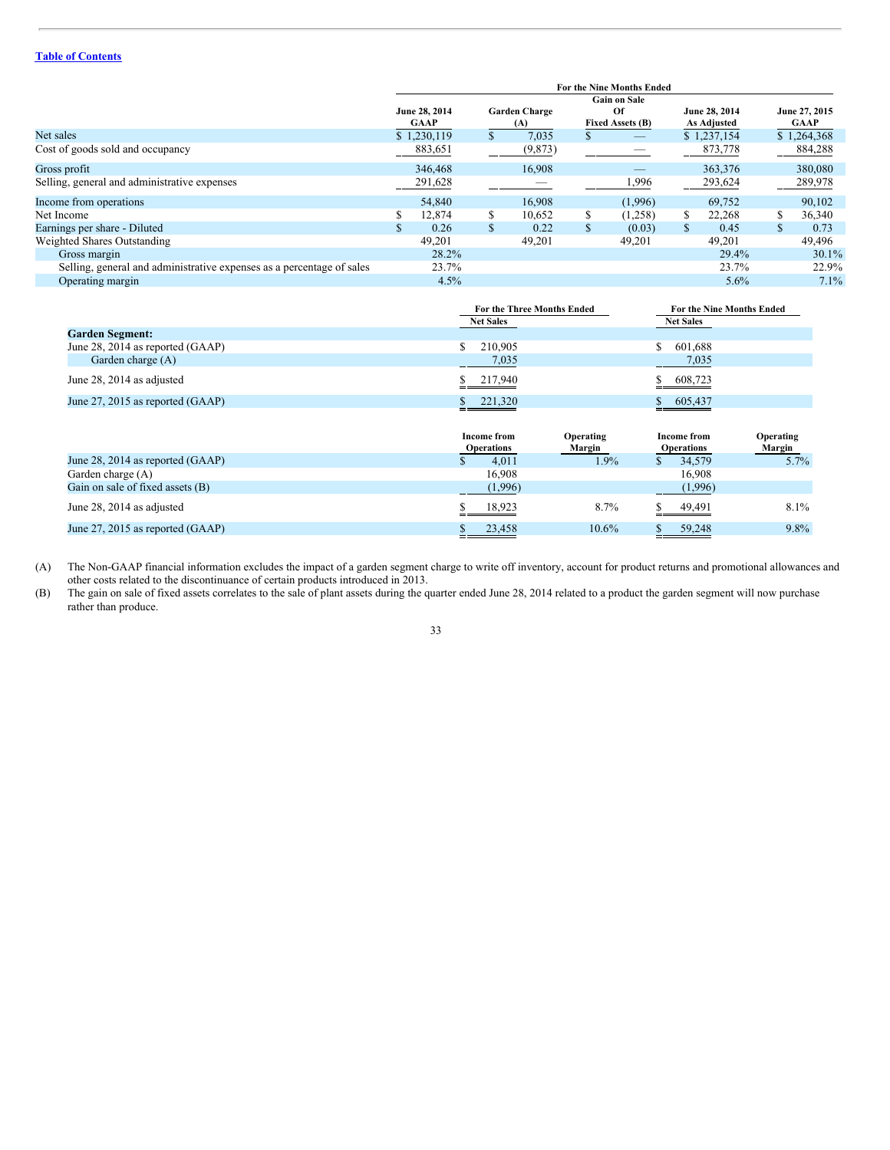|                                                                       |   |               |                      |    | For the Nine Months Ended |               |               |     |               |
|-----------------------------------------------------------------------|---|---------------|----------------------|----|---------------------------|---------------|---------------|-----|---------------|
|                                                                       |   |               |                      |    | <b>Gain on Sale</b>       |               |               |     |               |
|                                                                       |   | June 28, 2014 | <b>Garden Charge</b> |    | Of                        |               | June 28, 2014 |     | June 27, 2015 |
|                                                                       |   | <b>GAAP</b>   | (A)                  |    | <b>Fixed Assets (B)</b>   |               | As Adjusted   |     | <b>GAAP</b>   |
| Net sales                                                             |   | \$1,230,119   | 7,035                |    |                           |               | \$1,237,154   |     | \$1,264,368   |
| Cost of goods sold and occupancy                                      |   | 883,651       | (9,873)              |    |                           |               | 873,778       |     | 884,288       |
| Gross profit                                                          |   | 346,468       | 16,908               |    | _                         |               | 363,376       |     | 380,080       |
| Selling, general and administrative expenses                          |   | 291,628       |                      |    | 1,996                     |               | 293,624       |     | 289,978       |
| Income from operations                                                |   | 54,840        | 16.908               |    | (1.996)                   |               | 69,752        |     | 90,102        |
| Net Income                                                            | S | 12,874        | \$<br>10,652         | ь  | (1,258)                   | S             | 22,268        | S   | 36,340        |
| Earnings per share - Diluted                                          |   | 0.26          | \$<br>0.22           | S. | (0.03)                    | <sup>\$</sup> | 0.45          | \$. | 0.73          |
| Weighted Shares Outstanding                                           |   | 49,201        | 49.201               |    | 49,201                    |               | 49,201        |     | 49.496        |
| Gross margin                                                          |   | 28.2%         |                      |    |                           |               | 29.4%         |     | $30.1\%$      |
| Selling, general and administrative expenses as a percentage of sales |   | 23.7%         |                      |    |                           |               | 23.7%         |     | 22.9%         |
| Operating margin                                                      |   | 4.5%          |                      |    |                           |               | 5.6%          |     | 7.1%          |

|                                  | <b>For the Three Months Ended</b><br><b>Net Sales</b> |           | <b>For the Nine Months Ended</b> |           |  |
|----------------------------------|-------------------------------------------------------|-----------|----------------------------------|-----------|--|
|                                  |                                                       |           | <b>Net Sales</b>                 |           |  |
| <b>Garden Segment:</b>           |                                                       |           |                                  |           |  |
| June 28, 2014 as reported (GAAP) | 210,905                                               |           | S<br>601,688                     |           |  |
| Garden charge (A)                | 7,035                                                 |           | 7,035                            |           |  |
| June 28, 2014 as adjusted        | 217,940                                               |           | 608,723                          |           |  |
| June 27, 2015 as reported (GAAP) | 221,320                                               |           | 605,437                          |           |  |
|                                  |                                                       |           |                                  |           |  |
|                                  | <b>Income from</b>                                    | Operating | <b>Income from</b>               | Operating |  |
|                                  | <b>Operations</b>                                     | Margin    | <b>Operations</b>                | Margin    |  |
| June 28, 2014 as reported (GAAP) | 4,011                                                 | 1.9%      | 34,579<br>S.                     | $5.7\%$   |  |
| Garden charge (A)                | 16,908                                                |           | 16,908                           |           |  |
| Gain on sale of fixed assets (B) | (1,996)                                               |           | (1,996)                          |           |  |
| June 28, 2014 as adjusted        | 18,923                                                | 8.7%      | 49,491                           | $8.1\%$   |  |
|                                  |                                                       |           |                                  |           |  |

(A) The Non-GAAP financial information excludes the impact of a garden segment charge to write off inventory, account for product returns and promotional allowances and other costs related to the discontinuance of certain products introduced in 2013.

(B) The gain on sale of fixed assets correlates to the sale of plant assets during the quarter ended June 28, 2014 related to a product the garden segment will now purchase rather than produce.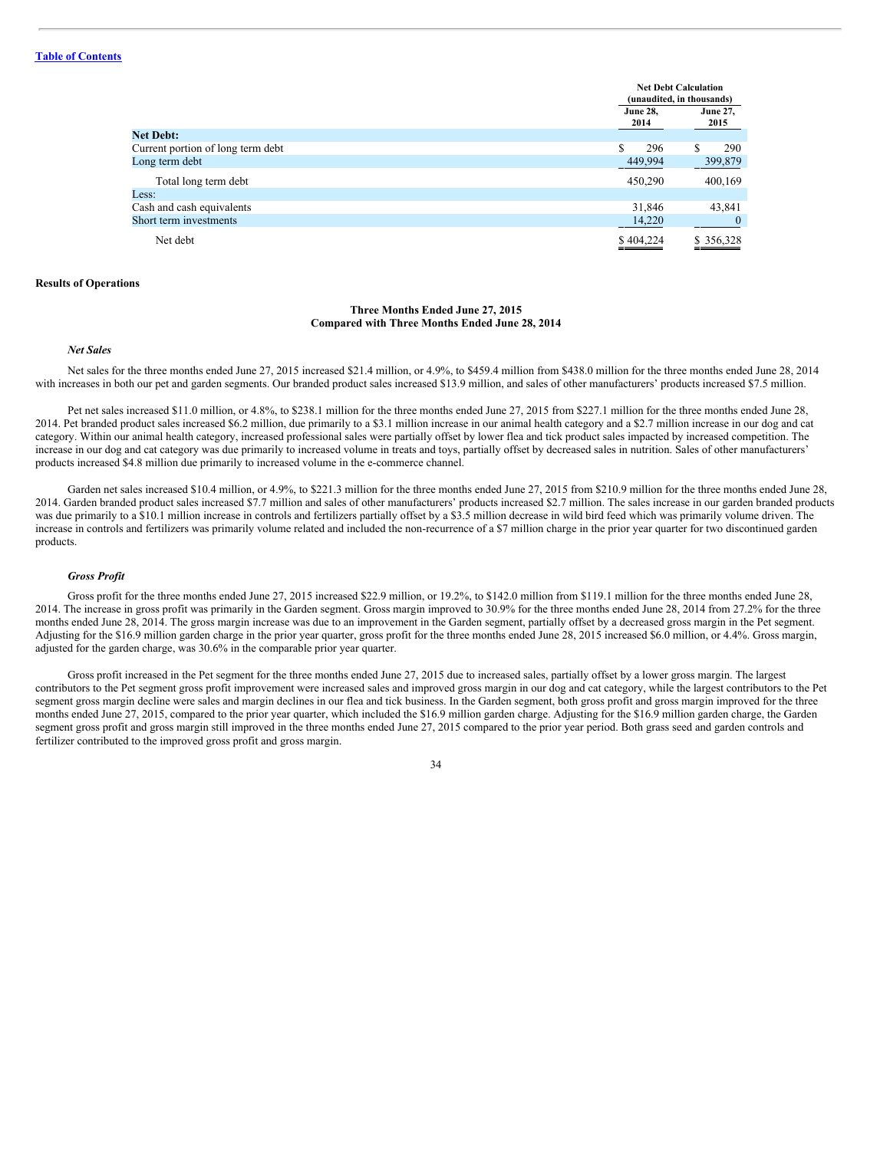|                                   |                         | <b>Net Debt Calculation</b><br>(unaudited, in thousands) |
|-----------------------------------|-------------------------|----------------------------------------------------------|
|                                   | <b>June 28,</b><br>2014 | <b>June 27,</b><br>2015                                  |
| <b>Net Debt:</b>                  |                         |                                                          |
| Current portion of long term debt | S<br>296                | 290<br>S                                                 |
| Long term debt                    | 449,994                 | 399,879                                                  |
| Total long term debt              | 450,290                 | 400,169                                                  |
| Less:                             |                         |                                                          |
| Cash and cash equivalents         | 31,846                  | 43,841                                                   |
| Short term investments            | 14,220                  | $\theta$                                                 |
| Net debt                          | \$404,224               | \$356,328                                                |

#### **Results of Operations**

#### **Three Months Ended June 27, 2015 Compared with Three Months Ended June 28, 2014**

## *Net Sales*

Net sales for the three months ended June 27, 2015 increased \$21.4 million, or 4.9%, to \$459.4 million from \$438.0 million for the three months ended June 28, 2014 with increases in both our pet and garden segments. Our branded product sales increased \$13.9 million, and sales of other manufacturers' products increased \$7.5 million.

Pet net sales increased \$11.0 million, or 4.8%, to \$238.1 million for the three months ended June 27, 2015 from \$227.1 million for the three months ended June 28, 2014. Pet branded product sales increased \$6.2 million, due primarily to a \$3.1 million increase in our animal health category and a \$2.7 million increase in our dog and cat category. Within our animal health category, increased professional sales were partially offset by lower flea and tick product sales impacted by increased competition. The increase in our dog and cat category was due primarily to increased volume in treats and toys, partially offset by decreased sales in nutrition. Sales of other manufacturers' products increased \$4.8 million due primarily to increased volume in the e-commerce channel.

Garden net sales increased \$10.4 million, or 4.9%, to \$221.3 million for the three months ended June 27, 2015 from \$210.9 million for the three months ended June 28, 2014. Garden branded product sales increased \$7.7 million and sales of other manufacturers' products increased \$2.7 million. The sales increase in our garden branded products was due primarily to a \$10.1 million increase in controls and fertilizers partially offset by a \$3.5 million decrease in wild bird feed which was primarily volume driven. The increase in controls and fertilizers was primarily volume related and included the non-recurrence of a \$7 million charge in the prior year quarter for two discontinued garden products.

#### *Gross Profit*

Gross profit for the three months ended June 27, 2015 increased \$22.9 million, or 19.2%, to \$142.0 million from \$119.1 million for the three months ended June 28, 2014. The increase in gross profit was primarily in the Garden segment. Gross margin improved to 30.9% for the three months ended June 28, 2014 from 27.2% for the three months ended June 28, 2014. The gross margin increase was due to an improvement in the Garden segment, partially offset by a decreased gross margin in the Pet segment. Adjusting for the \$16.9 million garden charge in the prior year quarter, gross profit for the three months ended June 28, 2015 increased \$6.0 million, or 4.4%. Gross margin, adjusted for the garden charge, was 30.6% in the comparable prior year quarter.

Gross profit increased in the Pet segment for the three months ended June 27, 2015 due to increased sales, partially offset by a lower gross margin. The largest contributors to the Pet segment gross profit improvement were increased sales and improved gross margin in our dog and cat category, while the largest contributors to the Pet segment gross margin decline were sales and margin declines in our flea and tick business. In the Garden segment, both gross profit and gross margin improved for the three months ended June 27, 2015, compared to the prior year quarter, which included the \$16.9 million garden charge. Adjusting for the \$16.9 million garden charge, the Garden segment gross profit and gross margin still improved in the three months ended June 27, 2015 compared to the prior year period. Both grass seed and garden controls and fertilizer contributed to the improved gross profit and gross margin.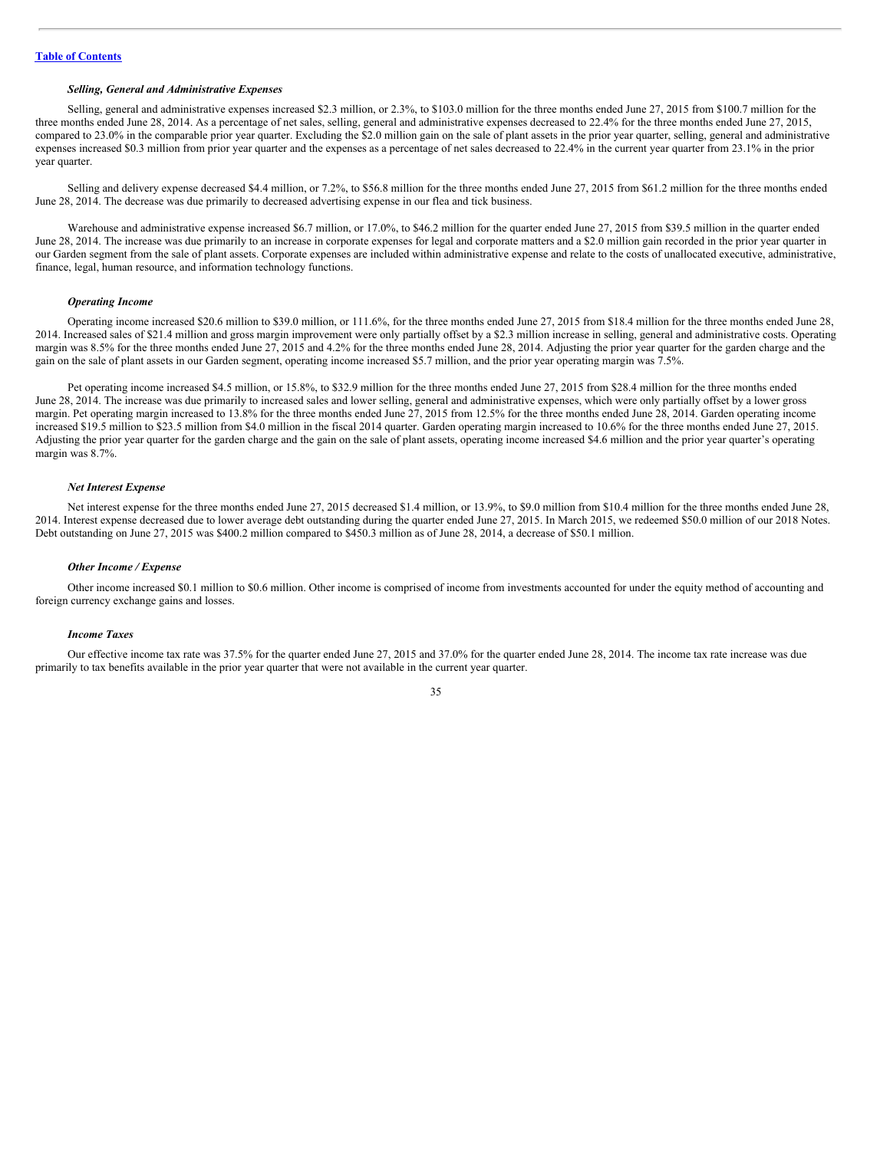#### *Selling, General and Administrative Expenses*

Selling, general and administrative expenses increased \$2.3 million, or 2.3%, to \$103.0 million for the three months ended June 27, 2015 from \$100.7 million for the three months ended June 28, 2014. As a percentage of net sales, selling, general and administrative expenses decreased to 22.4% for the three months ended June 27, 2015, compared to 23.0% in the comparable prior year quarter. Excluding the \$2.0 million gain on the sale of plant assets in the prior year quarter, selling, general and administrative expenses increased \$0.3 million from prior year quarter and the expenses as a percentage of net sales decreased to 22.4% in the current year quarter from 23.1% in the prior year quarter.

Selling and delivery expense decreased \$4.4 million, or 7.2%, to \$56.8 million for the three months ended June 27, 2015 from \$61.2 million for the three months ended June 28, 2014. The decrease was due primarily to decreased advertising expense in our flea and tick business.

Warehouse and administrative expense increased \$6.7 million, or 17.0%, to \$46.2 million for the quarter ended June 27, 2015 from \$39.5 million in the quarter ended June 28, 2014. The increase was due primarily to an increase in corporate expenses for legal and corporate matters and a \$2.0 million gain recorded in the prior year quarter in our Garden segment from the sale of plant assets. Corporate expenses are included within administrative expense and relate to the costs of unallocated executive, administrative, finance, legal, human resource, and information technology functions.

#### *Operating Income*

Operating income increased \$20.6 million to \$39.0 million, or 111.6%, for the three months ended June 27, 2015 from \$18.4 million for the three months ended June 28, 2014. Increased sales of \$21.4 million and gross margin improvement were only partially offset by a \$2.3 million increase in selling, general and administrative costs. Operating margin was 8.5% for the three months ended June 27, 2015 and 4.2% for the three months ended June 28, 2014. Adjusting the prior year quarter for the garden charge and the gain on the sale of plant assets in our Garden segment, operating income increased \$5.7 million, and the prior year operating margin was 7.5%.

Pet operating income increased \$4.5 million, or 15.8%, to \$32.9 million for the three months ended June 27, 2015 from \$28.4 million for the three months ended June 28, 2014. The increase was due primarily to increased sales and lower selling, general and administrative expenses, which were only partially offset by a lower gross margin. Pet operating margin increased to 13.8% for the three months ended June 27, 2015 from 12.5% for the three months ended June 28, 2014. Garden operating income increased \$19.5 million to \$23.5 million from \$4.0 million in the fiscal 2014 quarter. Garden operating margin increased to 10.6% for the three months ended June 27, 2015. Adjusting the prior year quarter for the garden charge and the gain on the sale of plant assets, operating income increased \$4.6 million and the prior year quarter's operating margin was 8.7%.

#### *Net Interest Expense*

Net interest expense for the three months ended June 27, 2015 decreased \$1.4 million, or 13.9%, to \$9.0 million from \$10.4 million for the three months ended June 28, 2014. Interest expense decreased due to lower average debt outstanding during the quarter ended June 27, 2015. In March 2015, we redeemed \$50.0 million of our 2018 Notes. Debt outstanding on June 27, 2015 was \$400.2 million compared to \$450.3 million as of June 28, 2014, a decrease of \$50.1 million.

#### *Other Income / Expense*

Other income increased \$0.1 million to \$0.6 million. Other income is comprised of income from investments accounted for under the equity method of accounting and foreign currency exchange gains and losses.

#### *Income Taxes*

Our effective income tax rate was 37.5% for the quarter ended June 27, 2015 and 37.0% for the quarter ended June 28, 2014. The income tax rate increase was due primarily to tax benefits available in the prior year quarter that were not available in the current year quarter.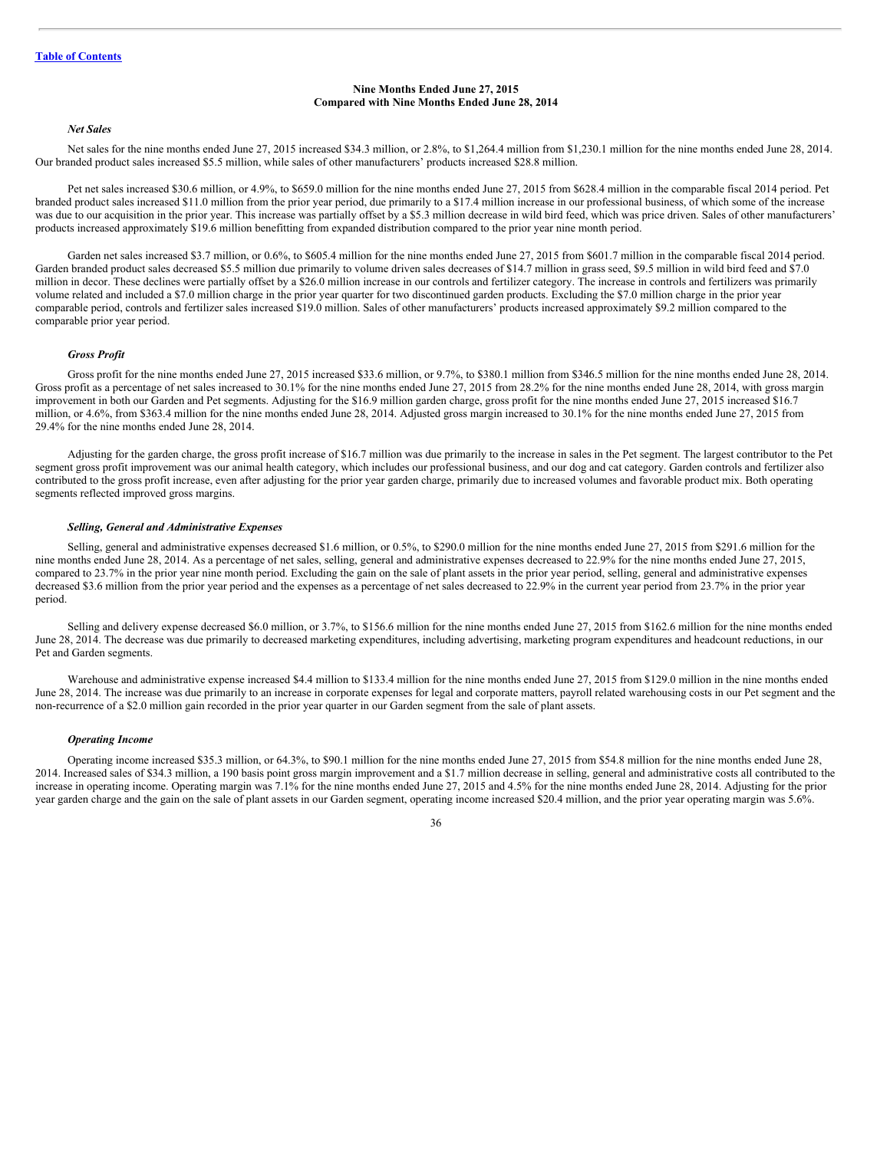#### **Nine Months Ended June 27, 2015 Compared with Nine Months Ended June 28, 2014**

#### *Net Sales*

Net sales for the nine months ended June 27, 2015 increased \$34.3 million, or 2.8%, to \$1,264.4 million from \$1,230.1 million for the nine months ended June 28, 2014. Our branded product sales increased \$5.5 million, while sales of other manufacturers' products increased \$28.8 million.

Pet net sales increased \$30.6 million, or 4.9%, to \$659.0 million for the nine months ended June 27, 2015 from \$628.4 million in the comparable fiscal 2014 period. Pet branded product sales increased \$11.0 million from the prior year period, due primarily to a \$17.4 million increase in our professional business, of which some of the increase was due to our acquisition in the prior year. This increase was partially offset by a \$5.3 million decrease in wild bird feed, which was price driven. Sales of other manufacturers' products increased approximately \$19.6 million benefitting from expanded distribution compared to the prior year nine month period.

Garden net sales increased \$3.7 million, or 0.6%, to \$605.4 million for the nine months ended June 27, 2015 from \$601.7 million in the comparable fiscal 2014 period. Garden branded product sales decreased \$5.5 million due primarily to volume driven sales decreases of \$14.7 million in grass seed, \$9.5 million in wild bird feed and \$7.0 million in decor. These declines were partially offset by a \$26.0 million increase in our controls and fertilizer category. The increase in controls and fertilizers was primarily volume related and included a \$7.0 million charge in the prior year quarter for two discontinued garden products. Excluding the \$7.0 million charge in the prior year comparable period, controls and fertilizer sales increased \$19.0 million. Sales of other manufacturers' products increased approximately \$9.2 million compared to the comparable prior year period.

#### *Gross Profit*

Gross profit for the nine months ended June 27, 2015 increased \$33.6 million, or 9.7%, to \$380.1 million from \$346.5 million for the nine months ended June 28, 2014. Gross profit as a percentage of net sales increased to 30.1% for the nine months ended June 27, 2015 from 28.2% for the nine months ended June 28, 2014, with gross margin improvement in both our Garden and Pet segments. Adjusting for the \$16.9 million garden charge, gross profit for the nine months ended June 27, 2015 increased \$16.7 million, or 4.6%, from \$363.4 million for the nine months ended June 28, 2014. Adjusted gross margin increased to 30.1% for the nine months ended June 27, 2015 from 29.4% for the nine months ended June 28, 2014.

Adjusting for the garden charge, the gross profit increase of \$16.7 million was due primarily to the increase in sales in the Pet segment. The largest contributor to the Pet segment gross profit improvement was our animal health category, which includes our professional business, and our dog and cat category. Garden controls and fertilizer also contributed to the gross profit increase, even after adjusting for the prior year garden charge, primarily due to increased volumes and favorable product mix. Both operating segments reflected improved gross margins.

#### *Selling, General and Administrative Expenses*

Selling, general and administrative expenses decreased \$1.6 million, or 0.5%, to \$290.0 million for the nine months ended June 27, 2015 from \$291.6 million for the nine months ended June 28, 2014. As a percentage of net sales, selling, general and administrative expenses decreased to 22.9% for the nine months ended June 27, 2015, compared to 23.7% in the prior year nine month period. Excluding the gain on the sale of plant assets in the prior year period, selling, general and administrative expenses decreased \$3.6 million from the prior year period and the expenses as a percentage of net sales decreased to 22.9% in the current year period from 23.7% in the prior year period.

Selling and delivery expense decreased \$6.0 million, or 3.7%, to \$156.6 million for the nine months ended June 27, 2015 from \$162.6 million for the nine months ended June 28, 2014. The decrease was due primarily to decreased marketing expenditures, including advertising, marketing program expenditures and headcount reductions, in our Pet and Garden segments.

Warehouse and administrative expense increased \$4.4 million to \$133.4 million for the nine months ended June 27, 2015 from \$129.0 million in the nine months ended June 28, 2014. The increase was due primarily to an increase in corporate expenses for legal and corporate matters, payroll related warehousing costs in our Pet segment and the non-recurrence of a \$2.0 million gain recorded in the prior year quarter in our Garden segment from the sale of plant assets.

#### *Operating Income*

Operating income increased \$35.3 million, or 64.3%, to \$90.1 million for the nine months ended June 27, 2015 from \$54.8 million for the nine months ended June 28, 2014. Increased sales of \$34.3 million, a 190 basis point gross margin improvement and a \$1.7 million decrease in selling, general and administrative costs all contributed to the increase in operating income. Operating margin was 7.1% for the nine months ended June 27, 2015 and 4.5% for the nine months ended June 28, 2014. Adjusting for the prior year garden charge and the gain on the sale of plant assets in our Garden segment, operating income increased \$20.4 million, and the prior year operating margin was 5.6%.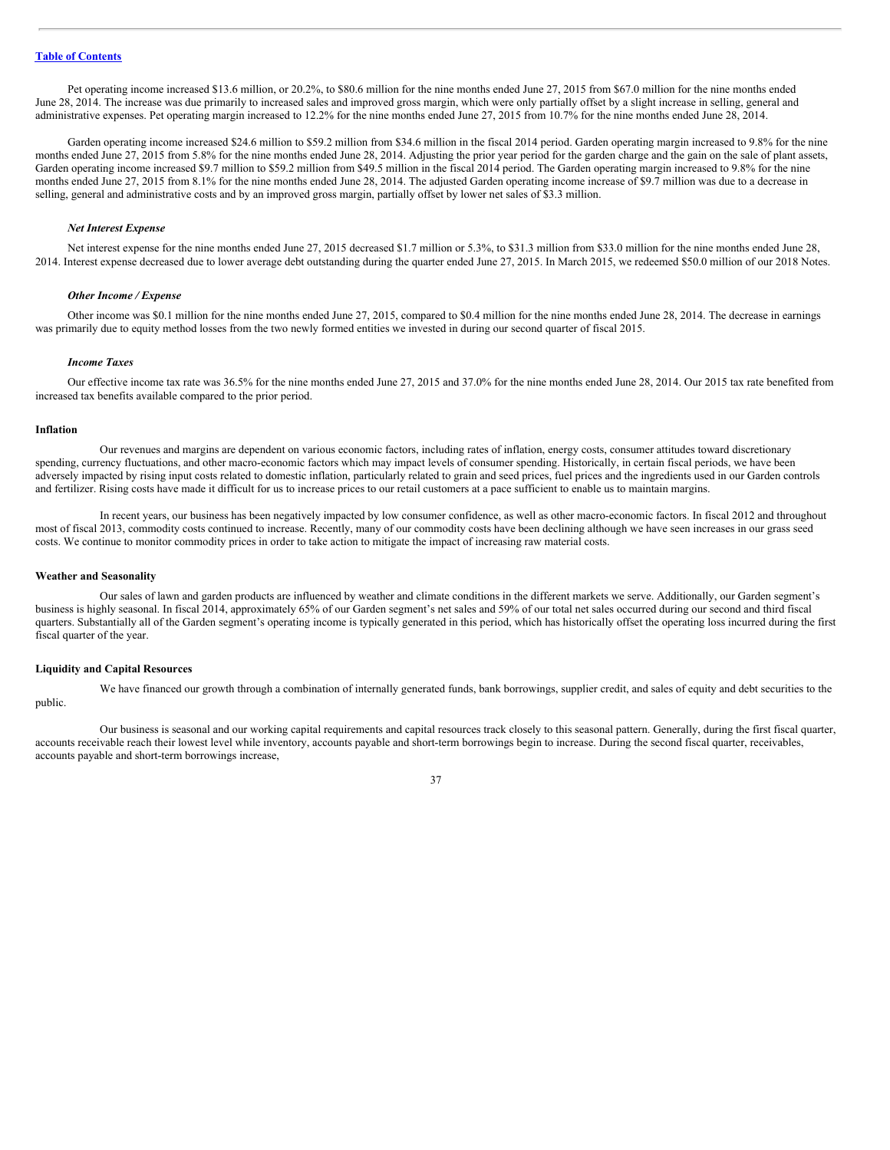Pet operating income increased \$13.6 million, or 20.2%, to \$80.6 million for the nine months ended June 27, 2015 from \$67.0 million for the nine months ended June 28, 2014. The increase was due primarily to increased sales and improved gross margin, which were only partially offset by a slight increase in selling, general and administrative expenses. Pet operating margin increased to 12.2% for the nine months ended June 27, 2015 from 10.7% for the nine months ended June 28, 2014.

Garden operating income increased \$24.6 million to \$59.2 million from \$34.6 million in the fiscal 2014 period. Garden operating margin increased to 9.8% for the nine months ended June 27, 2015 from 5.8% for the nine months ended June 28, 2014. Adjusting the prior year period for the garden charge and the gain on the sale of plant assets, Garden operating income increased \$9.7 million to \$59.2 million from \$49.5 million in the fiscal 2014 period. The Garden operating margin increased to 9.8% for the nine months ended June 27, 2015 from 8.1% for the nine months ended June 28, 2014. The adjusted Garden operating income increase of \$9.7 million was due to a decrease in selling, general and administrative costs and by an improved gross margin, partially offset by lower net sales of \$3.3 million.

#### *Net Interest Expense*

Net interest expense for the nine months ended June 27, 2015 decreased \$1.7 million or 5.3%, to \$31.3 million from \$33.0 million for the nine months ended June 28, 2014. Interest expense decreased due to lower average debt outstanding during the quarter ended June 27, 2015. In March 2015, we redeemed \$50.0 million of our 2018 Notes.

#### *Other Income / Expense*

Other income was \$0.1 million for the nine months ended June 27, 2015, compared to \$0.4 million for the nine months ended June 28, 2014. The decrease in earnings was primarily due to equity method losses from the two newly formed entities we invested in during our second quarter of fiscal 2015.

#### *Income Taxes*

Our effective income tax rate was 36.5% for the nine months ended June 27, 2015 and 37.0% for the nine months ended June 28, 2014. Our 2015 tax rate benefited from increased tax benefits available compared to the prior period.

#### **Inflation**

Our revenues and margins are dependent on various economic factors, including rates of inflation, energy costs, consumer attitudes toward discretionary spending, currency fluctuations, and other macro-economic factors which may impact levels of consumer spending. Historically, in certain fiscal periods, we have been adversely impacted by rising input costs related to domestic inflation, particularly related to grain and seed prices, fuel prices and the ingredients used in our Garden controls and fertilizer. Rising costs have made it difficult for us to increase prices to our retail customers at a pace sufficient to enable us to maintain margins.

In recent years, our business has been negatively impacted by low consumer confidence, as well as other macro-economic factors. In fiscal 2012 and throughout most of fiscal 2013, commodity costs continued to increase. Recently, many of our commodity costs have been declining although we have seen increases in our grass seed costs. We continue to monitor commodity prices in order to take action to mitigate the impact of increasing raw material costs.

#### **Weather and Seasonality**

Our sales of lawn and garden products are influenced by weather and climate conditions in the different markets we serve. Additionally, our Garden segment's business is highly seasonal. In fiscal 2014, approximately 65% of our Garden segment's net sales and 59% of our total net sales occurred during our second and third fiscal quarters. Substantially all of the Garden segment's operating income is typically generated in this period, which has historically offset the operating loss incurred during the first fiscal quarter of the year.

#### **Liquidity and Capital Resources**

We have financed our growth through a combination of internally generated funds, bank borrowings, supplier credit, and sales of equity and debt securities to the public.

Our business is seasonal and our working capital requirements and capital resources track closely to this seasonal pattern. Generally, during the first fiscal quarter, accounts receivable reach their lowest level while inventory, accounts payable and short-term borrowings begin to increase. During the second fiscal quarter, receivables, accounts payable and short-term borrowings increase,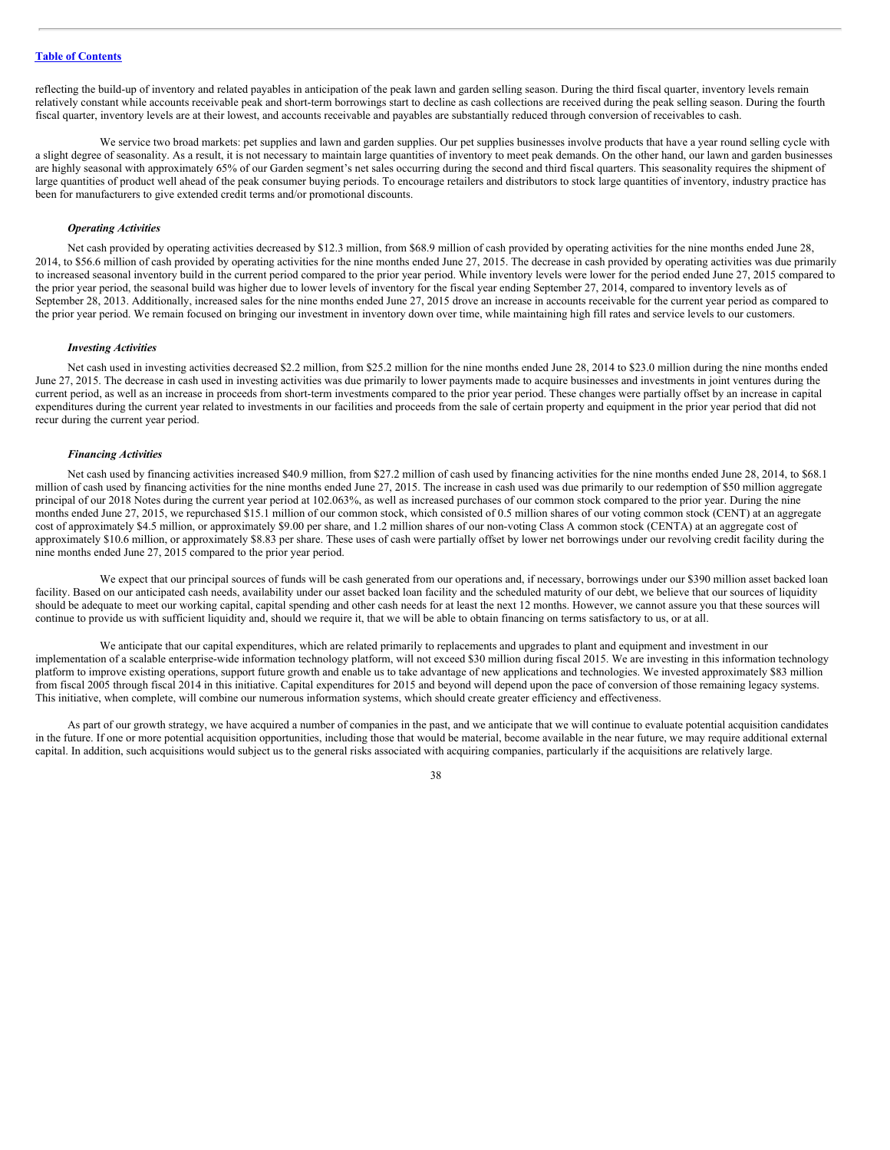reflecting the build-up of inventory and related payables in anticipation of the peak lawn and garden selling season. During the third fiscal quarter, inventory levels remain relatively constant while accounts receivable peak and short-term borrowings start to decline as cash collections are received during the peak selling season. During the fourth fiscal quarter, inventory levels are at their lowest, and accounts receivable and payables are substantially reduced through conversion of receivables to cash.

We service two broad markets: pet supplies and lawn and garden supplies. Our pet supplies businesses involve products that have a year round selling cycle with a slight degree of seasonality. As a result, it is not necessary to maintain large quantities of inventory to meet peak demands. On the other hand, our lawn and garden businesses are highly seasonal with approximately 65% of our Garden segment's net sales occurring during the second and third fiscal quarters. This seasonality requires the shipment of large quantities of product well ahead of the peak consumer buying periods. To encourage retailers and distributors to stock large quantities of inventory, industry practice has been for manufacturers to give extended credit terms and/or promotional discounts.

#### *Operating Activities*

Net cash provided by operating activities decreased by \$12.3 million, from \$68.9 million of cash provided by operating activities for the nine months ended June 28, 2014, to \$56.6 million of cash provided by operating activities for the nine months ended June 27, 2015. The decrease in cash provided by operating activities was due primarily to increased seasonal inventory build in the current period compared to the prior year period. While inventory levels were lower for the period ended June 27, 2015 compared to the prior year period, the seasonal build was higher due to lower levels of inventory for the fiscal year ending September 27, 2014, compared to inventory levels as of September 28, 2013. Additionally, increased sales for the nine months ended June 27, 2015 drove an increase in accounts receivable for the current year period as compared to the prior year period. We remain focused on bringing our investment in inventory down over time, while maintaining high fill rates and service levels to our customers.

#### *Investing Activities*

Net cash used in investing activities decreased \$2.2 million, from \$25.2 million for the nine months ended June 28, 2014 to \$23.0 million during the nine months ended June 27, 2015. The decrease in cash used in investing activities was due primarily to lower payments made to acquire businesses and investments in joint ventures during the current period, as well as an increase in proceeds from short-term investments compared to the prior year period. These changes were partially offset by an increase in capital expenditures during the current year related to investments in our facilities and proceeds from the sale of certain property and equipment in the prior year period that did not recur during the current year period.

#### *Financing Activities*

Net cash used by financing activities increased \$40.9 million, from \$27.2 million of cash used by financing activities for the nine months ended June 28, 2014, to \$68.1 million of cash used by financing activities for the nine months ended June 27, 2015. The increase in cash used was due primarily to our redemption of \$50 million aggregate principal of our 2018 Notes during the current year period at 102.063%, as well as increased purchases of our common stock compared to the prior year. During the nine months ended June 27, 2015, we repurchased \$15.1 million of our common stock, which consisted of 0.5 million shares of our voting common stock (CENT) at an aggregate cost of approximately \$4.5 million, or approximately \$9.00 per share, and 1.2 million shares of our non-voting Class A common stock (CENTA) at an aggregate cost of approximately \$10.6 million, or approximately \$8.83 per share. These uses of cash were partially offset by lower net borrowings under our revolving credit facility during the nine months ended June 27, 2015 compared to the prior year period.

We expect that our principal sources of funds will be cash generated from our operations and, if necessary, borrowings under our \$390 million asset backed loan facility. Based on our anticipated cash needs, availability under our asset backed loan facility and the scheduled maturity of our debt, we believe that our sources of liquidity should be adequate to meet our working capital, capital spending and other cash needs for at least the next 12 months. However, we cannot assure you that these sources will continue to provide us with sufficient liquidity and, should we require it, that we will be able to obtain financing on terms satisfactory to us, or at all.

We anticipate that our capital expenditures, which are related primarily to replacements and upgrades to plant and equipment and investment in our implementation of a scalable enterprise-wide information technology platform, will not exceed \$30 million during fiscal 2015. We are investing in this information technology platform to improve existing operations, support future growth and enable us to take advantage of new applications and technologies. We invested approximately \$83 million from fiscal 2005 through fiscal 2014 in this initiative. Capital expenditures for 2015 and beyond will depend upon the pace of conversion of those remaining legacy systems. This initiative, when complete, will combine our numerous information systems, which should create greater efficiency and effectiveness.

As part of our growth strategy, we have acquired a number of companies in the past, and we anticipate that we will continue to evaluate potential acquisition candidates in the future. If one or more potential acquisition opportunities, including those that would be material, become available in the near future, we may require additional external capital. In addition, such acquisitions would subject us to the general risks associated with acquiring companies, particularly if the acquisitions are relatively large.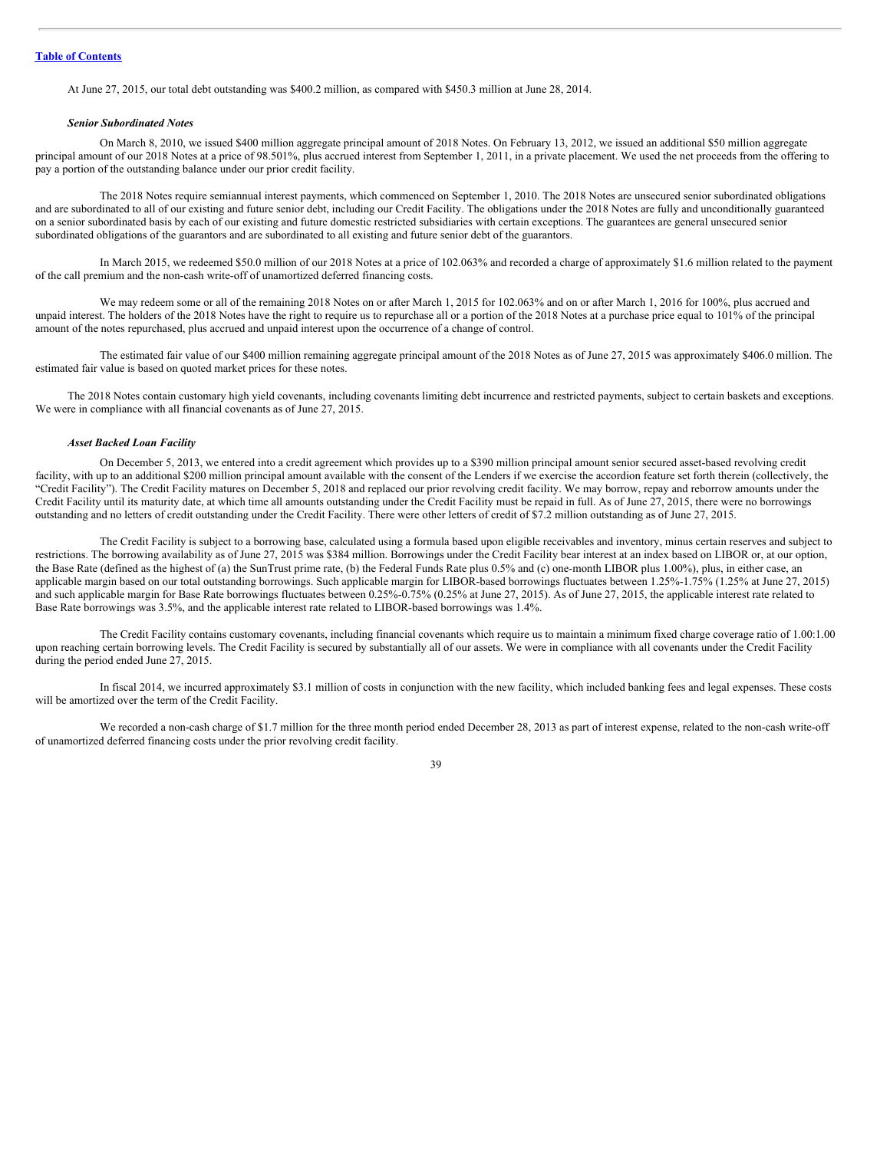At June 27, 2015, our total debt outstanding was \$400.2 million, as compared with \$450.3 million at June 28, 2014.

#### *Senior Subordinated Notes*

On March 8, 2010, we issued \$400 million aggregate principal amount of 2018 Notes. On February 13, 2012, we issued an additional \$50 million aggregate principal amount of our 2018 Notes at a price of 98.501%, plus accrued interest from September 1, 2011, in a private placement. We used the net proceeds from the offering to pay a portion of the outstanding balance under our prior credit facility.

The 2018 Notes require semiannual interest payments, which commenced on September 1, 2010. The 2018 Notes are unsecured senior subordinated obligations and are subordinated to all of our existing and future senior debt, including our Credit Facility. The obligations under the 2018 Notes are fully and unconditionally guaranteed on a senior subordinated basis by each of our existing and future domestic restricted subsidiaries with certain exceptions. The guarantees are general unsecured senior subordinated obligations of the guarantors and are subordinated to all existing and future senior debt of the guarantors.

In March 2015, we redeemed \$50.0 million of our 2018 Notes at a price of 102.063% and recorded a charge of approximately \$1.6 million related to the payment of the call premium and the non-cash write-off of unamortized deferred financing costs.

We may redeem some or all of the remaining 2018 Notes on or after March 1, 2015 for 102.063% and on or after March 1, 2016 for 100%, plus accrued and unpaid interest. The holders of the 2018 Notes have the right to require us to repurchase all or a portion of the 2018 Notes at a purchase price equal to 101% of the principal amount of the notes repurchased, plus accrued and unpaid interest upon the occurrence of a change of control.

The estimated fair value of our \$400 million remaining aggregate principal amount of the 2018 Notes as of June 27, 2015 was approximately \$406.0 million. The estimated fair value is based on quoted market prices for these notes.

The 2018 Notes contain customary high yield covenants, including covenants limiting debt incurrence and restricted payments, subject to certain baskets and exceptions. We were in compliance with all financial covenants as of June 27, 2015.

#### *Asset Backed Loan Facility*

On December 5, 2013, we entered into a credit agreement which provides up to a \$390 million principal amount senior secured asset-based revolving credit facility, with up to an additional \$200 million principal amount available with the consent of the Lenders if we exercise the accordion feature set forth therein (collectively, the "Credit Facility"). The Credit Facility matures on December 5, 2018 and replaced our prior revolving credit facility. We may borrow, repay and reborrow amounts under the Credit Facility until its maturity date, at which time all amounts outstanding under the Credit Facility must be repaid in full. As of June 27, 2015, there were no borrowings outstanding and no letters of credit outstanding under the Credit Facility. There were other letters of credit of \$7.2 million outstanding as of June 27, 2015.

The Credit Facility is subject to a borrowing base, calculated using a formula based upon eligible receivables and inventory, minus certain reserves and subject to restrictions. The borrowing availability as of June 27, 2015 was \$384 million. Borrowings under the Credit Facility bear interest at an index based on LIBOR or, at our option, the Base Rate (defined as the highest of (a) the SunTrust prime rate, (b) the Federal Funds Rate plus 0.5% and (c) one-month LIBOR plus 1.00%), plus, in either case, an applicable margin based on our total outstanding borrowings. Such applicable margin for LIBOR-based borrowings fluctuates between 1.25%-1.75% (1.25% at June 27, 2015) and such applicable margin for Base Rate borrowings fluctuates between 0.25%-0.75% (0.25% at June 27, 2015). As of June 27, 2015, the applicable interest rate related to Base Rate borrowings was 3.5%, and the applicable interest rate related to LIBOR-based borrowings was 1.4%.

The Credit Facility contains customary covenants, including financial covenants which require us to maintain a minimum fixed charge coverage ratio of 1.00:1.00 upon reaching certain borrowing levels. The Credit Facility is secured by substantially all of our assets. We were in compliance with all covenants under the Credit Facility during the period ended June 27, 2015.

In fiscal 2014, we incurred approximately \$3.1 million of costs in conjunction with the new facility, which included banking fees and legal expenses. These costs will be amortized over the term of the Credit Facility.

We recorded a non-cash charge of \$1.7 million for the three month period ended December 28, 2013 as part of interest expense, related to the non-cash write-off of unamortized deferred financing costs under the prior revolving credit facility.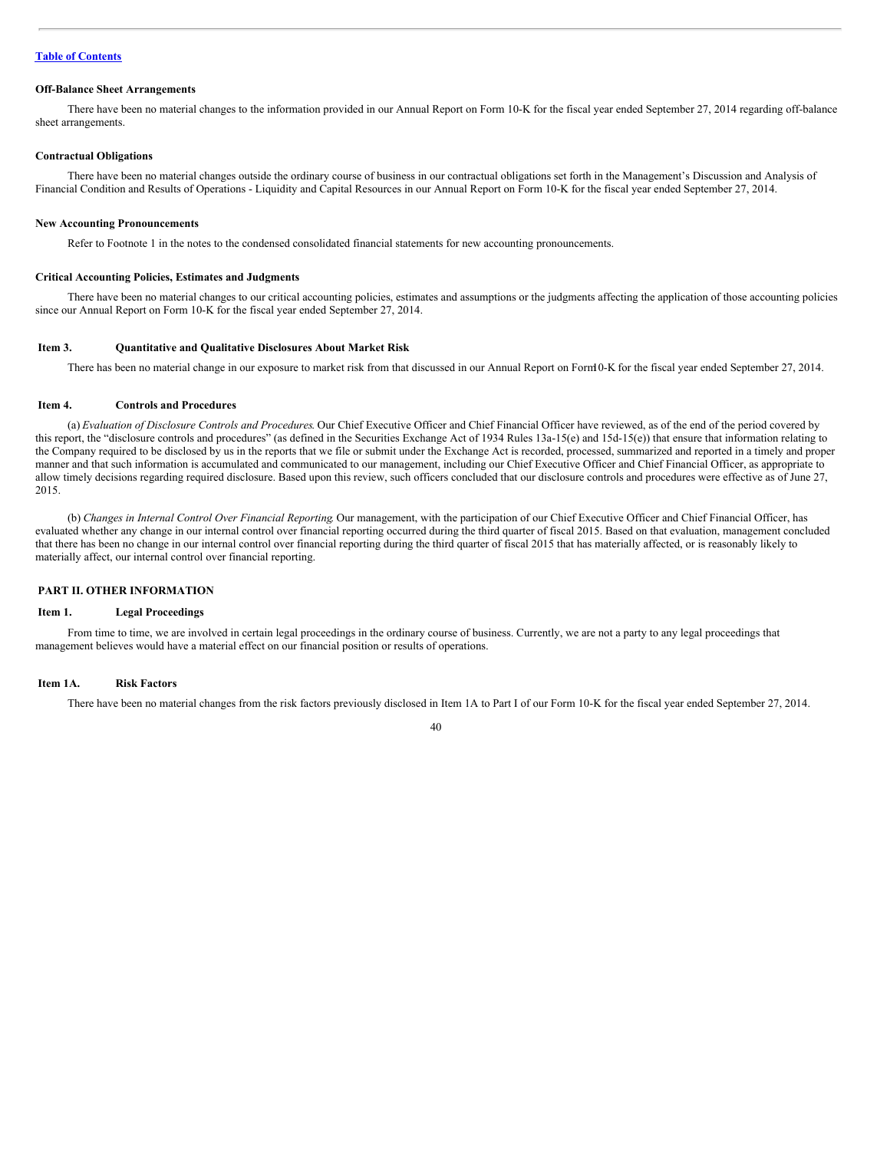#### **Off-Balance Sheet Arrangements**

There have been no material changes to the information provided in our Annual Report on Form 10-K for the fiscal year ended September 27, 2014 regarding off-balance sheet arrangements.

#### **Contractual Obligations**

There have been no material changes outside the ordinary course of business in our contractual obligations set forth in the Management's Discussion and Analysis of Financial Condition and Results of Operations - Liquidity and Capital Resources in our Annual Report on Form 10-K for the fiscal year ended September 27, 2014.

#### **New Accounting Pronouncements**

Refer to Footnote 1 in the notes to the condensed consolidated financial statements for new accounting pronouncements.

#### **Critical Accounting Policies, Estimates and Judgments**

There have been no material changes to our critical accounting policies, estimates and assumptions or the judgments affecting the application of those accounting policies since our Annual Report on Form 10-K for the fiscal year ended September 27, 2014.

#### <span id="page-39-0"></span>**Item 3. Quantitative and Qualitative Disclosures About Market Risk**

There has been no material change in our exposure to market risk from that discussed in our Annual Report on Form10-K for the fiscal year ended September 27, 2014.

#### <span id="page-39-1"></span>**Item 4. Controls and Procedures**

(a) *Evaluation of Disclosure Controls and Procedures*. Our Chief Executive Officer and Chief Financial Officer have reviewed, as of the end of the period covered by this report, the "disclosure controls and procedures" (as defined in the Securities Exchange Act of 1934 Rules 13a-15(e) and 15d-15(e)) that ensure that information relating to the Company required to be disclosed by us in the reports that we file or submit under the Exchange Act is recorded, processed, summarized and reported in a timely and proper manner and that such information is accumulated and communicated to our management, including our Chief Executive Officer and Chief Financial Officer, as appropriate to allow timely decisions regarding required disclosure. Based upon this review, such officers concluded that our disclosure controls and procedures were effective as of June 27, 2015.

(b) *Changes in Internal Control Over Financial Reporting*. Our management, with the participation of our Chief Executive Officer and Chief Financial Officer, has evaluated whether any change in our internal control over financial reporting occurred during the third quarter of fiscal 2015. Based on that evaluation, management concluded that there has been no change in our internal control over financial reporting during the third quarter of fiscal 2015 that has materially affected, or is reasonably likely to materially affect, our internal control over financial reporting.

## **PART II. OTHER INFORMATION**

#### <span id="page-39-2"></span>**Item 1. Legal Proceedings**

From time to time, we are involved in certain legal proceedings in the ordinary course of business. Currently, we are not a party to any legal proceedings that management believes would have a material effect on our financial position or results of operations.

#### <span id="page-39-3"></span>**Item 1A. Risk Factors**

There have been no material changes from the risk factors previously disclosed in Item 1A to Part I of our Form 10-K for the fiscal year ended September 27, 2014.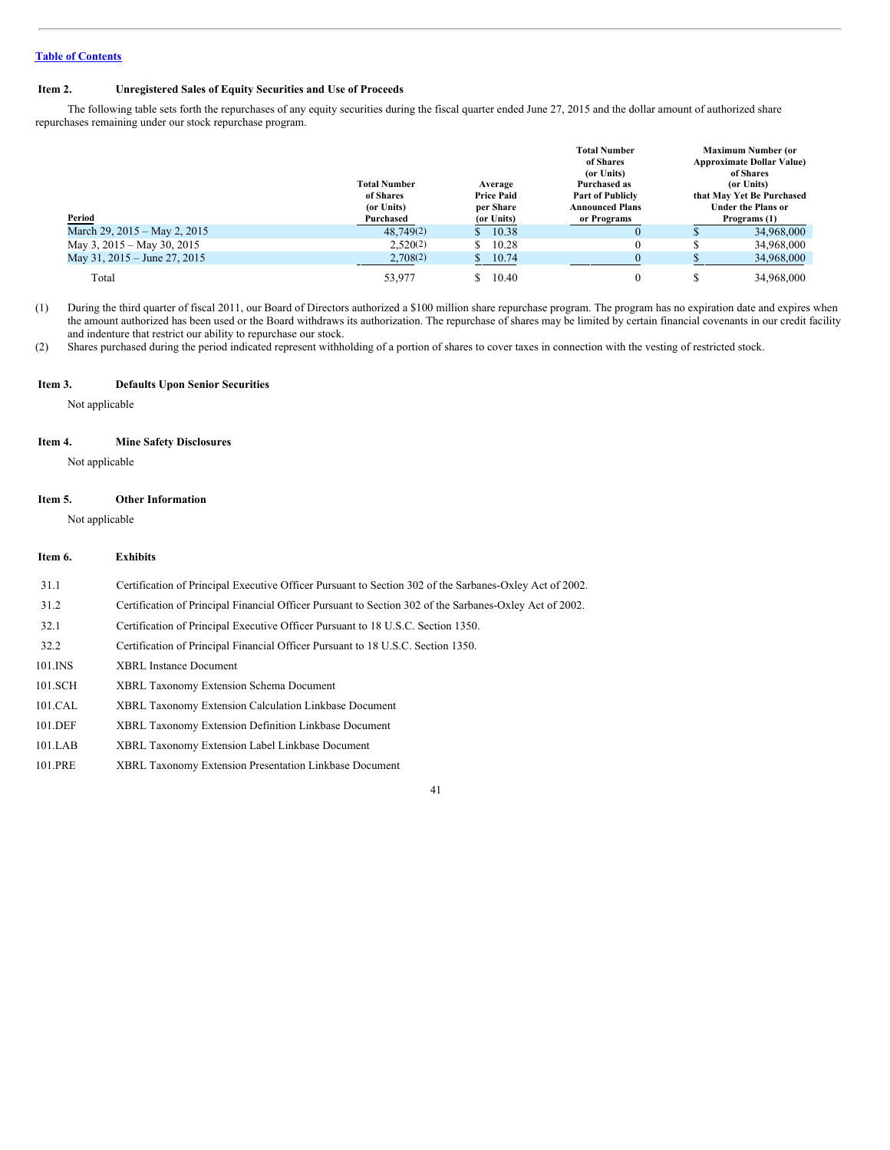## <span id="page-40-0"></span>**Item 2. Unregistered Sales of Equity Securities and Use of Proceeds**

The following table sets forth the repurchases of any equity securities during the fiscal quarter ended June 27, 2015 and the dollar amount of authorized share repurchases remaining under our stock repurchase program.

| Period                       | <b>Total Number</b><br>of Shares<br>(or Units)<br>Purchased | Average<br><b>Price Paid</b><br>per Share<br>(or Units) | <b>Total Number</b><br>of Shares<br>(or Units)<br>Purchased as<br>Part of Publicly<br><b>Announced Plans</b><br>or Programs | <b>Maximum Number (or</b><br><b>Approximate Dollar Value)</b><br>of Shares<br>(or Units)<br>that May Yet Be Purchased<br><b>Under the Plans or</b><br>Programs (1) |
|------------------------------|-------------------------------------------------------------|---------------------------------------------------------|-----------------------------------------------------------------------------------------------------------------------------|--------------------------------------------------------------------------------------------------------------------------------------------------------------------|
| March 29, 2015 – May 2, 2015 | 48,749(2)                                                   | 10.38<br>S                                              | $\theta$                                                                                                                    | 34,968,000                                                                                                                                                         |
| May 3, 2015 - May 30, 2015   | 2,520(2)                                                    | 10.28                                                   | $\theta$                                                                                                                    | 34,968,000                                                                                                                                                         |
| May 31, 2015 – June 27, 2015 | 2,708(2)                                                    | 10.74                                                   |                                                                                                                             | 34,968,000                                                                                                                                                         |
| Total                        | 53.977                                                      | 10.40                                                   | 0                                                                                                                           | 34,968,000                                                                                                                                                         |

(1) During the third quarter of fiscal 2011, our Board of Directors authorized a \$100 million share repurchase program. The program has no expiration date and expires when the amount authorized has been used or the Board withdraws its authorization. The repurchase of shares may be limited by certain financial covenants in our credit facility and indenture that restrict our ability to repurchase our stock.

(2) Shares purchased during the period indicated represent withholding of a portion of shares to cover taxes in connection with the vesting of restricted stock.

## <span id="page-40-1"></span>**Item 3. Defaults Upon Senior Securities**

Not applicable

## <span id="page-40-2"></span>**Item 4. Mine Safety Disclosures**

Not applicable

#### <span id="page-40-3"></span>**Item 5. Other Information**

Not applicable

#### <span id="page-40-4"></span>**Item 6. Exhibits**

| 31.1    | Certification of Principal Executive Officer Pursuant to Section 302 of the Sarbanes-Oxley Act of 2002. |
|---------|---------------------------------------------------------------------------------------------------------|
| 31.2    | Certification of Principal Financial Officer Pursuant to Section 302 of the Sarbanes-Oxley Act of 2002. |
| 32.1    | Certification of Principal Executive Officer Pursuant to 18 U.S.C. Section 1350.                        |
| 32.2    | Certification of Principal Financial Officer Pursuant to 18 U.S.C. Section 1350.                        |
| 101.INS | <b>XBRL</b> Instance Document                                                                           |
| 101.SCH | <b>XBRL Taxonomy Extension Schema Document</b>                                                          |
| 101.CAL | <b>XBRL Taxonomy Extension Calculation Linkbase Document</b>                                            |
| 101.DEF | XBRL Taxonomy Extension Definition Linkbase Document                                                    |
| 101.LAB | XBRL Taxonomy Extension Label Linkbase Document                                                         |
| 101.PRE | <b>XBRL Taxonomy Extension Presentation Linkbase Document</b>                                           |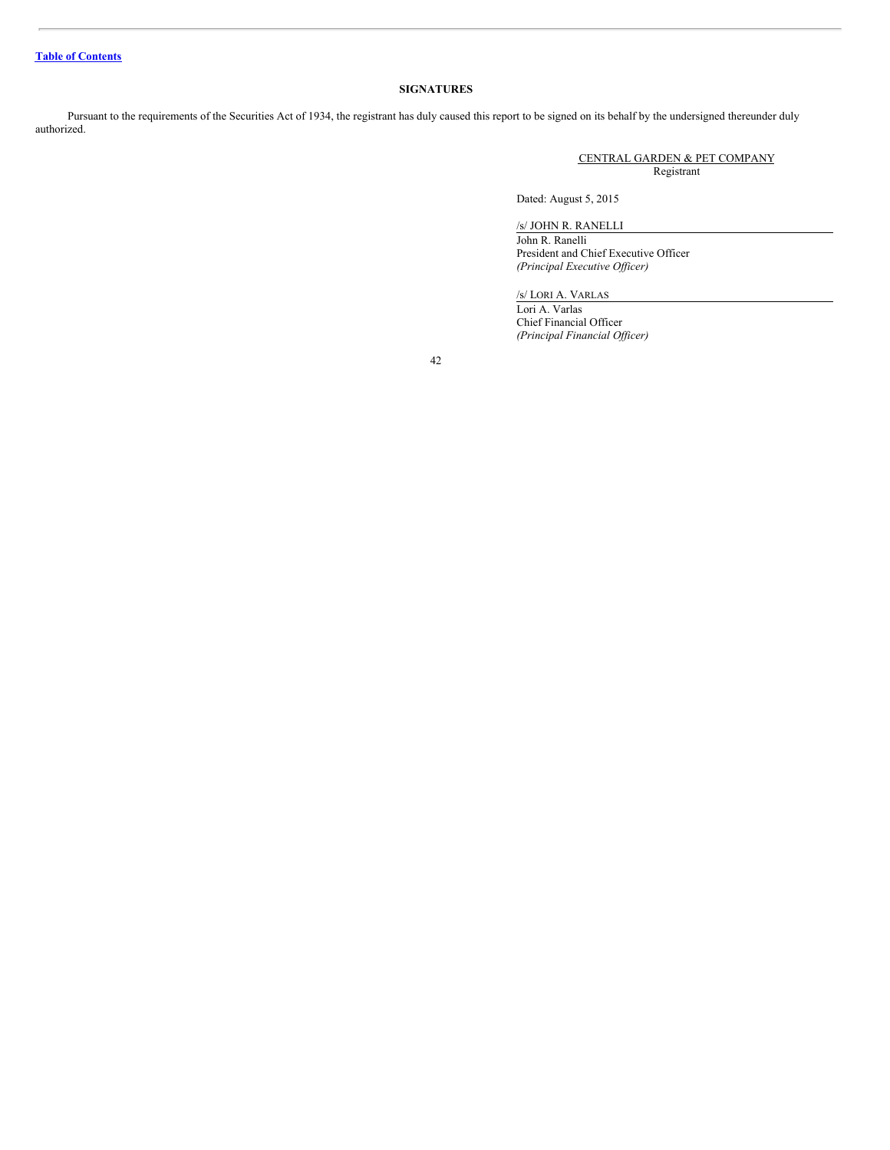## **SIGNATURES**

Pursuant to the requirements of the Securities Act of 1934, the registrant has duly caused this report to be signed on its behalf by the undersigned thereunder duly authorized.

> CENTRAL GARDEN & PET COMPANY Registrant

Dated: August 5, 2015

/s/ JOHN R. RANELLI

John R. Ranelli President and Chief Executive Officer *(Principal Executive Of icer)*

/s/ LORI A. VARLAS

Lori A. Varlas Chief Financial Officer *(Principal Financial Of icer)*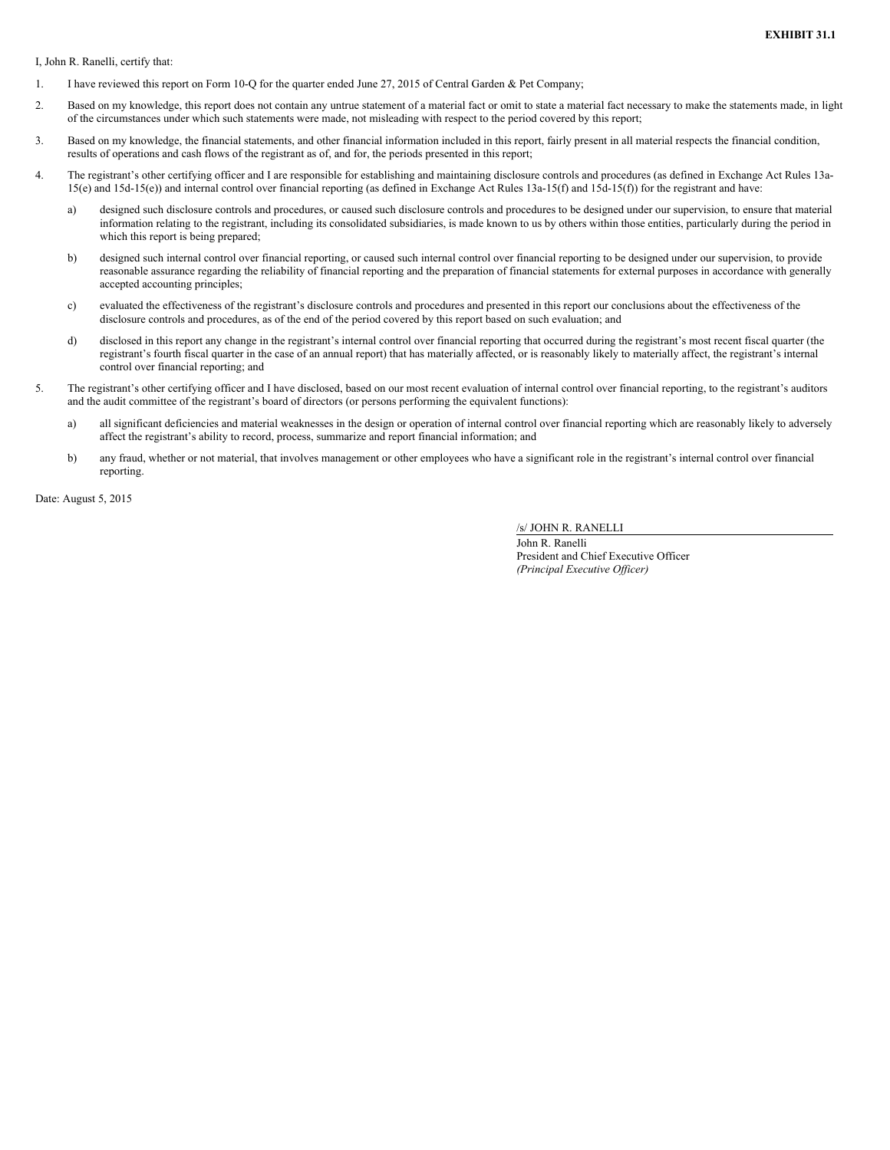I, John R. Ranelli, certify that:

- 1. I have reviewed this report on Form 10-Q for the quarter ended June 27, 2015 of Central Garden & Pet Company;
- 2. Based on my knowledge, this report does not contain any untrue statement of a material fact or omit to state a material fact necessary to make the statements made, in light of the circumstances under which such statements were made, not misleading with respect to the period covered by this report;
- 3. Based on my knowledge, the financial statements, and other financial information included in this report, fairly present in all material respects the financial condition, results of operations and cash flows of the registrant as of, and for, the periods presented in this report;
- 4. The registrant's other certifying officer and I are responsible for establishing and maintaining disclosure controls and procedures (as defined in Exchange Act Rules 13a- $15(e)$  and  $15d-15(e)$ ) and internal control over financial reporting (as defined in Exchange Act Rules  $13a-15(f)$  and  $15d-15(f)$ ) for the registrant and have:
	- a) designed such disclosure controls and procedures, or caused such disclosure controls and procedures to be designed under our supervision, to ensure that material information relating to the registrant, including its consolidated subsidiaries, is made known to us by others within those entities, particularly during the period in which this report is being prepared:
	- b) designed such internal control over financial reporting, or caused such internal control over financial reporting to be designed under our supervision, to provide reasonable assurance regarding the reliability of financial reporting and the preparation of financial statements for external purposes in accordance with generally accepted accounting principles;
	- c) evaluated the effectiveness of the registrant's disclosure controls and procedures and presented in this report our conclusions about the effectiveness of the disclosure controls and procedures, as of the end of the period covered by this report based on such evaluation; and
	- d) disclosed in this report any change in the registrant's internal control over financial reporting that occurred during the registrant's most recent fiscal quarter (the registrant's fourth fiscal quarter in the case of an annual report) that has materially affected, or is reasonably likely to materially affect, the registrant's internal control over financial reporting; and
- 5. The registrant's other certifying officer and I have disclosed, based on our most recent evaluation of internal control over financial reporting, to the registrant's auditors and the audit committee of the registrant's board of directors (or persons performing the equivalent functions):
	- a) all significant deficiencies and material weaknesses in the design or operation of internal control over financial reporting which are reasonably likely to adversely affect the registrant's ability to record, process, summarize and report financial information; and
	- b) any fraud, whether or not material, that involves management or other employees who have a significant role in the registrant's internal control over financial reporting.

Date: August 5, 2015

/s/ JOHN R. RANELLI

John R. Ranelli President and Chief Executive Officer *(Principal Executive Of icer)*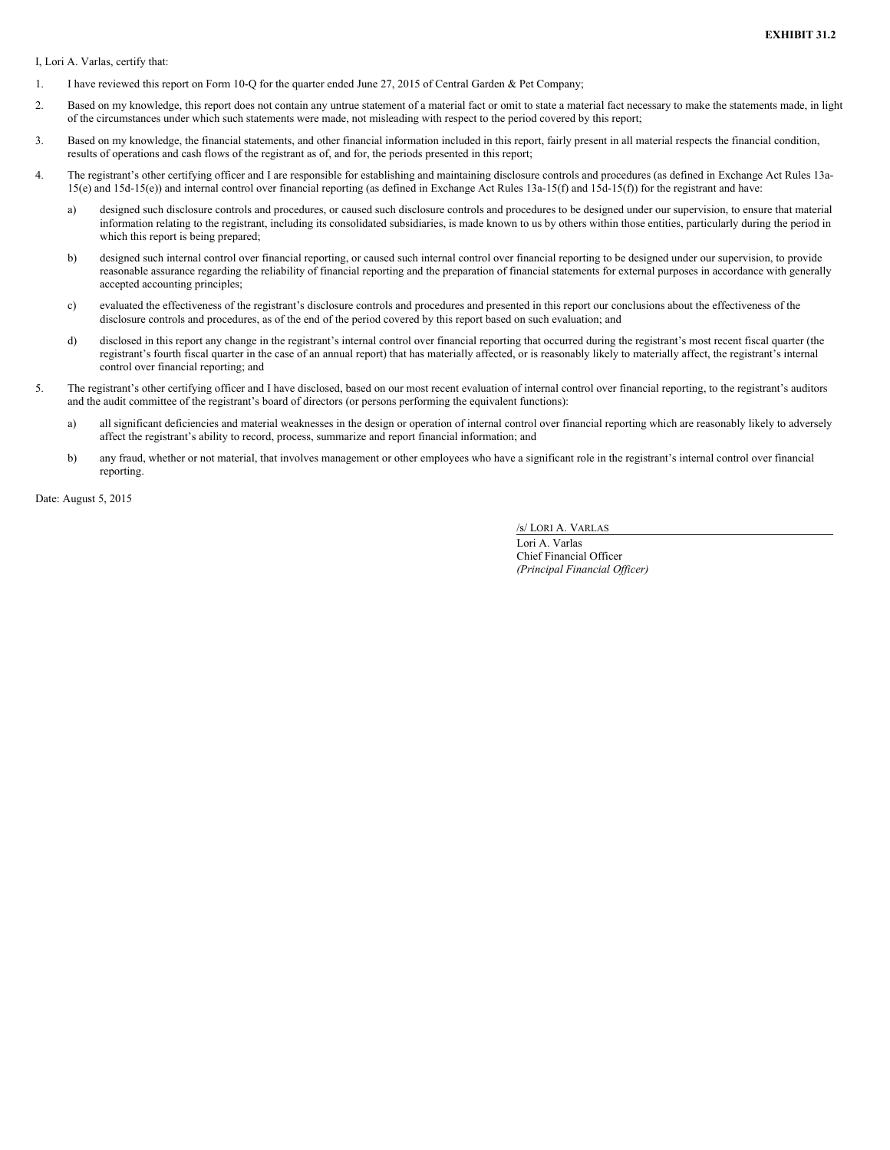I, Lori A. Varlas, certify that:

- 1. I have reviewed this report on Form 10-Q for the quarter ended June 27, 2015 of Central Garden & Pet Company;
- 2. Based on my knowledge, this report does not contain any untrue statement of a material fact or omit to state a material fact necessary to make the statements made, in light of the circumstances under which such statements were made, not misleading with respect to the period covered by this report;
- 3. Based on my knowledge, the financial statements, and other financial information included in this report, fairly present in all material respects the financial condition, results of operations and cash flows of the registrant as of, and for, the periods presented in this report;
- 4. The registrant's other certifying officer and I are responsible for establishing and maintaining disclosure controls and procedures (as defined in Exchange Act Rules 13a- $15(e)$  and  $15d-15(e)$ ) and internal control over financial reporting (as defined in Exchange Act Rules  $13a-15(f)$  and  $15d-15(f)$ ) for the registrant and have:
	- a) designed such disclosure controls and procedures, or caused such disclosure controls and procedures to be designed under our supervision, to ensure that material information relating to the registrant, including its consolidated subsidiaries, is made known to us by others within those entities, particularly during the period in which this report is being prepared:
	- b) designed such internal control over financial reporting, or caused such internal control over financial reporting to be designed under our supervision, to provide reasonable assurance regarding the reliability of financial reporting and the preparation of financial statements for external purposes in accordance with generally accepted accounting principles;
	- c) evaluated the effectiveness of the registrant's disclosure controls and procedures and presented in this report our conclusions about the effectiveness of the disclosure controls and procedures, as of the end of the period covered by this report based on such evaluation; and
	- d) disclosed in this report any change in the registrant's internal control over financial reporting that occurred during the registrant's most recent fiscal quarter (the registrant's fourth fiscal quarter in the case of an annual report) that has materially affected, or is reasonably likely to materially affect, the registrant's internal control over financial reporting; and
- 5. The registrant's other certifying officer and I have disclosed, based on our most recent evaluation of internal control over financial reporting, to the registrant's auditors and the audit committee of the registrant's board of directors (or persons performing the equivalent functions):
	- a) all significant deficiencies and material weaknesses in the design or operation of internal control over financial reporting which are reasonably likely to adversely affect the registrant's ability to record, process, summarize and report financial information; and
	- b) any fraud, whether or not material, that involves management or other employees who have a significant role in the registrant's internal control over financial reporting.

Date: August 5, 2015

/s/ LORI A. VARLAS

Lori A. Varlas Chief Financial Officer *(Principal Financial Of icer)*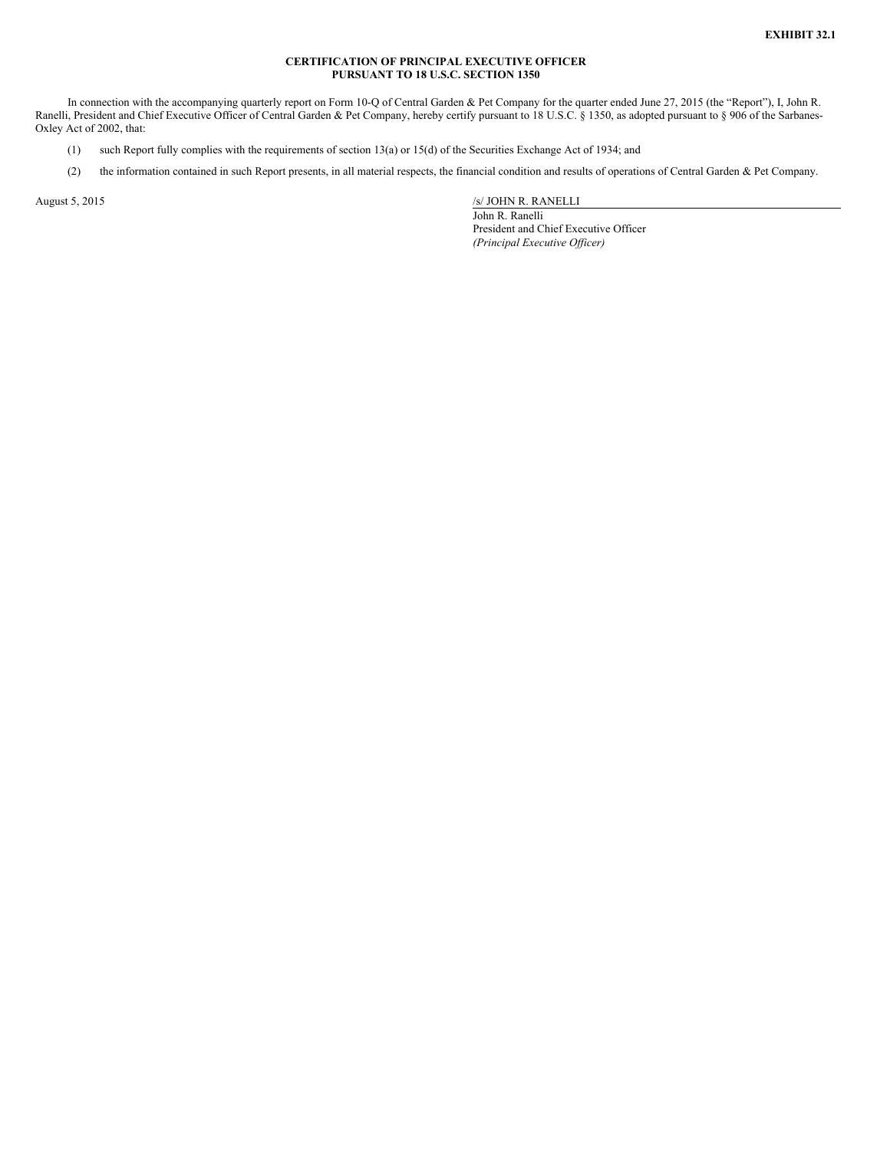#### **CERTIFICATION OF PRINCIPAL EXECUTIVE OFFICER PURSUANT TO 18 U.S.C. SECTION 1350**

In connection with the accompanying quarterly report on Form 10-Q of Central Garden & Pet Company for the quarter ended June 27, 2015 (the "Report"), I, John R. Ranelli, President and Chief Executive Officer of Central Garden & Pet Company, hereby certify pursuant to 18 U.S.C. § 1350, as adopted pursuant to § 906 of the Sarbanes-Oxley Act of 2002, that:

- (1) such Report fully complies with the requirements of section 13(a) or 15(d) of the Securities Exchange Act of 1934; and
- (2) the information contained in such Report presents, in all material respects, the financial condition and results of operations of Central Garden & Pet Company.

August 5, 2015 /s/ JOHN R. RANELLI

John R. Ranelli President and Chief Executive Officer *(Principal Executive Of icer)*